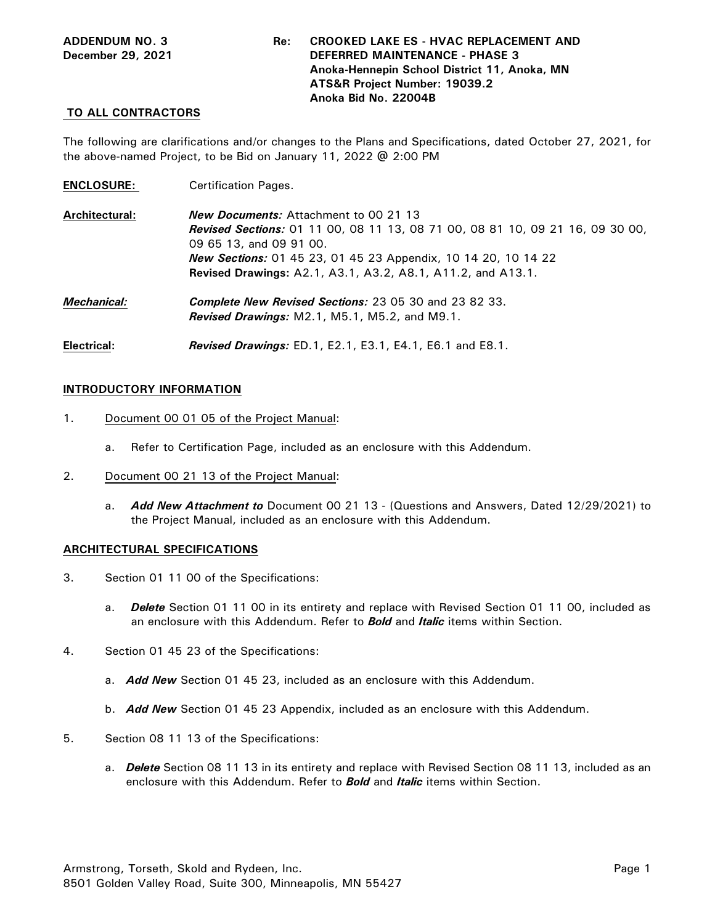#### **TO ALL CONTRACTORS**

The following are clarifications and/or changes to the Plans and Specifications, dated October 27, 2021, for the above-named Project, to be Bid on January 11, 2022 @ 2:00 PM

| <b>ENCLOSURE:</b> | <b>Certification Pages.</b>                                                   |  |
|-------------------|-------------------------------------------------------------------------------|--|
| Architectural:    | <b>New Documents:</b> Attachment to 00 21 13                                  |  |
|                   | Revised Sections: 01 11 00, 08 11 13, 08 71 00, 08 81 10, 09 21 16, 09 30 00, |  |
|                   | 09 65 13, and 09 91 00.                                                       |  |
|                   | <b>New Sections:</b> 01 45 23, 01 45 23 Appendix, 10 14 20, 10 14 22          |  |
|                   | <b>Revised Drawings: A2.1, A3.1, A3.2, A8.1, A11.2, and A13.1.</b>            |  |
| Mechanical:       | <b>Complete New Revised Sections: 23 05 30 and 23 82 33.</b>                  |  |
|                   | <b>Revised Drawings: M2.1, M5.1, M5.2, and M9.1.</b>                          |  |
| Electrical:       | <b>Revised Drawings:</b> ED.1, E2.1, E3.1, E4.1, E6.1 and E8.1.               |  |

### **INTRODUCTORY INFORMATION**

- 1. Document 00 01 05 of the Project Manual:
	- a. Refer to Certification Page, included as an enclosure with this Addendum.
- 2. Document 00 21 13 of the Project Manual:
	- a. *Add New Attachment to* Document 00 21 13 (Questions and Answers, Dated 12/29/2021) to the Project Manual, included as an enclosure with this Addendum.

#### **ARCHITECTURAL SPECIFICATIONS**

- 3. Section 01 11 00 of the Specifications:
	- a. *Delete* Section 01 11 00 in its entirety and replace with Revised Section 01 11 00, included as an enclosure with this Addendum. Refer to *Bold* and *Italic* items within Section.
- 4. Section 01 45 23 of the Specifications:
	- a. *Add New* Section 01 45 23, included as an enclosure with this Addendum.
	- b. *Add New* Section 01 45 23 Appendix, included as an enclosure with this Addendum.
- 5. Section 08 11 13 of the Specifications:
	- a. *Delete* Section 08 11 13 in its entirety and replace with Revised Section 08 11 13, included as an enclosure with this Addendum. Refer to *Bold* and *Italic* items within Section.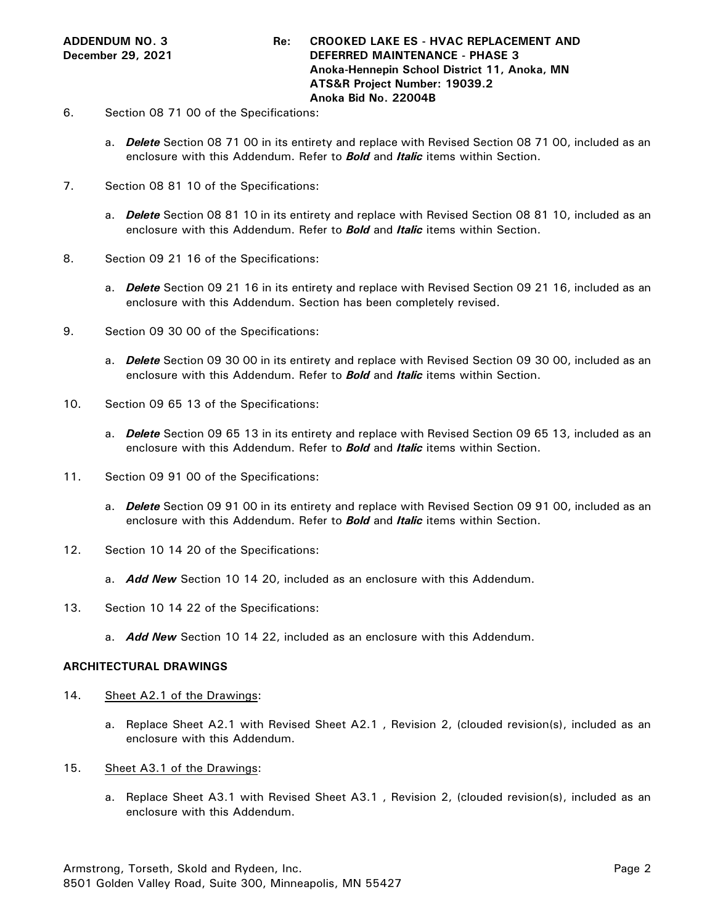- 6. Section 08 71 00 of the Specifications:
	- a. *Delete* Section 08 71 00 in its entirety and replace with Revised Section 08 71 00, included as an enclosure with this Addendum. Refer to *Bold* and *Italic* items within Section.
- 7. Section 08 81 10 of the Specifications:
	- a. *Delete* Section 08 81 10 in its entirety and replace with Revised Section 08 81 10, included as an enclosure with this Addendum. Refer to *Bold* and *Italic* items within Section.
- 8. Section 09 21 16 of the Specifications:
	- a. *Delete* Section 09 21 16 in its entirety and replace with Revised Section 09 21 16, included as an enclosure with this Addendum. Section has been completely revised.
- 9. Section 09 30 00 of the Specifications:
	- a. *Delete* Section 09 30 00 in its entirety and replace with Revised Section 09 30 00, included as an enclosure with this Addendum. Refer to *Bold* and *Italic* items within Section.
- 10. Section 09 65 13 of the Specifications:
	- a. *Delete* Section 09 65 13 in its entirety and replace with Revised Section 09 65 13, included as an enclosure with this Addendum. Refer to *Bold* and *Italic* items within Section.
- 11. Section 09 91 00 of the Specifications:
	- a. *Delete* Section 09 91 00 in its entirety and replace with Revised Section 09 91 00, included as an enclosure with this Addendum. Refer to *Bold* and *Italic* items within Section.
- 12. Section 10 14 20 of the Specifications:
	- a. *Add New* Section 10 14 20, included as an enclosure with this Addendum.
- 13. Section 10 14 22 of the Specifications:
	- a. *Add New* Section 10 14 22, included as an enclosure with this Addendum.

#### **ARCHITECTURAL DRAWINGS**

- 14. Sheet A2.1 of the Drawings:
	- a. Replace Sheet A2.1 with Revised Sheet A2.1 , Revision 2, (clouded revision(s), included as an enclosure with this Addendum.
- 15. Sheet A3.1 of the Drawings:
	- a. Replace Sheet A3.1 with Revised Sheet A3.1 , Revision 2, (clouded revision(s), included as an enclosure with this Addendum.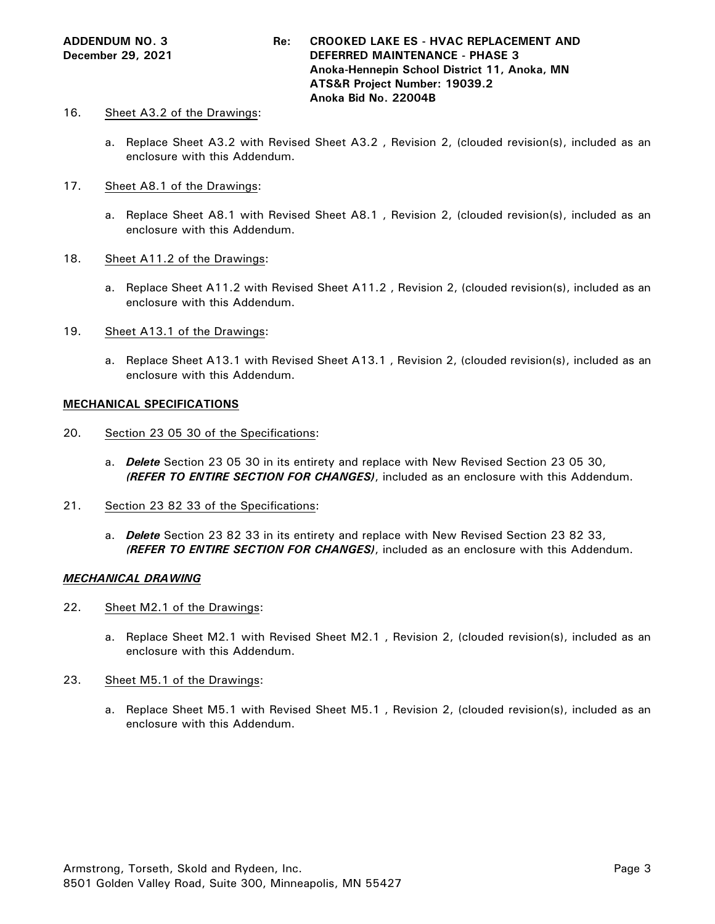## 16. Sheet A3.2 of the Drawings:

- a. Replace Sheet A3.2 with Revised Sheet A3.2 , Revision 2, (clouded revision(s), included as an enclosure with this Addendum.
- 17. Sheet A8.1 of the Drawings:
	- a. Replace Sheet A8.1 with Revised Sheet A8.1 , Revision 2, (clouded revision(s), included as an enclosure with this Addendum.
- 18. Sheet A11.2 of the Drawings:
	- a. Replace Sheet A11.2 with Revised Sheet A11.2 , Revision 2, (clouded revision(s), included as an enclosure with this Addendum.
- 19. Sheet A13.1 of the Drawings:
	- a. Replace Sheet A13.1 with Revised Sheet A13.1 , Revision 2, (clouded revision(s), included as an enclosure with this Addendum.

### **MECHANICAL SPECIFICATIONS**

- 20. Section 23 05 30 of the Specifications:
	- a. *Delete* Section 23 05 30 in its entirety and replace with New Revised Section 23 05 30, *(REFER TO ENTIRE SECTION FOR CHANGES)*, included as an enclosure with this Addendum.
- 21. Section 23 82 33 of the Specifications:
	- a. *Delete* Section 23 82 33 in its entirety and replace with New Revised Section 23 82 33, *(REFER TO ENTIRE SECTION FOR CHANGES)*, included as an enclosure with this Addendum.

#### *MECHANICAL DRAWING*

- 22. Sheet M2.1 of the Drawings:
	- a. Replace Sheet M2.1 with Revised Sheet M2.1 , Revision 2, (clouded revision(s), included as an enclosure with this Addendum.
- 23. Sheet M5.1 of the Drawings:
	- a. Replace Sheet M5.1 with Revised Sheet M5.1 , Revision 2, (clouded revision(s), included as an enclosure with this Addendum.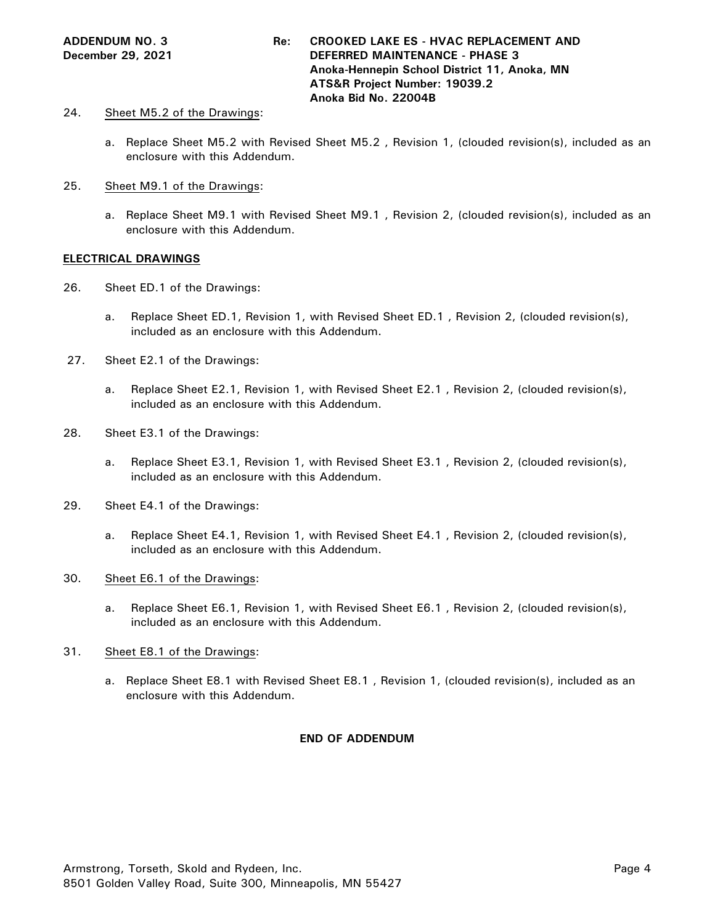### 24. Sheet M5.2 of the Drawings:

- a. Replace Sheet M5.2 with Revised Sheet M5.2 , Revision 1, (clouded revision(s), included as an enclosure with this Addendum.
- 25. Sheet M9.1 of the Drawings:
	- a. Replace Sheet M9.1 with Revised Sheet M9.1 , Revision 2, (clouded revision(s), included as an enclosure with this Addendum.

### **ELECTRICAL DRAWINGS**

- 26. Sheet ED.1 of the Drawings:
	- a. Replace Sheet ED.1, Revision 1, with Revised Sheet ED.1 , Revision 2, (clouded revision(s), included as an enclosure with this Addendum.
- 27. Sheet E2.1 of the Drawings:
	- a. Replace Sheet E2.1, Revision 1, with Revised Sheet E2.1 , Revision 2, (clouded revision(s), included as an enclosure with this Addendum.
- 28. Sheet E3.1 of the Drawings:
	- a. Replace Sheet E3.1, Revision 1, with Revised Sheet E3.1 , Revision 2, (clouded revision(s), included as an enclosure with this Addendum.
- 29. Sheet E4.1 of the Drawings:
	- a. Replace Sheet E4.1, Revision 1, with Revised Sheet E4.1 , Revision 2, (clouded revision(s), included as an enclosure with this Addendum.
- 30. Sheet E6.1 of the Drawings:
	- a. Replace Sheet E6.1, Revision 1, with Revised Sheet E6.1 , Revision 2, (clouded revision(s), included as an enclosure with this Addendum.

# 31. Sheet E8.1 of the Drawings:

a. Replace Sheet E8.1 with Revised Sheet E8.1 , Revision 1, (clouded revision(s), included as an enclosure with this Addendum.

# **END OF ADDENDUM**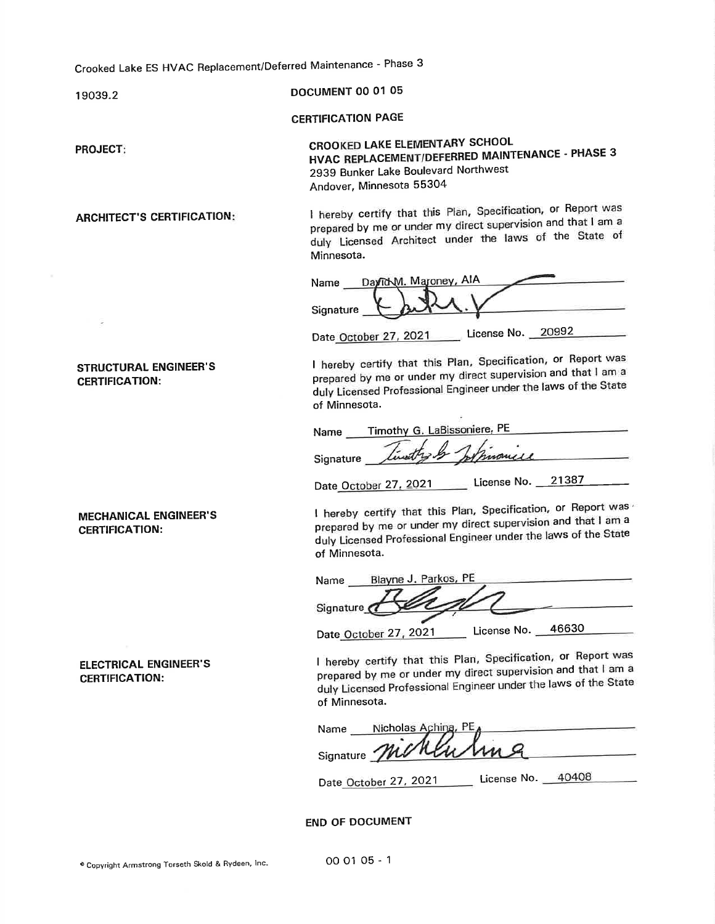Crooked Lake ES HVAC Replacement/Deferred Maintenance - Phase 3

19039.2

**PROJECT:** 

s

**ARCHITECT'S CERTIFICATION:** 

**STRUCTURAL ENGINEER'S** 

**MECHANICAL ENGINEER'S** 

**ELECTRICAL ENGINEER'S** 

**CERTIFICATION:** 

**CERTIFICATION:** 

**CERTIFICATION:** 

**DOCUMENT 00 01 05** 

**CERTIFICATION PAGE** 

**CROOKED LAKE ELEMENTARY SCHOOL** HVAC REPLACEMENT/DEFERRED MAINTENANCE - PHASE 3 2939 Bunker Lake Boulevard Northwest Andover, Minnesota 55304

I hereby certify that this Plan, Specification, or Report was prepared by me or under my direct supervision and that I am a duly Licensed Architect under the laws of the State of Minnesota.

| Name      | Dayid M. Maroney, AIA |  |  |
|-----------|-----------------------|--|--|
| Signature |                       |  |  |

Date October 27, 2021 License No. 20992

I hereby certify that this Plan, Specification, or Report was prepared by me or under my direct supervision and that I am a duly Licensed Professional Engineer under the laws of the State of Minnesota.

| Name      | Timothy G. LaBissoniere, PE |  |
|-----------|-----------------------------|--|
| Signature | Timethy & Joshimanice       |  |
|           |                             |  |

Date\_October 27, 2021 \_\_\_\_\_ License No. \_\_21387 \_\_\_\_\_\_

I hereby certify that this Plan, Specification, or Report was prepared by me or under my direct supervision and that I am a duly Licensed Professional Engineer under the laws of the State of Minnesota.

| Name        | Blayne J. Parkos, PE  |                      |  |
|-------------|-----------------------|----------------------|--|
| Signature 7 |                       |                      |  |
|             | Date October 27, 2021 | 46630<br>License No. |  |

I hereby certify that this Plan, Specification, or Report was prepared by me or under my direct supervision and that I am a duly Licensed Professional Engineer under the laws of the State of Minnesota.

| Name | Nicholas Aching, PEA |  |
|------|----------------------|--|
|      | Signature Michluling |  |

Date\_October 27, 2021 License No. 40408

#### **END OF DOCUMENT**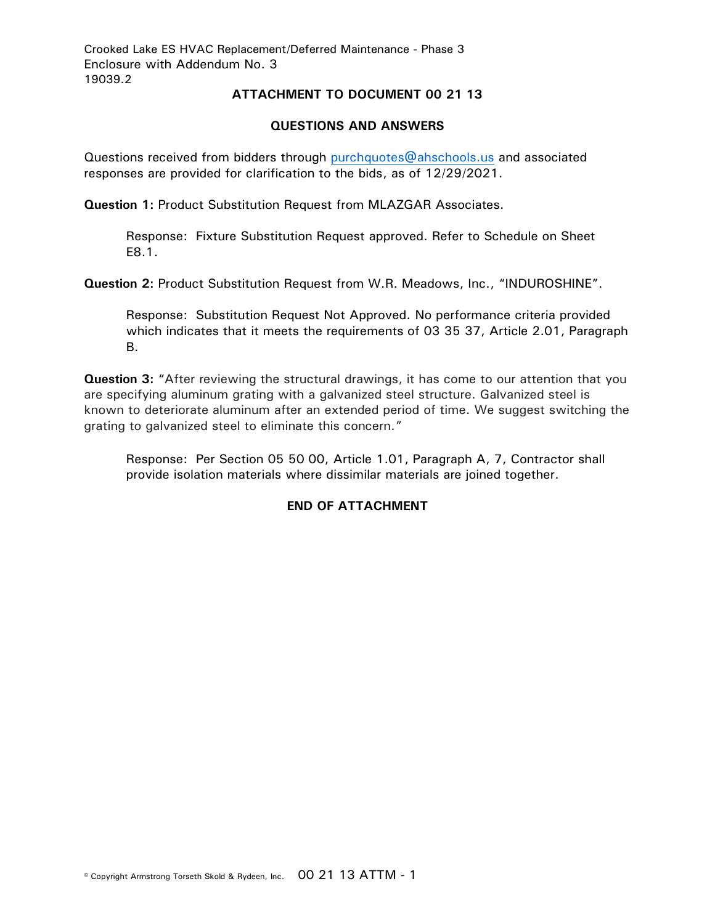Crooked Lake ES HVAC Replacement/Deferred Maintenance - Phase 3 Enclosure with Addendum No. 3 19039.2

# **ATTACHMENT TO DOCUMENT 00 21 13**

# **QUESTIONS AND ANSWERS**

Questions received from bidders through [purchquotes@ahschools.us](mailto:purchquotes@ahschools.us) and associated responses are provided for clarification to the bids, as of 12/29/2021.

**Question 1:** Product Substitution Request from MLAZGAR Associates.

Response: Fixture Substitution Request approved. Refer to Schedule on Sheet E8.1.

**Question 2:** Product Substitution Request from W.R. Meadows, Inc., "INDUROSHINE".

Response: Substitution Request Not Approved. No performance criteria provided which indicates that it meets the requirements of 03 35 37, Article 2.01, Paragraph B.

**Question 3:** "After reviewing the structural drawings, it has come to our attention that you are specifying aluminum grating with a galvanized steel structure. Galvanized steel is known to deteriorate aluminum after an extended period of time. We suggest switching the grating to galvanized steel to eliminate this concern."

Response: Per Section 05 50 00, Article 1.01, Paragraph A, 7, Contractor shall provide isolation materials where dissimilar materials are joined together.

# **END OF ATTACHMENT**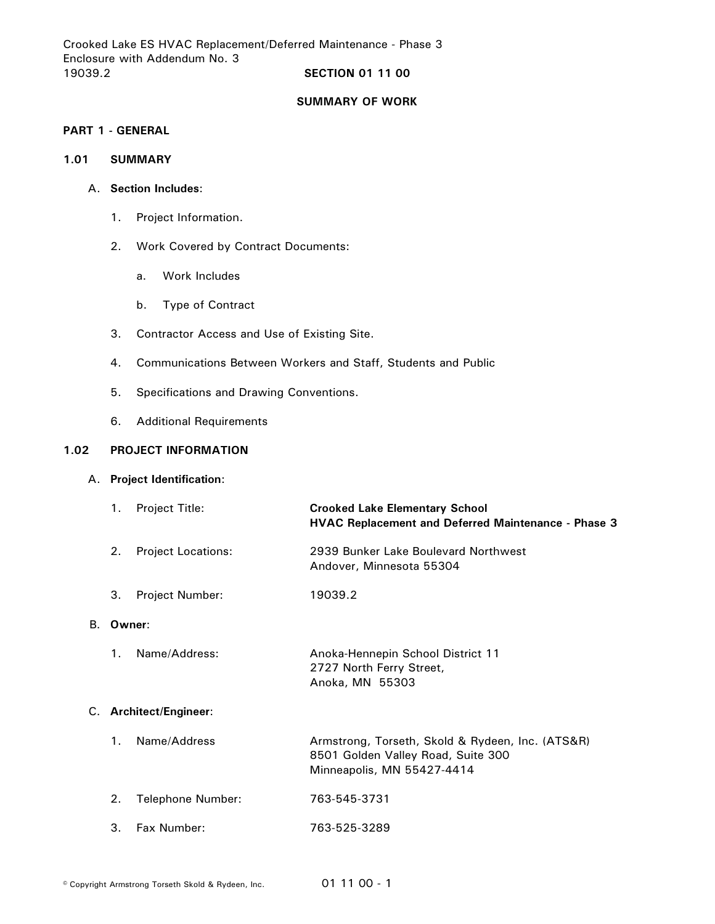Crooked Lake ES HVAC Replacement/Deferred Maintenance - Phase 3 Enclosure with Addendum No. 3 19039.2 **SECTION 01 11 00**

#### **SUMMARY OF WORK**

# **PART 1 - GENERAL**

# **1.01 SUMMARY**

#### A. **Section Includes**:

- 1. Project Information.
- 2. Work Covered by Contract Documents:
	- a. Work Includes
	- b. Type of Contract
- 3. Contractor Access and Use of Existing Site.
- 4. Communications Between Workers and Staff, Students and Public
- 5. Specifications and Drawing Conventions.
- 6. Additional Requirements

# **1.02 PROJECT INFORMATION**

#### A. **Project Identification**:

| 1.      | Project Title:            | <b>Crooked Lake Elementary School</b><br><b>HVAC Replacement and Deferred Maintenance - Phase 3</b>                  |
|---------|---------------------------|----------------------------------------------------------------------------------------------------------------------|
| 2.      | <b>Project Locations:</b> | 2939 Bunker Lake Boulevard Northwest<br>Andover, Minnesota 55304                                                     |
| 3.      | Project Number:           | 19039.2                                                                                                              |
|         |                           |                                                                                                                      |
| 1.      | Name/Address:             | Anoka-Hennepin School District 11<br>2727 North Ferry Street,<br>Anoka, MN 55303                                     |
|         |                           |                                                                                                                      |
| $1_{-}$ | Name/Address              | Armstrong, Torseth, Skold & Rydeen, Inc. (ATS&R)<br>8501 Golden Valley Road, Suite 300<br>Minneapolis, MN 55427-4414 |
| 2.      | Telephone Number:         | 763-545-3731                                                                                                         |
| 3.      | Fax Number:               | 763-525-3289                                                                                                         |
|         |                           | Owner:<br>C. Architect/Engineer:                                                                                     |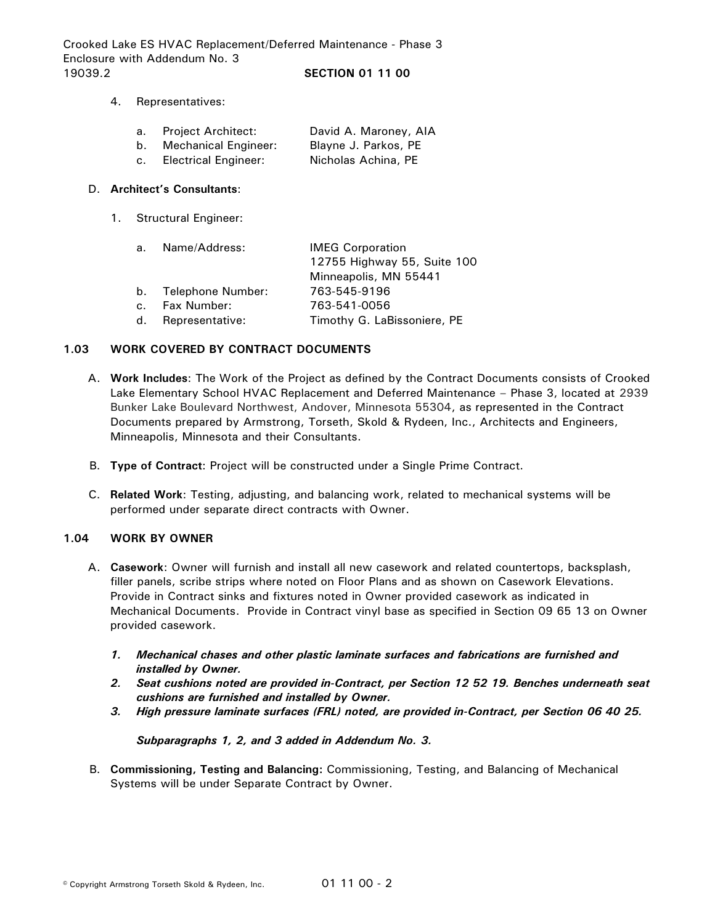Crooked Lake ES HVAC Replacement/Deferred Maintenance - Phase 3 Enclosure with Addendum No. 3 19039.2 **SECTION 01 11 00**

- 4. Representatives:
	- a. Project Architect: David A. Maroney, AIA
	- b. Mechanical Engineer: Blayne J. Parkos, PE
	- c. Electrical Engineer: Nicholas Achina, PE

# D. **Architect's Consultants**:

1. Structural Engineer:

| a.          | Name/Address:        | <b>IMEG Corporation</b>     |
|-------------|----------------------|-----------------------------|
|             |                      | 12755 Highway 55, Suite 100 |
|             |                      | Minneapolis, MN 55441       |
|             | b. Telephone Number: | 763-545-9196                |
| $c_{\rm r}$ | <b>Fax Number:</b>   | 763-541-0056                |
|             | d. Representative:   | Timothy G. LaBissoniere, PE |

# **1.03 WORK COVERED BY CONTRACT DOCUMENTS**

- A. **Work Includes**: The Work of the Project as defined by the Contract Documents consists of Crooked Lake Elementary School HVAC Replacement and Deferred Maintenance – Phase 3, located at 2939 Bunker Lake Boulevard Northwest, Andover, Minnesota 55304, as represented in the Contract Documents prepared by Armstrong, Torseth, Skold & Rydeen, Inc., Architects and Engineers, Minneapolis, Minnesota and their Consultants.
- B. **Type of Contract**: Project will be constructed under a Single Prime Contract.
- C. **Related Work**: Testing, adjusting, and balancing work, related to mechanical systems will be performed under separate direct contracts with Owner.

# **1.04 WORK BY OWNER**

- A. **Casework**: Owner will furnish and install all new casework and related countertops, backsplash, filler panels, scribe strips where noted on Floor Plans and as shown on Casework Elevations. Provide in Contract sinks and fixtures noted in Owner provided casework as indicated in Mechanical Documents. Provide in Contract vinyl base as specified in Section 09 65 13 on Owner provided casework.
	- *1. Mechanical chases and other plastic laminate surfaces and fabrications are furnished and installed by Owner.*
	- *2. Seat cushions noted are provided in-Contract, per Section 12 52 19. Benches underneath seat cushions are furnished and installed by Owner.*
	- *3. High pressure laminate surfaces (FRL) noted, are provided in-Contract, per Section 06 40 25.*

*Subparagraphs 1, 2, and 3 added in Addendum No. 3.*

B. **Commissioning, Testing and Balancing:** Commissioning, Testing, and Balancing of Mechanical Systems will be under Separate Contract by Owner.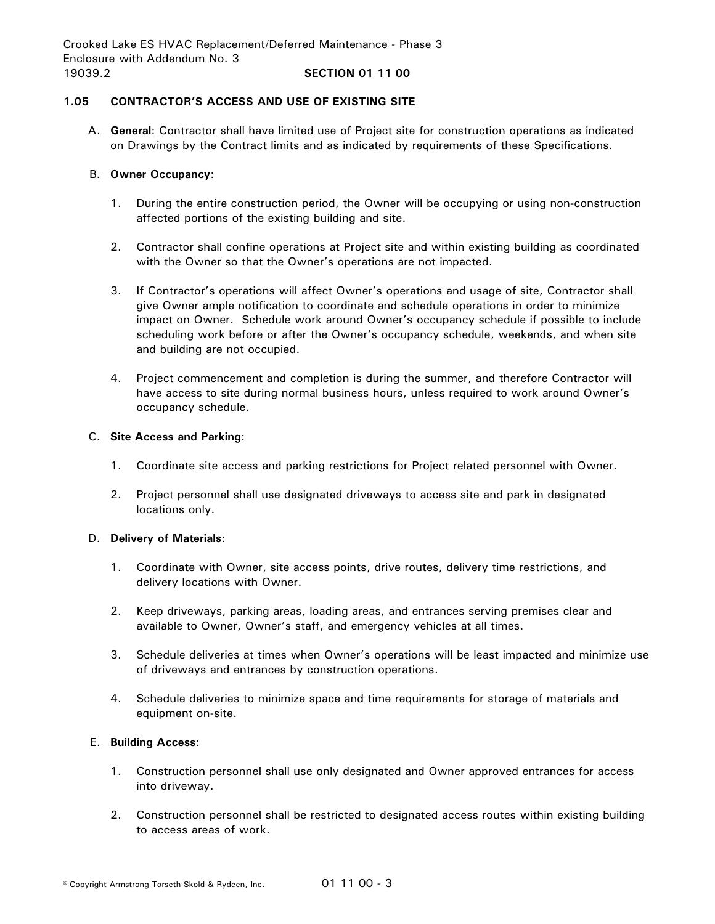# **1.05 CONTRACTOR'S ACCESS AND USE OF EXISTING SITE**

A. **General**: Contractor shall have limited use of Project site for construction operations as indicated on Drawings by the Contract limits and as indicated by requirements of these Specifications.

# B. **Owner Occupancy**:

- 1. During the entire construction period, the Owner will be occupying or using non-construction affected portions of the existing building and site.
- 2. Contractor shall confine operations at Project site and within existing building as coordinated with the Owner so that the Owner's operations are not impacted.
- 3. If Contractor's operations will affect Owner's operations and usage of site, Contractor shall give Owner ample notification to coordinate and schedule operations in order to minimize impact on Owner. Schedule work around Owner's occupancy schedule if possible to include scheduling work before or after the Owner's occupancy schedule, weekends, and when site and building are not occupied.
- 4. Project commencement and completion is during the summer, and therefore Contractor will have access to site during normal business hours, unless required to work around Owner's occupancy schedule.

## C. **Site Access and Parking**:

- 1. Coordinate site access and parking restrictions for Project related personnel with Owner.
- 2. Project personnel shall use designated driveways to access site and park in designated locations only.

# D. **Delivery of Materials**:

- 1. Coordinate with Owner, site access points, drive routes, delivery time restrictions, and delivery locations with Owner.
- 2. Keep driveways, parking areas, loading areas, and entrances serving premises clear and available to Owner, Owner's staff, and emergency vehicles at all times.
- 3. Schedule deliveries at times when Owner's operations will be least impacted and minimize use of driveways and entrances by construction operations.
- 4. Schedule deliveries to minimize space and time requirements for storage of materials and equipment on-site.

#### E. **Building Access**:

- 1. Construction personnel shall use only designated and Owner approved entrances for access into driveway.
- 2. Construction personnel shall be restricted to designated access routes within existing building to access areas of work.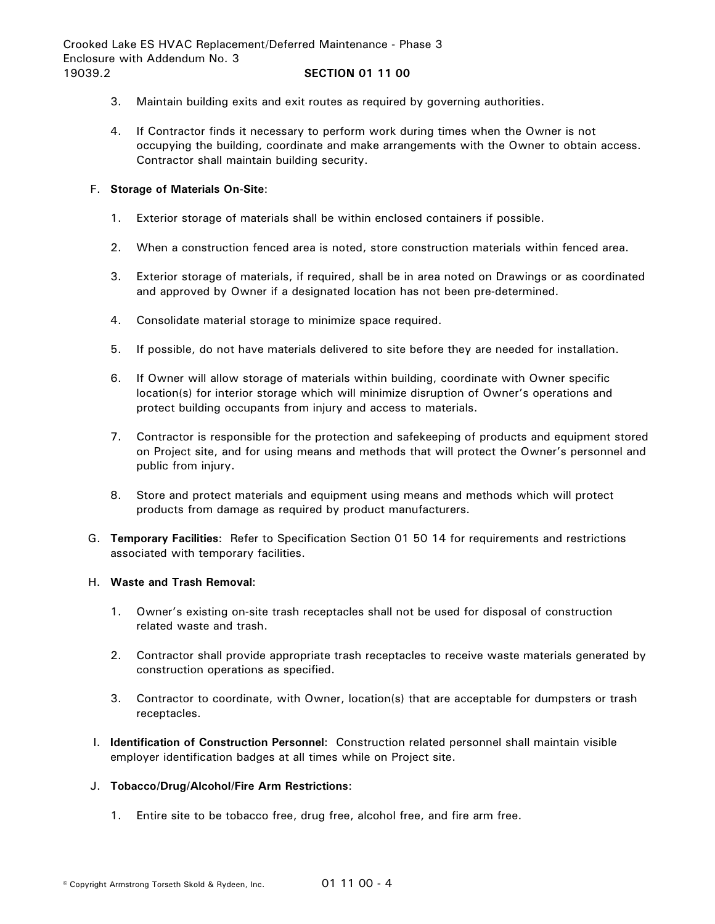- 3. Maintain building exits and exit routes as required by governing authorities.
- 4. If Contractor finds it necessary to perform work during times when the Owner is not occupying the building, coordinate and make arrangements with the Owner to obtain access. Contractor shall maintain building security.

# F. **Storage of Materials On-Site**:

- 1. Exterior storage of materials shall be within enclosed containers if possible.
- 2. When a construction fenced area is noted, store construction materials within fenced area.
- 3. Exterior storage of materials, if required, shall be in area noted on Drawings or as coordinated and approved by Owner if a designated location has not been pre-determined.
- 4. Consolidate material storage to minimize space required.
- 5. If possible, do not have materials delivered to site before they are needed for installation.
- 6. If Owner will allow storage of materials within building, coordinate with Owner specific location(s) for interior storage which will minimize disruption of Owner's operations and protect building occupants from injury and access to materials.
- 7. Contractor is responsible for the protection and safekeeping of products and equipment stored on Project site, and for using means and methods that will protect the Owner's personnel and public from injury.
- 8. Store and protect materials and equipment using means and methods which will protect products from damage as required by product manufacturers.
- G. **Temporary Facilities**: Refer to Specification Section 01 50 14 for requirements and restrictions associated with temporary facilities.

#### H. **Waste and Trash Removal**:

- 1. Owner's existing on-site trash receptacles shall not be used for disposal of construction related waste and trash.
- 2. Contractor shall provide appropriate trash receptacles to receive waste materials generated by construction operations as specified.
- 3. Contractor to coordinate, with Owner, location(s) that are acceptable for dumpsters or trash receptacles.
- I. **Identification of Construction Personnel**: Construction related personnel shall maintain visible employer identification badges at all times while on Project site.

#### J. **Tobacco/Drug/Alcohol/Fire Arm Restrictions**:

1. Entire site to be tobacco free, drug free, alcohol free, and fire arm free.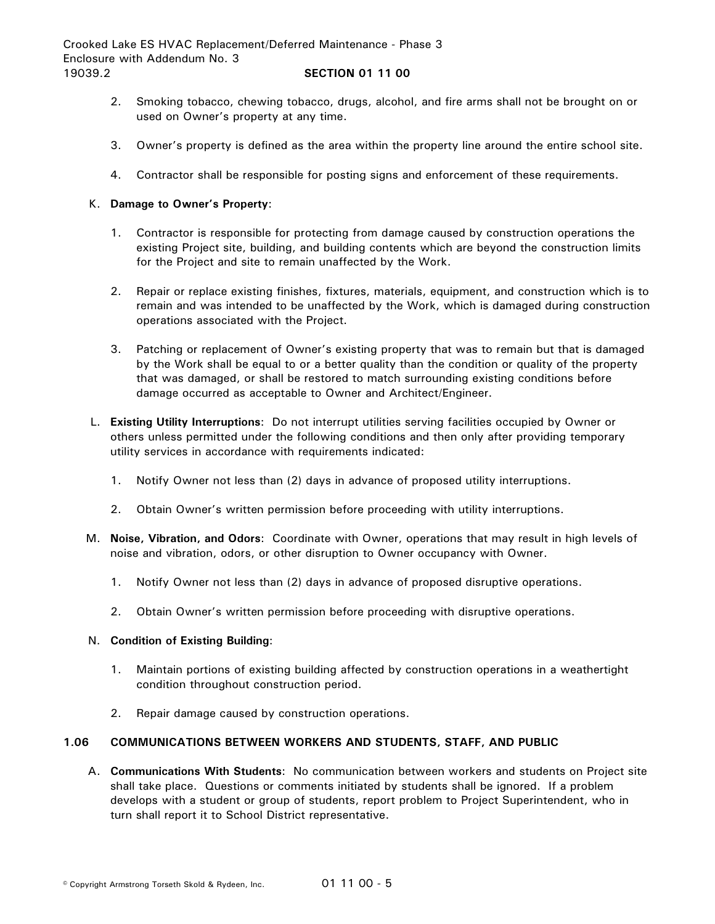- 2. Smoking tobacco, chewing tobacco, drugs, alcohol, and fire arms shall not be brought on or used on Owner's property at any time.
- 3. Owner's property is defined as the area within the property line around the entire school site.
- 4. Contractor shall be responsible for posting signs and enforcement of these requirements.

# K. **Damage to Owner's Property**:

- 1. Contractor is responsible for protecting from damage caused by construction operations the existing Project site, building, and building contents which are beyond the construction limits for the Project and site to remain unaffected by the Work.
- 2. Repair or replace existing finishes, fixtures, materials, equipment, and construction which is to remain and was intended to be unaffected by the Work, which is damaged during construction operations associated with the Project.
- 3. Patching or replacement of Owner's existing property that was to remain but that is damaged by the Work shall be equal to or a better quality than the condition or quality of the property that was damaged, or shall be restored to match surrounding existing conditions before damage occurred as acceptable to Owner and Architect/Engineer.
- L. **Existing Utility Interruptions**: Do not interrupt utilities serving facilities occupied by Owner or others unless permitted under the following conditions and then only after providing temporary utility services in accordance with requirements indicated:
	- 1. Notify Owner not less than (2) days in advance of proposed utility interruptions.
	- 2. Obtain Owner's written permission before proceeding with utility interruptions.
- M. **Noise, Vibration, and Odors**: Coordinate with Owner, operations that may result in high levels of noise and vibration, odors, or other disruption to Owner occupancy with Owner.
	- 1. Notify Owner not less than (2) days in advance of proposed disruptive operations.
	- 2. Obtain Owner's written permission before proceeding with disruptive operations.

# N. **Condition of Existing Building**:

- 1. Maintain portions of existing building affected by construction operations in a weathertight condition throughout construction period.
- 2. Repair damage caused by construction operations.

# **1.06 COMMUNICATIONS BETWEEN WORKERS AND STUDENTS, STAFF, AND PUBLIC**

A. **Communications With Students**: No communication between workers and students on Project site shall take place. Questions or comments initiated by students shall be ignored. If a problem develops with a student or group of students, report problem to Project Superintendent, who in turn shall report it to School District representative.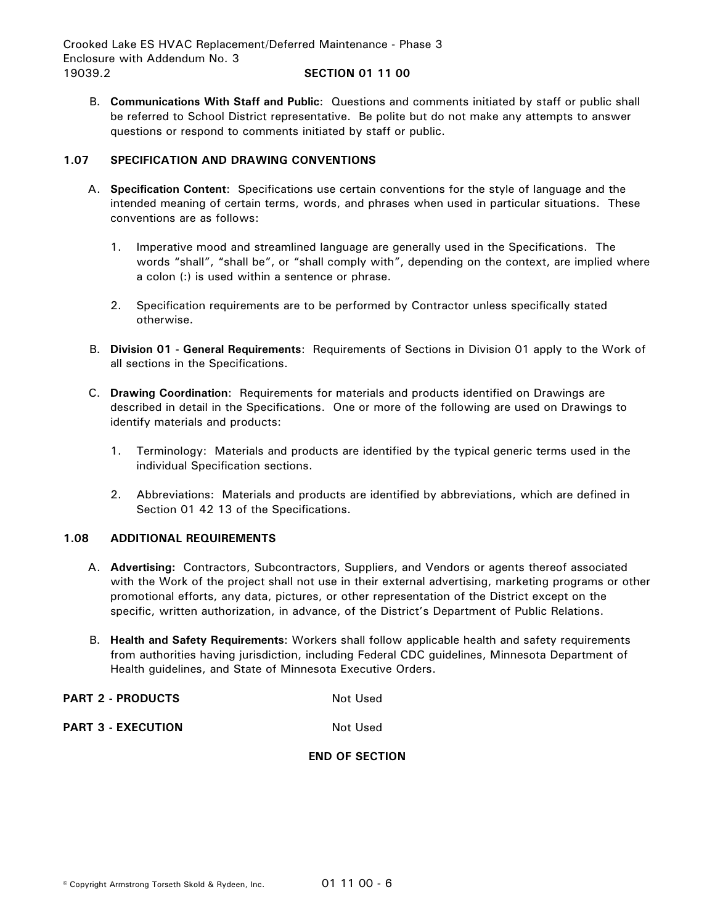Crooked Lake ES HVAC Replacement/Deferred Maintenance - Phase 3 Enclosure with Addendum No. 3 19039.2 **SECTION 01 11 00**

B. **Communications With Staff and Public**: Questions and comments initiated by staff or public shall be referred to School District representative. Be polite but do not make any attempts to answer questions or respond to comments initiated by staff or public.

# **1.07 SPECIFICATION AND DRAWING CONVENTIONS**

- A. **Specification Content**: Specifications use certain conventions for the style of language and the intended meaning of certain terms, words, and phrases when used in particular situations. These conventions are as follows:
	- 1. Imperative mood and streamlined language are generally used in the Specifications. The words "shall", "shall be", or "shall comply with", depending on the context, are implied where a colon (:) is used within a sentence or phrase.
	- 2. Specification requirements are to be performed by Contractor unless specifically stated otherwise.
- B. **Division 01 General Requirements**: Requirements of Sections in Division 01 apply to the Work of all sections in the Specifications.
- C. **Drawing Coordination**: Requirements for materials and products identified on Drawings are described in detail in the Specifications. One or more of the following are used on Drawings to identify materials and products:
	- 1. Terminology: Materials and products are identified by the typical generic terms used in the individual Specification sections.
	- 2. Abbreviations: Materials and products are identified by abbreviations, which are defined in Section 01 42 13 of the Specifications.

#### **1.08 ADDITIONAL REQUIREMENTS**

- A. **Advertising:** Contractors, Subcontractors, Suppliers, and Vendors or agents thereof associated with the Work of the project shall not use in their external advertising, marketing programs or other promotional efforts, any data, pictures, or other representation of the District except on the specific, written authorization, in advance, of the District's Department of Public Relations.
- B. **Health and Safety Requirements**: Workers shall follow applicable health and safety requirements from authorities having jurisdiction, including Federal CDC guidelines, Minnesota Department of Health guidelines, and State of Minnesota Executive Orders.

#### **PART 2 - PRODUCTS** Not Used

**PART 3 - EXECUTION** Not Used

# **END OF SECTION**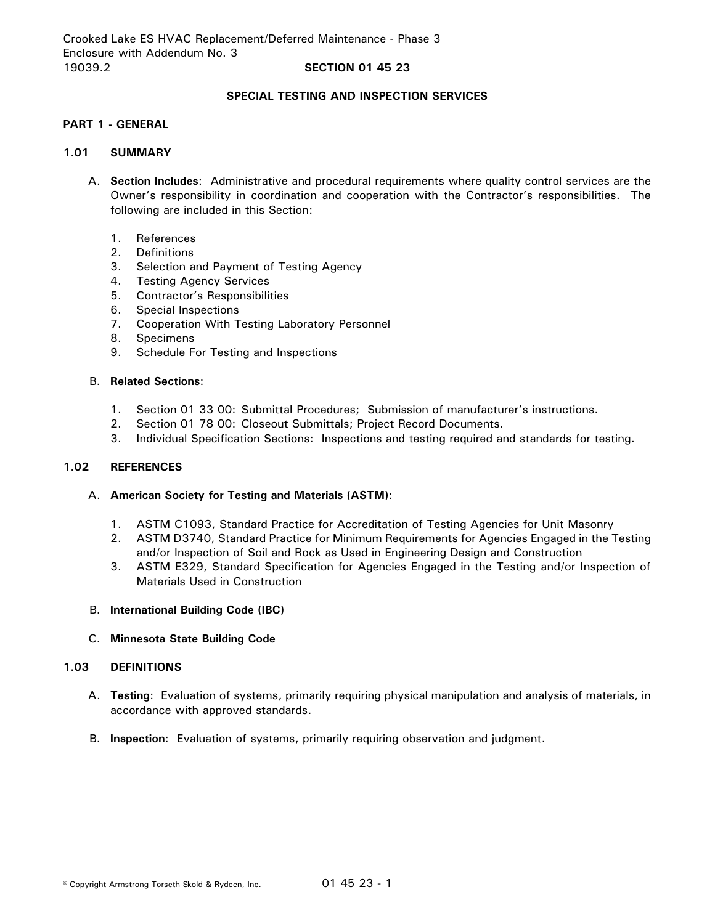# **SPECIAL TESTING AND INSPECTION SERVICES**

## **PART 1 - GENERAL**

### **1.01 SUMMARY**

- A. **Section Includes**: Administrative and procedural requirements where quality control services are the Owner's responsibility in coordination and cooperation with the Contractor's responsibilities. The following are included in this Section:
	- 1. References
	- 2. Definitions
	- 3. Selection and Payment of Testing Agency
	- 4. Testing Agency Services
	- 5. Contractor's Responsibilities
	- 6. Special Inspections
	- 7. Cooperation With Testing Laboratory Personnel
	- 8. Specimens
	- 9. Schedule For Testing and Inspections

#### B. **Related Sections**:

- 1. Section 01 33 00: Submittal Procedures; Submission of manufacturer's instructions.
- 2. Section 01 78 00: Closeout Submittals; Project Record Documents.
- 3. Individual Specification Sections: Inspections and testing required and standards for testing.

#### **1.02 REFERENCES**

#### A. **American Society for Testing and Materials (ASTM)**:

- 1. ASTM C1093, Standard Practice for Accreditation of Testing Agencies for Unit Masonry
- 2. ASTM D3740, Standard Practice for Minimum Requirements for Agencies Engaged in the Testing and/or Inspection of Soil and Rock as Used in Engineering Design and Construction
- 3. ASTM E329, Standard Specification for Agencies Engaged in the Testing and/or Inspection of Materials Used in Construction

#### B. **International Building Code (IBC)**

C. **Minnesota State Building Code**

# **1.03 DEFINITIONS**

- A. **Testing**: Evaluation of systems, primarily requiring physical manipulation and analysis of materials, in accordance with approved standards.
- B. **Inspection**: Evaluation of systems, primarily requiring observation and judgment.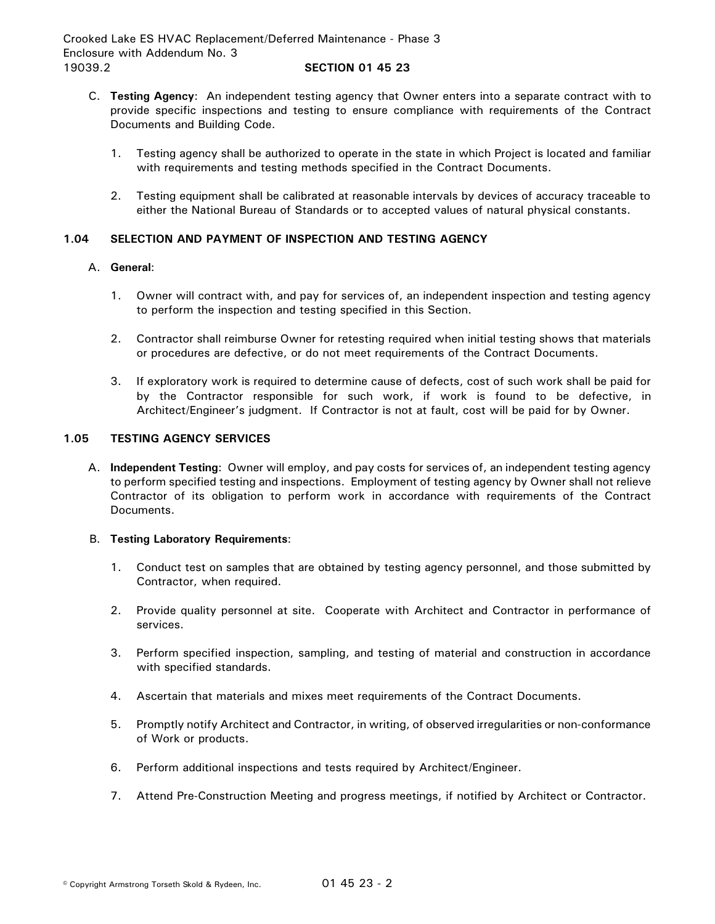- C. **Testing Agency**: An independent testing agency that Owner enters into a separate contract with to provide specific inspections and testing to ensure compliance with requirements of the Contract Documents and Building Code.
	- 1. Testing agency shall be authorized to operate in the state in which Project is located and familiar with requirements and testing methods specified in the Contract Documents.
	- 2. Testing equipment shall be calibrated at reasonable intervals by devices of accuracy traceable to either the National Bureau of Standards or to accepted values of natural physical constants.

# **1.04 SELECTION AND PAYMENT OF INSPECTION AND TESTING AGENCY**

# A. **General**:

- 1. Owner will contract with, and pay for services of, an independent inspection and testing agency to perform the inspection and testing specified in this Section.
- 2. Contractor shall reimburse Owner for retesting required when initial testing shows that materials or procedures are defective, or do not meet requirements of the Contract Documents.
- 3. If exploratory work is required to determine cause of defects, cost of such work shall be paid for by the Contractor responsible for such work, if work is found to be defective, in Architect/Engineer's judgment. If Contractor is not at fault, cost will be paid for by Owner.

# **1.05 TESTING AGENCY SERVICES**

A. **Independent Testing**: Owner will employ, and pay costs for services of, an independent testing agency to perform specified testing and inspections. Employment of testing agency by Owner shall not relieve Contractor of its obligation to perform work in accordance with requirements of the Contract Documents.

# B. **Testing Laboratory Requirements**:

- 1. Conduct test on samples that are obtained by testing agency personnel, and those submitted by Contractor, when required.
- 2. Provide quality personnel at site. Cooperate with Architect and Contractor in performance of services.
- 3. Perform specified inspection, sampling, and testing of material and construction in accordance with specified standards.
- 4. Ascertain that materials and mixes meet requirements of the Contract Documents.
- 5. Promptly notify Architect and Contractor, in writing, of observed irregularities or non-conformance of Work or products.
- 6. Perform additional inspections and tests required by Architect/Engineer.
- 7. Attend Pre-Construction Meeting and progress meetings, if notified by Architect or Contractor.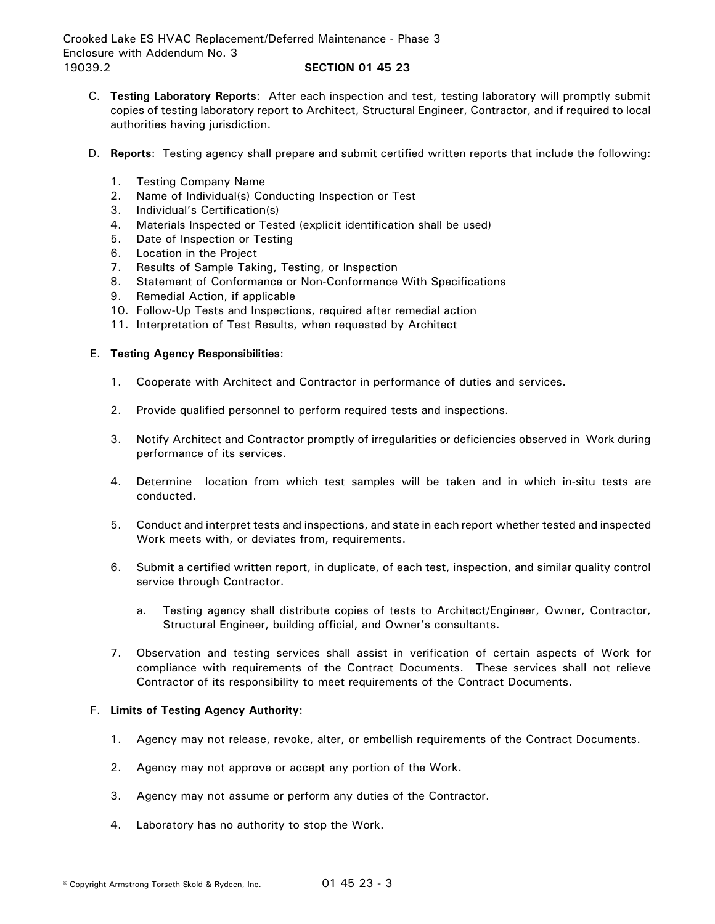- C. **Testing Laboratory Reports**: After each inspection and test, testing laboratory will promptly submit copies of testing laboratory report to Architect, Structural Engineer, Contractor, and if required to local authorities having jurisdiction.
- D. **Reports**: Testing agency shall prepare and submit certified written reports that include the following:
	- 1. Testing Company Name
	- 2. Name of Individual(s) Conducting Inspection or Test
	- 3. Individual's Certification(s)
	- 4. Materials Inspected or Tested (explicit identification shall be used)
	- 5. Date of Inspection or Testing
	- 6. Location in the Project
	- 7. Results of Sample Taking, Testing, or Inspection
	- 8. Statement of Conformance or Non-Conformance With Specifications
	- 9. Remedial Action, if applicable
	- 10. Follow-Up Tests and Inspections, required after remedial action
	- 11. Interpretation of Test Results, when requested by Architect

# E. **Testing Agency Responsibilities**:

- 1. Cooperate with Architect and Contractor in performance of duties and services.
- 2. Provide qualified personnel to perform required tests and inspections.
- 3. Notify Architect and Contractor promptly of irregularities or deficiencies observed in Work during performance of its services.
- 4. Determine location from which test samples will be taken and in which in-situ tests are conducted.
- 5. Conduct and interpret tests and inspections, and state in each report whether tested and inspected Work meets with, or deviates from, requirements.
- 6. Submit a certified written report, in duplicate, of each test, inspection, and similar quality control service through Contractor.
	- a. Testing agency shall distribute copies of tests to Architect/Engineer, Owner, Contractor, Structural Engineer, building official, and Owner's consultants.
- 7. Observation and testing services shall assist in verification of certain aspects of Work for compliance with requirements of the Contract Documents. These services shall not relieve Contractor of its responsibility to meet requirements of the Contract Documents.

# F. **Limits of Testing Agency Authority**:

- 1. Agency may not release, revoke, alter, or embellish requirements of the Contract Documents.
- 2. Agency may not approve or accept any portion of the Work.
- 3. Agency may not assume or perform any duties of the Contractor.
- 4. Laboratory has no authority to stop the Work.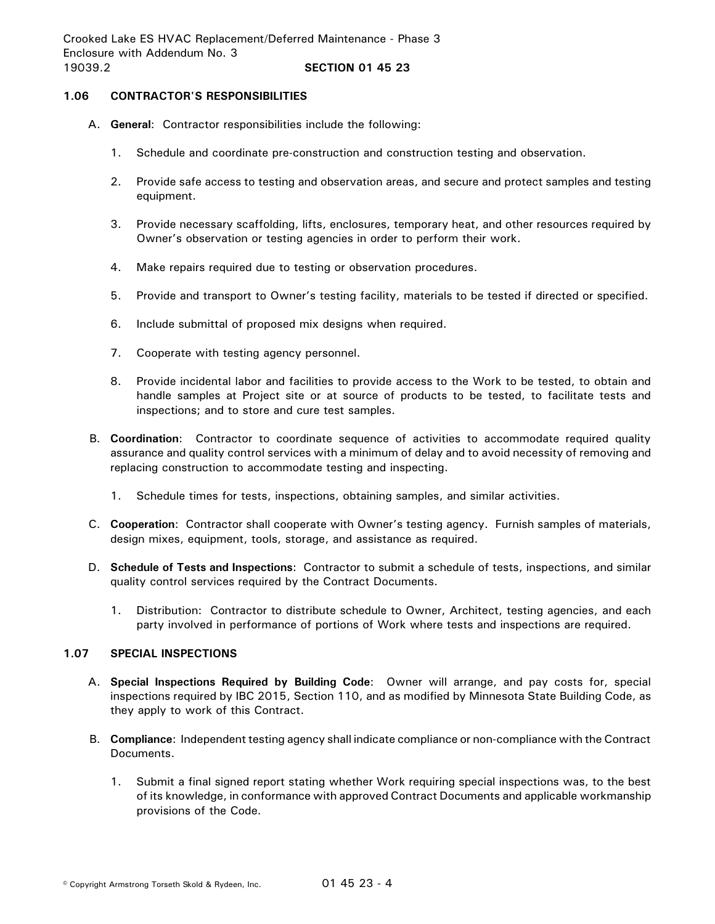# **1.06 CONTRACTOR'S RESPONSIBILITIES**

- A. **General**: Contractor responsibilities include the following:
	- 1. Schedule and coordinate pre-construction and construction testing and observation.
	- 2. Provide safe access to testing and observation areas, and secure and protect samples and testing equipment.
	- 3. Provide necessary scaffolding, lifts, enclosures, temporary heat, and other resources required by Owner's observation or testing agencies in order to perform their work.
	- 4. Make repairs required due to testing or observation procedures.
	- 5. Provide and transport to Owner's testing facility, materials to be tested if directed or specified.
	- 6. Include submittal of proposed mix designs when required.
	- 7. Cooperate with testing agency personnel.
	- 8. Provide incidental labor and facilities to provide access to the Work to be tested, to obtain and handle samples at Project site or at source of products to be tested, to facilitate tests and inspections; and to store and cure test samples.
- B. **Coordination**: Contractor to coordinate sequence of activities to accommodate required quality assurance and quality control services with a minimum of delay and to avoid necessity of removing and replacing construction to accommodate testing and inspecting.
	- 1. Schedule times for tests, inspections, obtaining samples, and similar activities.
- C. **Cooperation**: Contractor shall cooperate with Owner's testing agency. Furnish samples of materials, design mixes, equipment, tools, storage, and assistance as required.
- D. **Schedule of Tests and Inspections**: Contractor to submit a schedule of tests, inspections, and similar quality control services required by the Contract Documents.
	- 1. Distribution: Contractor to distribute schedule to Owner, Architect, testing agencies, and each party involved in performance of portions of Work where tests and inspections are required.

# **1.07 SPECIAL INSPECTIONS**

- A. **Special Inspections Required by Building Code**: Owner will arrange, and pay costs for, special inspections required by IBC 2015, Section 110, and as modified by Minnesota State Building Code, as they apply to work of this Contract.
- B. **Compliance**: Independent testing agency shall indicate compliance or non-compliance with the Contract Documents.
	- 1. Submit a final signed report stating whether Work requiring special inspections was, to the best of its knowledge, in conformance with approved Contract Documents and applicable workmanship provisions of the Code.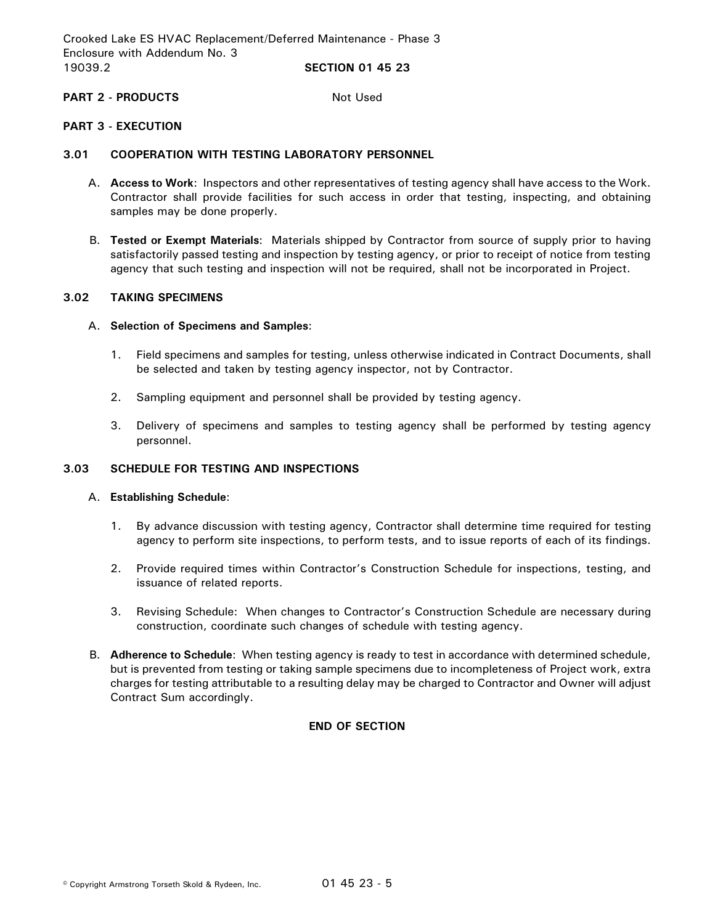# **PART 2 - PRODUCTS** Not Used

# **PART 3 - EXECUTION**

# **3.01 COOPERATION WITH TESTING LABORATORY PERSONNEL**

- A. **Access to Work**: Inspectors and other representatives of testing agency shall have access to the Work. Contractor shall provide facilities for such access in order that testing, inspecting, and obtaining samples may be done properly.
- B. **Tested or Exempt Materials**: Materials shipped by Contractor from source of supply prior to having satisfactorily passed testing and inspection by testing agency, or prior to receipt of notice from testing agency that such testing and inspection will not be required, shall not be incorporated in Project.

# **3.02 TAKING SPECIMENS**

# A. **Selection of Specimens and Samples**:

- 1. Field specimens and samples for testing, unless otherwise indicated in Contract Documents, shall be selected and taken by testing agency inspector, not by Contractor.
- 2. Sampling equipment and personnel shall be provided by testing agency.
- 3. Delivery of specimens and samples to testing agency shall be performed by testing agency personnel.

# **3.03 SCHEDULE FOR TESTING AND INSPECTIONS**

# A. **Establishing Schedule**:

- 1. By advance discussion with testing agency, Contractor shall determine time required for testing agency to perform site inspections, to perform tests, and to issue reports of each of its findings.
- 2. Provide required times within Contractor's Construction Schedule for inspections, testing, and issuance of related reports.
- 3. Revising Schedule: When changes to Contractor's Construction Schedule are necessary during construction, coordinate such changes of schedule with testing agency.
- B. **Adherence to Schedule**: When testing agency is ready to test in accordance with determined schedule, but is prevented from testing or taking sample specimens due to incompleteness of Project work, extra charges for testing attributable to a resulting delay may be charged to Contractor and Owner will adjust Contract Sum accordingly.

# **END OF SECTION**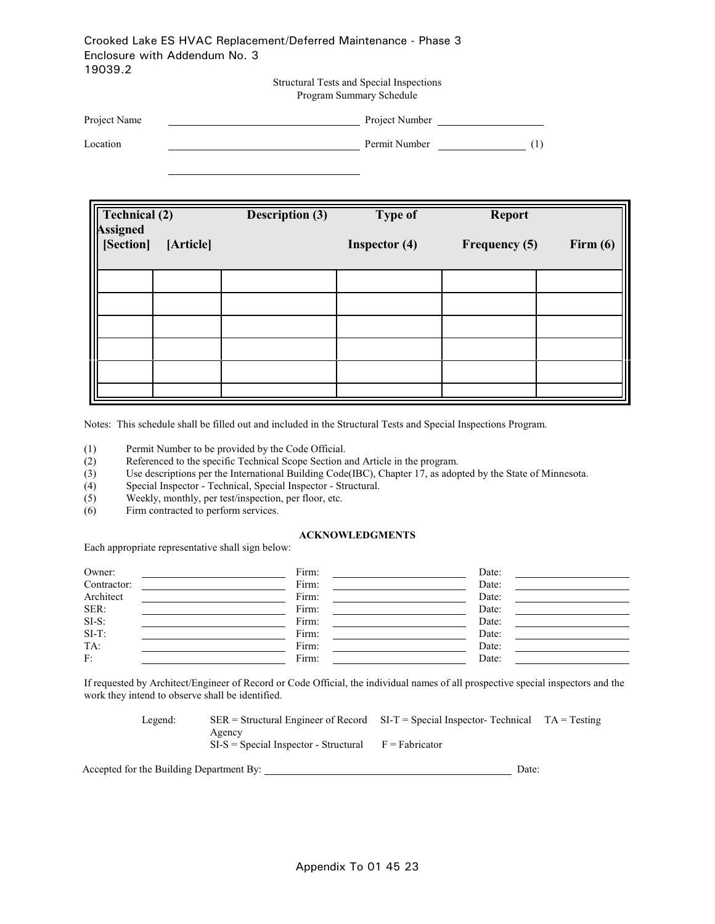# Crooked Lake ES HVAC Replacement/Deferred Maintenance - Phase 3 Enclosure with Addendum No. 3 19039.2

Structural Tests and Special Inspections Program Summary Schedule

| Project Name | Project Number |  |
|--------------|----------------|--|
| Location     | Permit Number  |  |

**Technical (2) Description (3) Type of Report Assigned [Section]** [Article] **Inspector (4)** Frequency (5) Firm (6)

Notes: This schedule shall be filled out and included in the Structural Tests and Special Inspections Program.

(1) Permit Number to be provided by the Code Official.

(2) Referenced to the specific Technical Scope Section and Article in the program.

(3) Use descriptions per the International Building Code(IBC), Chapter 17, as adopted by the State of Minnesota.

(4) Special Inspector - Technical, Special Inspector - Structural.

(5) Weekly, monthly, per test/inspection, per floor, etc.

(6) Firm contracted to perform services.

l

#### **ACKNOWLEDGMENTS**

Each appropriate representative shall sign below:

| Owner:      | Firm: | Date: |
|-------------|-------|-------|
| Contractor: | Firm: | Date: |
| Architect   | Firm: | Date: |
| SER:        | Firm: | Date: |
| $SI-S$ :    | Firm: | Date: |
| $SI-T:$     | Firm: | Date: |
| TA:         | Firm: | Date: |
| F:          | Firm: | Date: |

If requested by Architect/Engineer of Record or Code Official, the individual names of all prospective special inspectors and the work they intend to observe shall be identified.

| Agency                                                   | Legend: | $SER = Structural$ Engineer of Record $SI-T = Special$ Inspector-Technical $TA = Testing$ |  |
|----------------------------------------------------------|---------|-------------------------------------------------------------------------------------------|--|
| $SI-S = Special Inspector - Structural$ $F = Fabricator$ |         |                                                                                           |  |

Accepted for the Building Department By: Date: Date: Date: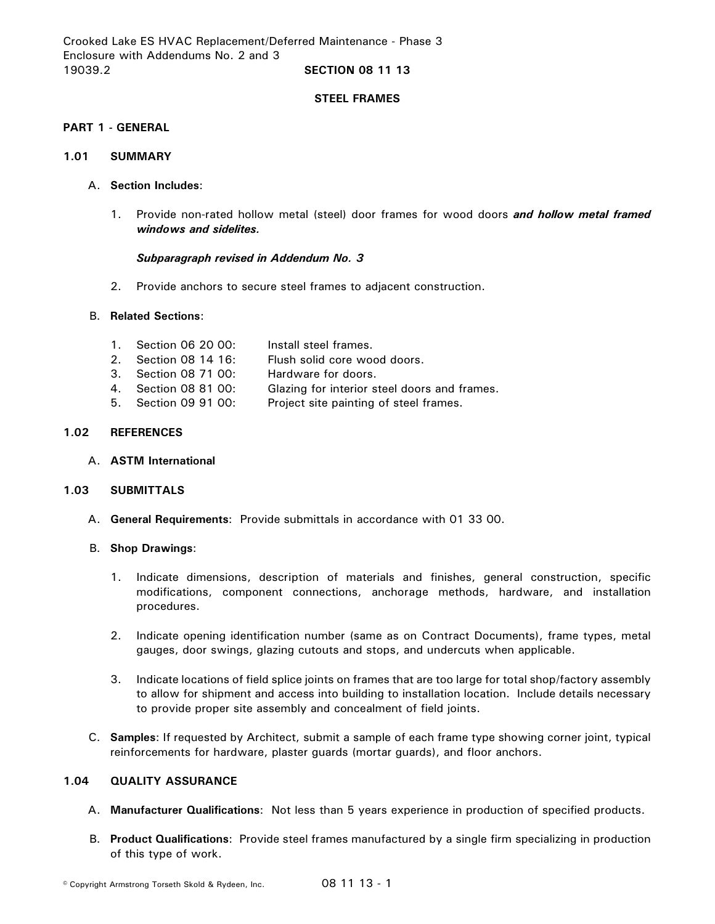#### **STEEL FRAMES**

### **PART 1 - GENERAL**

### **1.01 SUMMARY**

### A. **Section Includes**:

1. Provide non-rated hollow metal (steel) door frames for wood doors *and hollow metal framed windows and sidelites.*

### *Subparagraph revised in Addendum No. 3*

2. Provide anchors to secure steel frames to adjacent construction.

### B. **Related Sections**:

| 1. Section 06 20 00: | Install steel frames.                        |
|----------------------|----------------------------------------------|
| 2. Section 08 14 16: | Flush solid core wood doors.                 |
| 3. Section 08 71 00: | Hardware for doors.                          |
| 4. Section 08 81 00: | Glazing for interior steel doors and frames. |
| 5. Section 09 91 00: | Project site painting of steel frames.       |

# **1.02 REFERENCES**

A. **ASTM International**

# **1.03 SUBMITTALS**

A. **General Requirements**: Provide submittals in accordance with 01 33 00.

#### B. **Shop Drawings**:

- 1. Indicate dimensions, description of materials and finishes, general construction, specific modifications, component connections, anchorage methods, hardware, and installation procedures.
- 2. Indicate opening identification number (same as on Contract Documents), frame types, metal gauges, door swings, glazing cutouts and stops, and undercuts when applicable.
- 3. Indicate locations of field splice joints on frames that are too large for total shop/factory assembly to allow for shipment and access into building to installation location. Include details necessary to provide proper site assembly and concealment of field joints.
- C. **Samples**: If requested by Architect, submit a sample of each frame type showing corner joint, typical reinforcements for hardware, plaster guards (mortar guards), and floor anchors.

# **1.04 QUALITY ASSURANCE**

- A. **Manufacturer Qualifications**: Not less than 5 years experience in production of specified products.
- B. **Product Qualifications**: Provide steel frames manufactured by a single firm specializing in production of this type of work.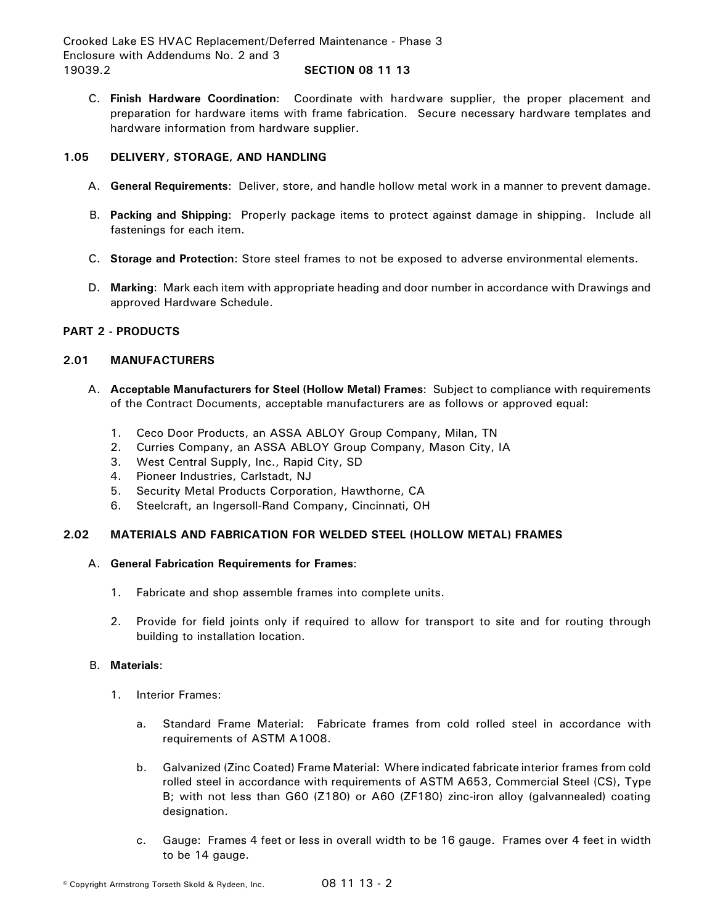Crooked Lake ES HVAC Replacement/Deferred Maintenance - Phase 3 Enclosure with Addendums No. 2 and 3 19039.2 **SECTION 08 11 13**

C. **Finish Hardware Coordination**: Coordinate with hardware supplier, the proper placement and preparation for hardware items with frame fabrication. Secure necessary hardware templates and hardware information from hardware supplier.

# **1.05 DELIVERY, STORAGE, AND HANDLING**

- A. **General Requirements**: Deliver, store, and handle hollow metal work in a manner to prevent damage.
- B. **Packing and Shipping**: Properly package items to protect against damage in shipping. Include all fastenings for each item.
- C. **Storage and Protection**: Store steel frames to not be exposed to adverse environmental elements.
- D. **Marking**: Mark each item with appropriate heading and door number in accordance with Drawings and approved Hardware Schedule.

# **PART 2 - PRODUCTS**

# **2.01 MANUFACTURERS**

- A. **Acceptable Manufacturers for Steel (Hollow Metal) Frames**: Subject to compliance with requirements of the Contract Documents, acceptable manufacturers are as follows or approved equal:
	- 1. Ceco Door Products, an ASSA ABLOY Group Company, Milan, TN
	- 2. Curries Company, an ASSA ABLOY Group Company, Mason City, IA
	- 3. West Central Supply, Inc., Rapid City, SD
	- 4. Pioneer Industries, Carlstadt, NJ
	- 5. Security Metal Products Corporation, Hawthorne, CA
	- 6. Steelcraft, an Ingersoll-Rand Company, Cincinnati, OH

# **2.02 MATERIALS AND FABRICATION FOR WELDED STEEL (HOLLOW METAL) FRAMES**

# A. **General Fabrication Requirements for Frames**:

- 1. Fabricate and shop assemble frames into complete units.
- 2. Provide for field joints only if required to allow for transport to site and for routing through building to installation location.

# B. **Materials**:

- 1. Interior Frames:
	- a. Standard Frame Material: Fabricate frames from cold rolled steel in accordance with requirements of ASTM A1008.
	- b. Galvanized (Zinc Coated) Frame Material: Where indicated fabricate interior frames from cold rolled steel in accordance with requirements of ASTM A653, Commercial Steel (CS), Type B; with not less than G60 (Z180) or A60 (ZF180) zinc-iron alloy (galvannealed) coating designation.
	- c. Gauge: Frames 4 feet or less in overall width to be 16 gauge. Frames over 4 feet in width to be 14 gauge.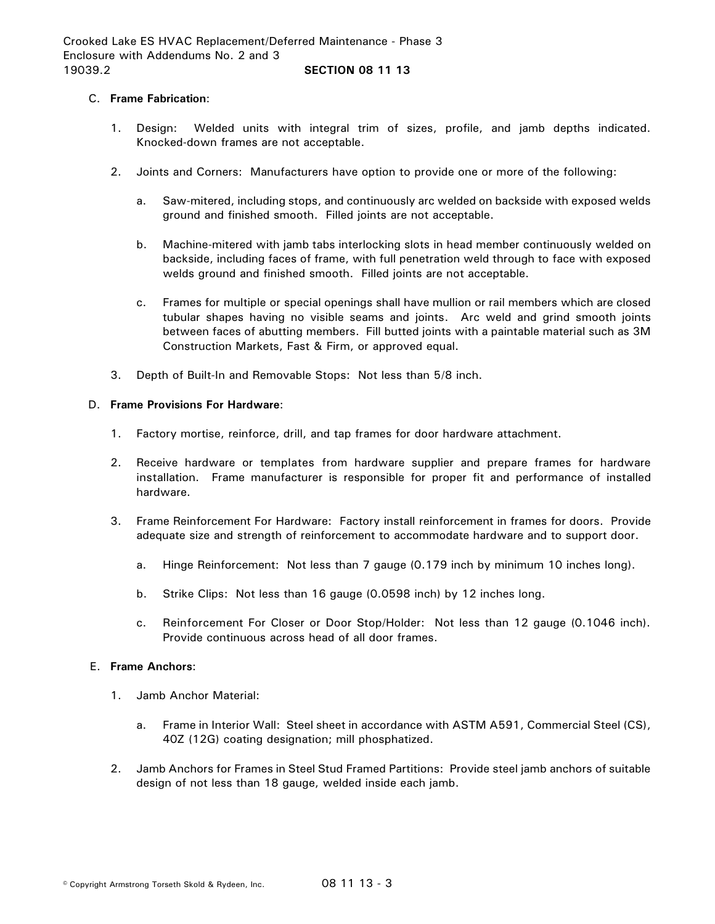## C. **Frame Fabrication**:

- 1. Design: Welded units with integral trim of sizes, profile, and jamb depths indicated. Knocked-down frames are not acceptable.
- 2. Joints and Corners: Manufacturers have option to provide one or more of the following:
	- a. Saw-mitered, including stops, and continuously arc welded on backside with exposed welds ground and finished smooth. Filled joints are not acceptable.
	- b. Machine-mitered with jamb tabs interlocking slots in head member continuously welded on backside, including faces of frame, with full penetration weld through to face with exposed welds ground and finished smooth. Filled joints are not acceptable.
	- c. Frames for multiple or special openings shall have mullion or rail members which are closed tubular shapes having no visible seams and joints. Arc weld and grind smooth joints between faces of abutting members. Fill butted joints with a paintable material such as 3M Construction Markets, Fast & Firm, or approved equal.
- 3. Depth of Built-In and Removable Stops: Not less than 5/8 inch.

### D. **Frame Provisions For Hardware**:

- 1. Factory mortise, reinforce, drill, and tap frames for door hardware attachment.
- 2. Receive hardware or templates from hardware supplier and prepare frames for hardware installation. Frame manufacturer is responsible for proper fit and performance of installed hardware.
- 3. Frame Reinforcement For Hardware: Factory install reinforcement in frames for doors. Provide adequate size and strength of reinforcement to accommodate hardware and to support door.
	- a. Hinge Reinforcement: Not less than 7 gauge (0.179 inch by minimum 10 inches long).
	- b. Strike Clips: Not less than 16 gauge (0.0598 inch) by 12 inches long.
	- c. Reinforcement For Closer or Door Stop/Holder: Not less than 12 gauge (0.1046 inch). Provide continuous across head of all door frames.

# E. **Frame Anchors**:

- 1. Jamb Anchor Material:
	- a. Frame in Interior Wall: Steel sheet in accordance with ASTM A591, Commercial Steel (CS), 40Z (12G) coating designation; mill phosphatized.
- 2. Jamb Anchors for Frames in Steel Stud Framed Partitions: Provide steel jamb anchors of suitable design of not less than 18 gauge, welded inside each jamb.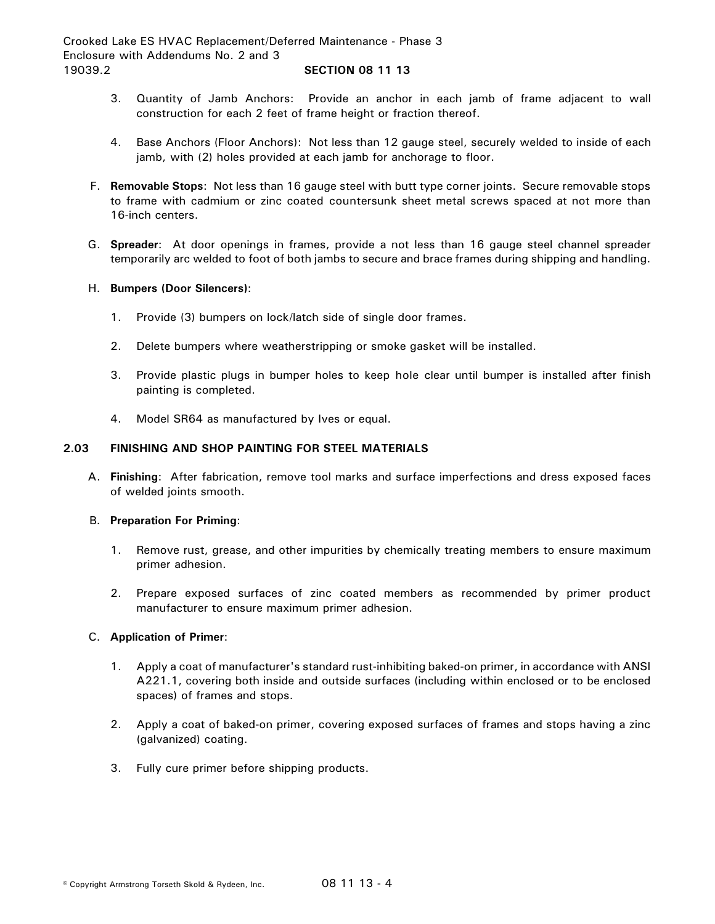- 3. Quantity of Jamb Anchors: Provide an anchor in each jamb of frame adjacent to wall construction for each 2 feet of frame height or fraction thereof.
- 4. Base Anchors (Floor Anchors): Not less than 12 gauge steel, securely welded to inside of each jamb, with (2) holes provided at each jamb for anchorage to floor.
- F. **Removable Stops**: Not less than 16 gauge steel with butt type corner joints. Secure removable stops to frame with cadmium or zinc coated countersunk sheet metal screws spaced at not more than 16-inch centers.
- G. **Spreader**: At door openings in frames, provide a not less than 16 gauge steel channel spreader temporarily arc welded to foot of both jambs to secure and brace frames during shipping and handling.

# H. **Bumpers (Door Silencers)**:

- 1. Provide (3) bumpers on lock/latch side of single door frames.
- 2. Delete bumpers where weatherstripping or smoke gasket will be installed.
- 3. Provide plastic plugs in bumper holes to keep hole clear until bumper is installed after finish painting is completed.
- 4. Model SR64 as manufactured by Ives or equal.

# **2.03 FINISHING AND SHOP PAINTING FOR STEEL MATERIALS**

A. **Finishing**: After fabrication, remove tool marks and surface imperfections and dress exposed faces of welded joints smooth.

#### B. **Preparation For Priming**:

- 1. Remove rust, grease, and other impurities by chemically treating members to ensure maximum primer adhesion.
- 2. Prepare exposed surfaces of zinc coated members as recommended by primer product manufacturer to ensure maximum primer adhesion.

#### C. **Application of Primer**:

- 1. Apply a coat of manufacturer's standard rust-inhibiting baked-on primer, in accordance with ANSI A221.1, covering both inside and outside surfaces (including within enclosed or to be enclosed spaces) of frames and stops.
- 2. Apply a coat of baked-on primer, covering exposed surfaces of frames and stops having a zinc (galvanized) coating.
- 3. Fully cure primer before shipping products.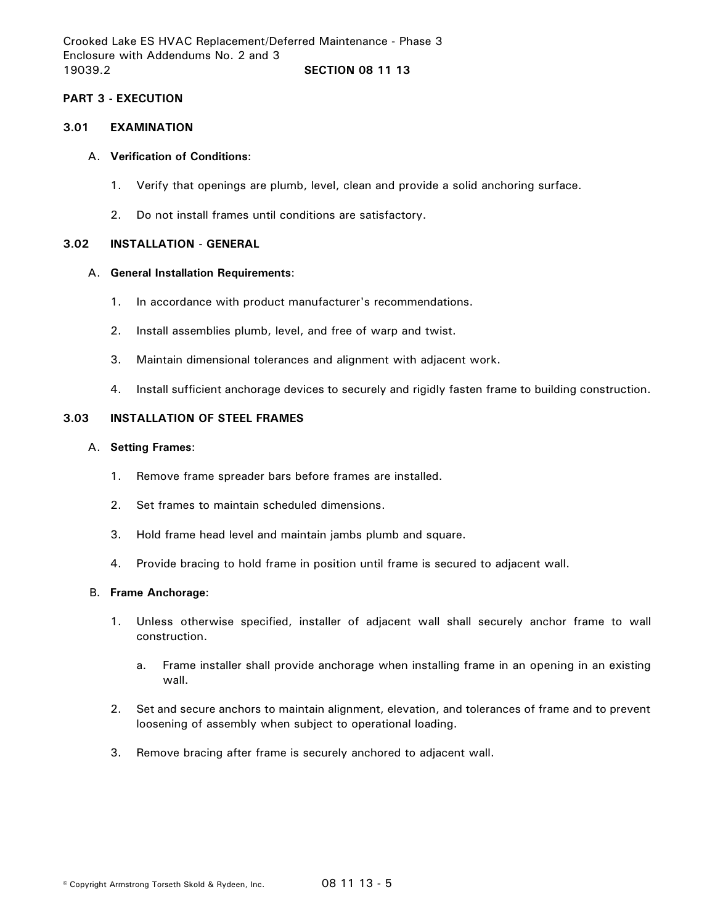# **PART 3 - EXECUTION**

#### **3.01 EXAMINATION**

#### A. **Verification of Conditions**:

- 1. Verify that openings are plumb, level, clean and provide a solid anchoring surface.
- 2. Do not install frames until conditions are satisfactory.

#### **3.02 INSTALLATION - GENERAL**

#### A. **General Installation Requirements**:

- 1. In accordance with product manufacturer's recommendations.
- 2. Install assemblies plumb, level, and free of warp and twist.
- 3. Maintain dimensional tolerances and alignment with adjacent work.
- 4. Install sufficient anchorage devices to securely and rigidly fasten frame to building construction.

#### **3.03 INSTALLATION OF STEEL FRAMES**

#### A. **Setting Frames**:

- 1. Remove frame spreader bars before frames are installed.
- 2. Set frames to maintain scheduled dimensions.
- 3. Hold frame head level and maintain jambs plumb and square.
- 4. Provide bracing to hold frame in position until frame is secured to adjacent wall.

#### B. **Frame Anchorage**:

- 1. Unless otherwise specified, installer of adjacent wall shall securely anchor frame to wall construction.
	- a. Frame installer shall provide anchorage when installing frame in an opening in an existing wall.
- 2. Set and secure anchors to maintain alignment, elevation, and tolerances of frame and to prevent loosening of assembly when subject to operational loading.
- 3. Remove bracing after frame is securely anchored to adjacent wall.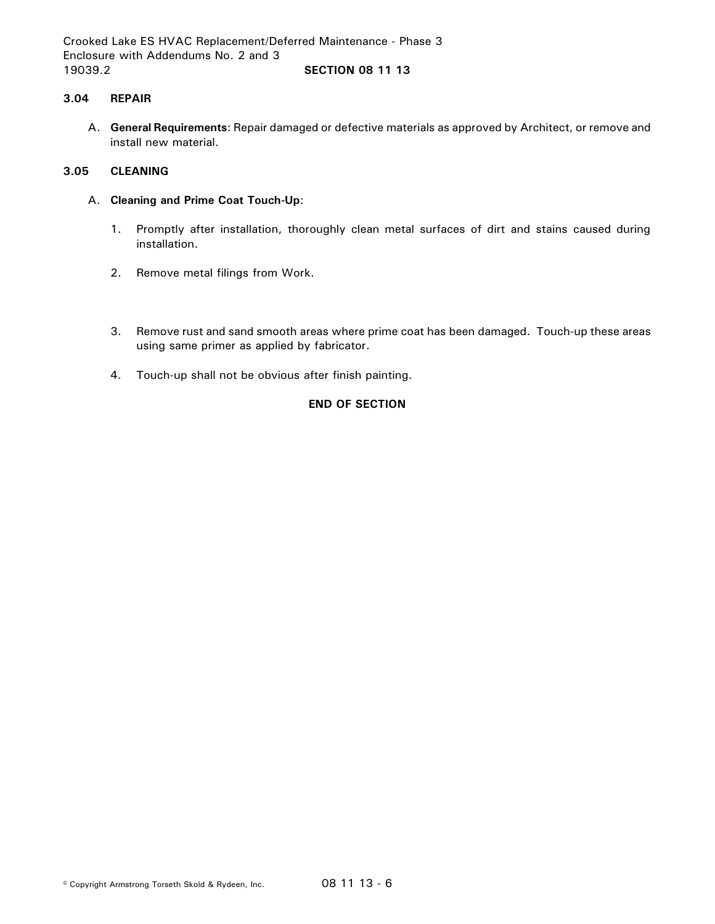## **3.04 REPAIR**

A. **General Requirements**: Repair damaged or defective materials as approved by Architect, or remove and install new material.

# **3.05 CLEANING**

- A. **Cleaning and Prime Coat Touch-Up**:
	- 1. Promptly after installation, thoroughly clean metal surfaces of dirt and stains caused during installation.
	- 2. Remove metal filings from Work.
	- 3. Remove rust and sand smooth areas where prime coat has been damaged. Touch-up these areas using same primer as applied by fabricator.
	- 4. Touch-up shall not be obvious after finish painting.

# **END OF SECTION**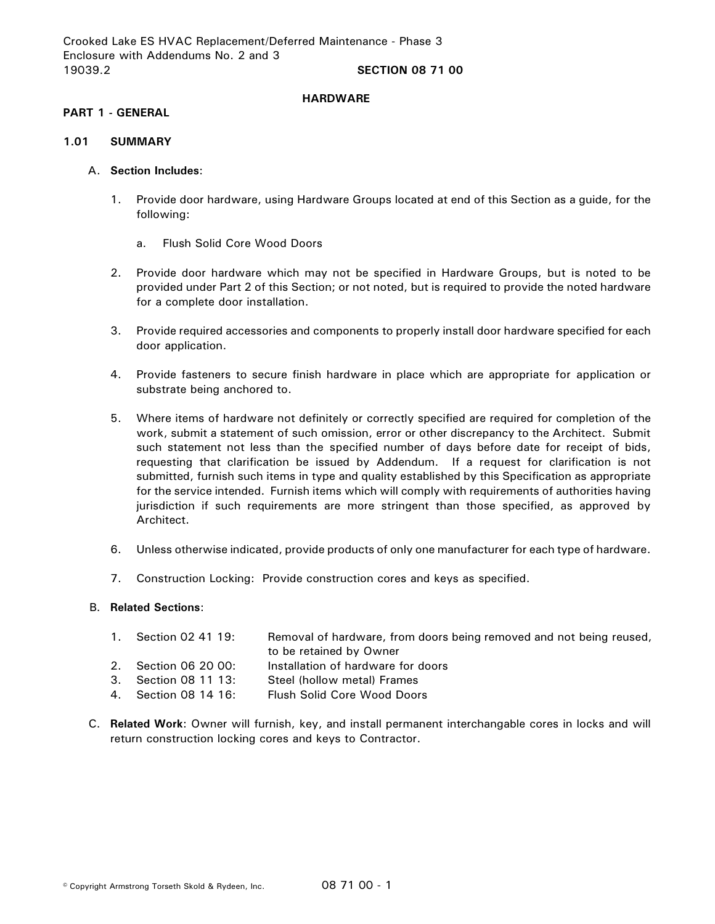#### **HARDWARE**

#### **PART 1 - GENERAL**

#### **1.01 SUMMARY**

### A. **Section Includes**:

- 1. Provide door hardware, using Hardware Groups located at end of this Section as a guide, for the following:
	- a. Flush Solid Core Wood Doors
- 2. Provide door hardware which may not be specified in Hardware Groups, but is noted to be provided under Part 2 of this Section; or not noted, but is required to provide the noted hardware for a complete door installation.
- 3. Provide required accessories and components to properly install door hardware specified for each door application.
- 4. Provide fasteners to secure finish hardware in place which are appropriate for application or substrate being anchored to.
- 5. Where items of hardware not definitely or correctly specified are required for completion of the work, submit a statement of such omission, error or other discrepancy to the Architect. Submit such statement not less than the specified number of days before date for receipt of bids, requesting that clarification be issued by Addendum. If a request for clarification is not submitted, furnish such items in type and quality established by this Specification as appropriate for the service intended. Furnish items which will comply with requirements of authorities having jurisdiction if such requirements are more stringent than those specified, as approved by Architect.
- 6. Unless otherwise indicated, provide products of only one manufacturer for each type of hardware.
- 7. Construction Locking: Provide construction cores and keys as specified.

# B. **Related Sections**:

| 1. Section 02 41 19:                         | Removal of hardware, from doors being removed and not being reused, |
|----------------------------------------------|---------------------------------------------------------------------|
|                                              | to be retained by Owner                                             |
| 2. Section 06 20 00:                         | Installation of hardware for doors                                  |
| 3. Section 08 11 13:                         | Steel (hollow metal) Frames                                         |
| $\Lambda$ Continue 00 1 $\Lambda$ 1 $\Omega$ | Elush Colid Corp Wood Doors                                         |

- 4. Section 08 14 16: Flush Solid Core Wood Doors
- C. **Related Work**: Owner will furnish, key, and install permanent interchangable cores in locks and will return construction locking cores and keys to Contractor.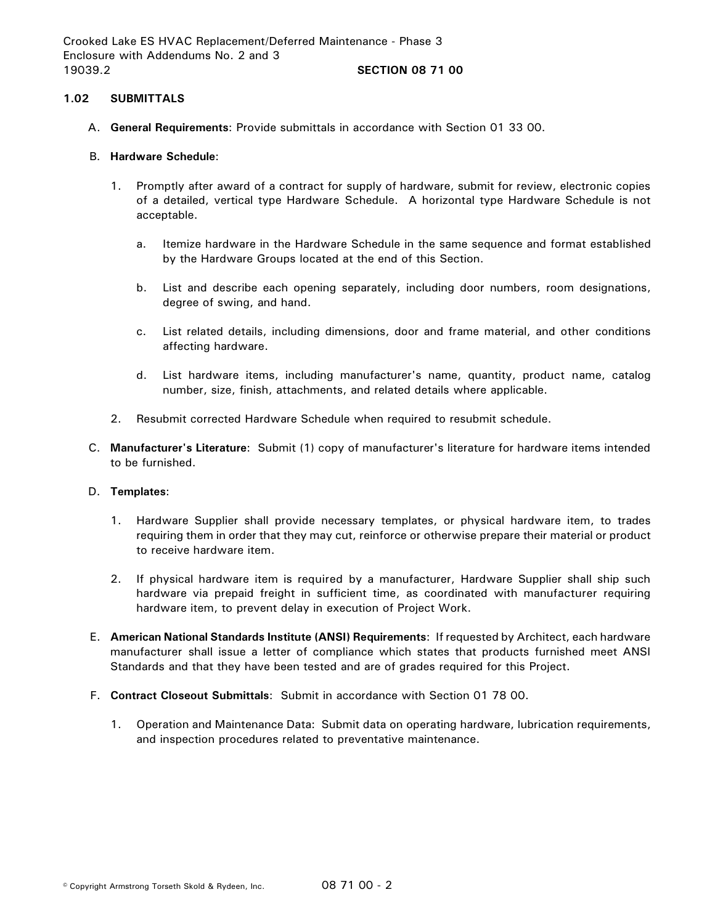# **1.02 SUBMITTALS**

- A. **General Requirements**: Provide submittals in accordance with Section 01 33 00.
- B. **Hardware Schedule**:
	- 1. Promptly after award of a contract for supply of hardware, submit for review, electronic copies of a detailed, vertical type Hardware Schedule. A horizontal type Hardware Schedule is not acceptable.
		- a. Itemize hardware in the Hardware Schedule in the same sequence and format established by the Hardware Groups located at the end of this Section.
		- b. List and describe each opening separately, including door numbers, room designations, degree of swing, and hand.
		- c. List related details, including dimensions, door and frame material, and other conditions affecting hardware.
		- d. List hardware items, including manufacturer's name, quantity, product name, catalog number, size, finish, attachments, and related details where applicable.
	- 2. Resubmit corrected Hardware Schedule when required to resubmit schedule.
- C. **Manufacturer's Literature**: Submit (1) copy of manufacturer's literature for hardware items intended to be furnished.

# D. **Templates**:

- 1. Hardware Supplier shall provide necessary templates, or physical hardware item, to trades requiring them in order that they may cut, reinforce or otherwise prepare their material or product to receive hardware item.
- 2. If physical hardware item is required by a manufacturer, Hardware Supplier shall ship such hardware via prepaid freight in sufficient time, as coordinated with manufacturer requiring hardware item, to prevent delay in execution of Project Work.
- E. **American National Standards Institute (ANSI) Requirements**: If requested by Architect, each hardware manufacturer shall issue a letter of compliance which states that products furnished meet ANSI Standards and that they have been tested and are of grades required for this Project.
- F. **Contract Closeout Submittals**: Submit in accordance with Section 01 78 00.
	- 1. Operation and Maintenance Data: Submit data on operating hardware, lubrication requirements, and inspection procedures related to preventative maintenance.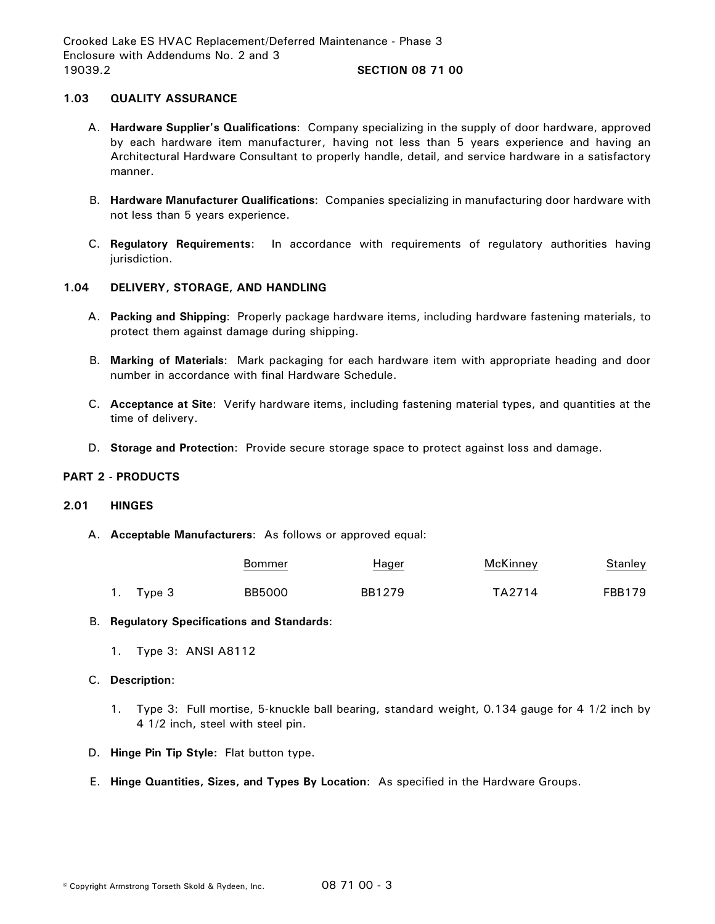# **1.03 QUALITY ASSURANCE**

- A. **Hardware Supplier's Qualifications**: Company specializing in the supply of door hardware, approved by each hardware item manufacturer, having not less than 5 years experience and having an Architectural Hardware Consultant to properly handle, detail, and service hardware in a satisfactory manner.
- B. **Hardware Manufacturer Qualifications**: Companies specializing in manufacturing door hardware with not less than 5 years experience.
- C. **Regulatory Requirements**: In accordance with requirements of regulatory authorities having jurisdiction.

# **1.04 DELIVERY, STORAGE, AND HANDLING**

- A. **Packing and Shipping**: Properly package hardware items, including hardware fastening materials, to protect them against damage during shipping.
- B. **Marking of Materials**: Mark packaging for each hardware item with appropriate heading and door number in accordance with final Hardware Schedule.
- C. **Acceptance at Site**: Verify hardware items, including fastening material types, and quantities at the time of delivery.
- D. **Storage and Protection**: Provide secure storage space to protect against loss and damage.

# **PART 2 - PRODUCTS**

# **2.01 HINGES**

A. **Acceptable Manufacturers**: As follows or approved equal:

|             | Bommer        | <u>Hager</u> | McKinney | Stanley       |
|-------------|---------------|--------------|----------|---------------|
| 1. Type $3$ | <b>BB5000</b> | BB1279       | TA2714   | <b>FBB179</b> |

# B. **Regulatory Specifications and Standards**:

1. Type 3: ANSI A8112

# C. **Description**:

- 1. Type 3: Full mortise, 5-knuckle ball bearing, standard weight, 0.134 gauge for 4 1/2 inch by 4 1/2 inch, steel with steel pin.
- D. **Hinge Pin Tip Style:** Flat button type.
- E. **Hinge Quantities, Sizes, and Types By Location**: As specified in the Hardware Groups.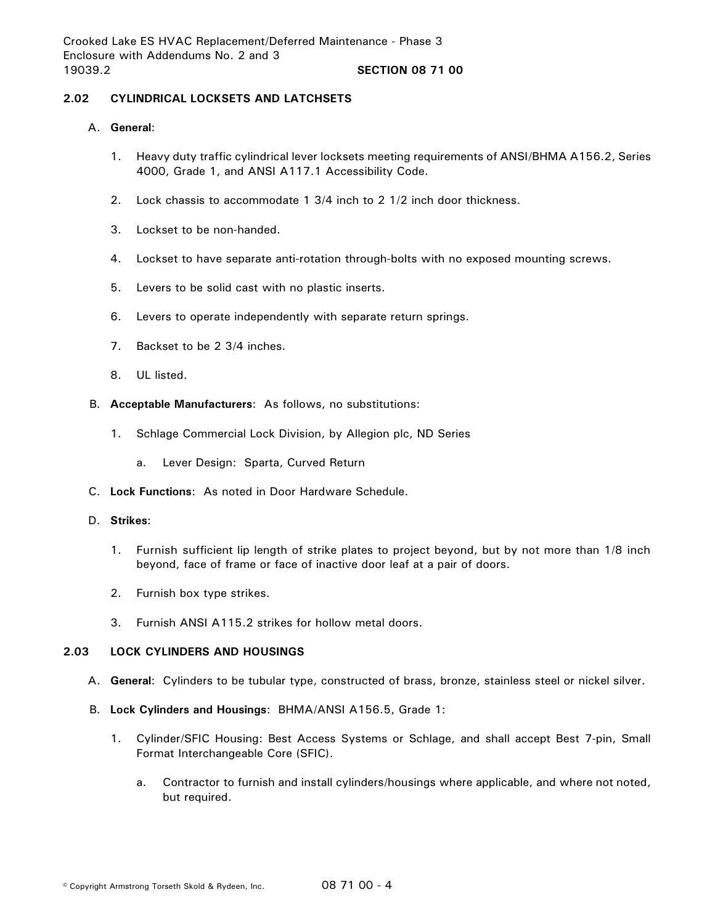# **2.02 CYLINDRICAL LOCKSETS AND LATCHSETS**

# A. **General**:

- 1. Heavy duty traffic cylindrical lever locksets meeting requirements of ANSI/BHMA A156.2, Series 4000, Grade 1, and ANSI A117.1 Accessibility Code.
- 2. Lock chassis to accommodate 1 3/4 inch to 2 1/2 inch door thickness.
- 3. Lockset to be non-handed.
- 4. Lockset to have separate anti-rotation through-bolts with no exposed mounting screws.
- 5. Levers to be solid cast with no plastic inserts.
- 6. Levers to operate independently with separate return springs.
- 7. Backset to be 2 3/4 inches.
- 8. UL listed.
- B. **Acceptable Manufacturers**: As follows, no substitutions:
	- 1. Schlage Commercial Lock Division, by Allegion plc, ND Series
		- a. Lever Design: Sparta, Curved Return
- C. **Lock Functions**: As noted in Door Hardware Schedule.
- D. **Strikes**:
	- 1. Furnish sufficient lip length of strike plates to project beyond, but by not more than 1/8 inch beyond, face of frame or face of inactive door leaf at a pair of doors.
	- 2. Furnish box type strikes.
	- 3. Furnish ANSI A115.2 strikes for hollow metal doors.

# **2.03 LOCK CYLINDERS AND HOUSINGS**

- A. **General**: Cylinders to be tubular type, constructed of brass, bronze, stainless steel or nickel silver.
- B. **Lock Cylinders and Housings**: BHMA/ANSI A156.5, Grade 1:
	- 1. Cylinder/SFIC Housing: Best Access Systems or Schlage, and shall accept Best 7-pin, Small Format Interchangeable Core (SFIC).
		- a. Contractor to furnish and install cylinders/housings where applicable, and where not noted, but required.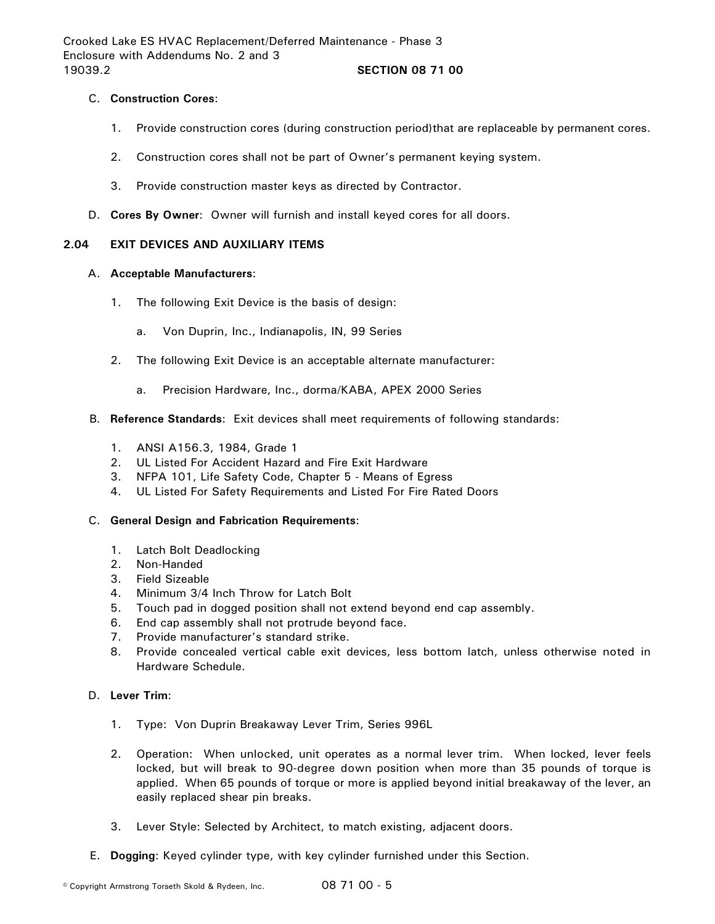Crooked Lake ES HVAC Replacement/Deferred Maintenance - Phase 3 Enclosure with Addendums No. 2 and 3 19039.2 **SECTION 08 71 00**

# C. **Construction Cores**:

- 1. Provide construction cores (during construction period)that are replaceable by permanent cores.
- 2. Construction cores shall not be part of Owner's permanent keying system.
- 3. Provide construction master keys as directed by Contractor.
- D. **Cores By Owner**: Owner will furnish and install keyed cores for all doors.

# **2.04 EXIT DEVICES AND AUXILIARY ITEMS**

# A. **Acceptable Manufacturers**:

- 1. The following Exit Device is the basis of design:
	- a. Von Duprin, Inc., Indianapolis, IN, 99 Series
- 2. The following Exit Device is an acceptable alternate manufacturer:
	- a. Precision Hardware, Inc., dorma/KABA, APEX 2000 Series

### B. **Reference Standards**: Exit devices shall meet requirements of following standards:

- 1. ANSI A156.3, 1984, Grade 1
- 2. UL Listed For Accident Hazard and Fire Exit Hardware
- 3. NFPA 101, Life Safety Code, Chapter 5 Means of Egress
- 4. UL Listed For Safety Requirements and Listed For Fire Rated Doors

#### C. **General Design and Fabrication Requirements**:

- 1. Latch Bolt Deadlocking
- 2. Non-Handed
- 3. Field Sizeable
- 4. Minimum 3/4 Inch Throw for Latch Bolt
- 5. Touch pad in dogged position shall not extend beyond end cap assembly.
- 6. End cap assembly shall not protrude beyond face.
- 7. Provide manufacturer's standard strike.
- 8. Provide concealed vertical cable exit devices, less bottom latch, unless otherwise noted in Hardware Schedule.

# D. **Lever Trim**:

- 1. Type: Von Duprin Breakaway Lever Trim, Series 996L
- 2. Operation: When unlocked, unit operates as a normal lever trim. When locked, lever feels locked, but will break to 90-degree down position when more than 35 pounds of torque is applied. When 65 pounds of torque or more is applied beyond initial breakaway of the lever, an easily replaced shear pin breaks.
- 3. Lever Style: Selected by Architect, to match existing, adjacent doors.
- E. **Dogging**: Keyed cylinder type, with key cylinder furnished under this Section.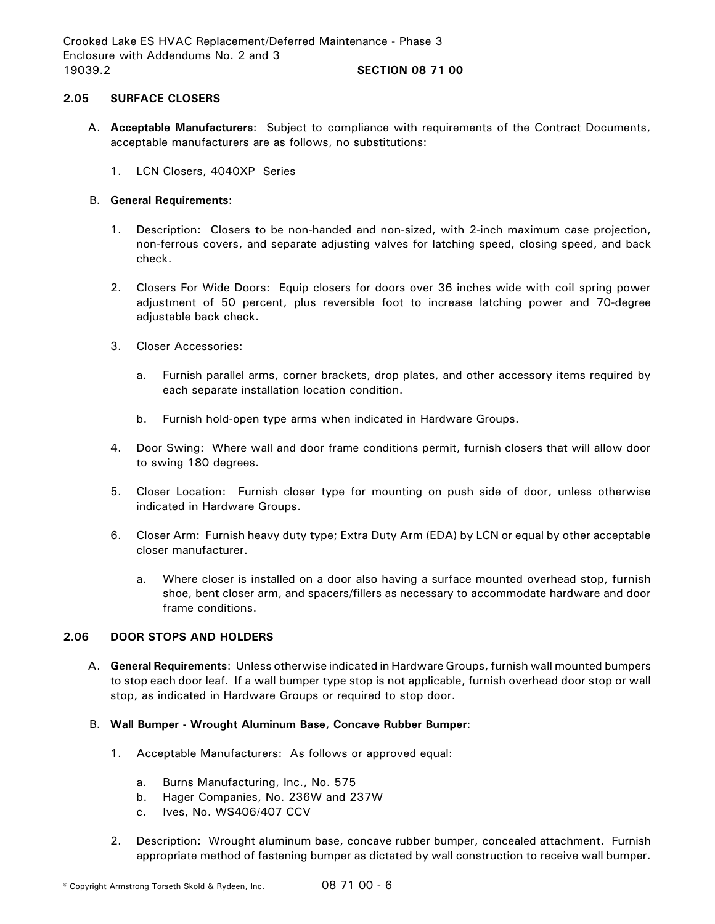# **2.05 SURFACE CLOSERS**

- A. **Acceptable Manufacturers**: Subject to compliance with requirements of the Contract Documents, acceptable manufacturers are as follows, no substitutions:
	- 1. LCN Closers, 4040XP Series

# B. **General Requirements**:

- 1. Description: Closers to be non-handed and non-sized, with 2-inch maximum case projection, non-ferrous covers, and separate adjusting valves for latching speed, closing speed, and back check.
- 2. Closers For Wide Doors: Equip closers for doors over 36 inches wide with coil spring power adjustment of 50 percent, plus reversible foot to increase latching power and 70-degree adjustable back check.
- 3. Closer Accessories:
	- a. Furnish parallel arms, corner brackets, drop plates, and other accessory items required by each separate installation location condition.
	- b. Furnish hold-open type arms when indicated in Hardware Groups.
- 4. Door Swing: Where wall and door frame conditions permit, furnish closers that will allow door to swing 180 degrees.
- 5. Closer Location: Furnish closer type for mounting on push side of door, unless otherwise indicated in Hardware Groups.
- 6. Closer Arm: Furnish heavy duty type; Extra Duty Arm (EDA) by LCN or equal by other acceptable closer manufacturer.
	- a. Where closer is installed on a door also having a surface mounted overhead stop, furnish shoe, bent closer arm, and spacers/fillers as necessary to accommodate hardware and door frame conditions.

# **2.06 DOOR STOPS AND HOLDERS**

A. **General Requirements**: Unless otherwise indicated in Hardware Groups, furnish wall mounted bumpers to stop each door leaf. If a wall bumper type stop is not applicable, furnish overhead door stop or wall stop, as indicated in Hardware Groups or required to stop door.

# B. **Wall Bumper - Wrought Aluminum Base, Concave Rubber Bumper**:

- 1. Acceptable Manufacturers: As follows or approved equal:
	- a. Burns Manufacturing, Inc., No. 575
	- b. Hager Companies, No. 236W and 237W
	- c. Ives, No. WS406/407 CCV
- 2. Description: Wrought aluminum base, concave rubber bumper, concealed attachment. Furnish appropriate method of fastening bumper as dictated by wall construction to receive wall bumper.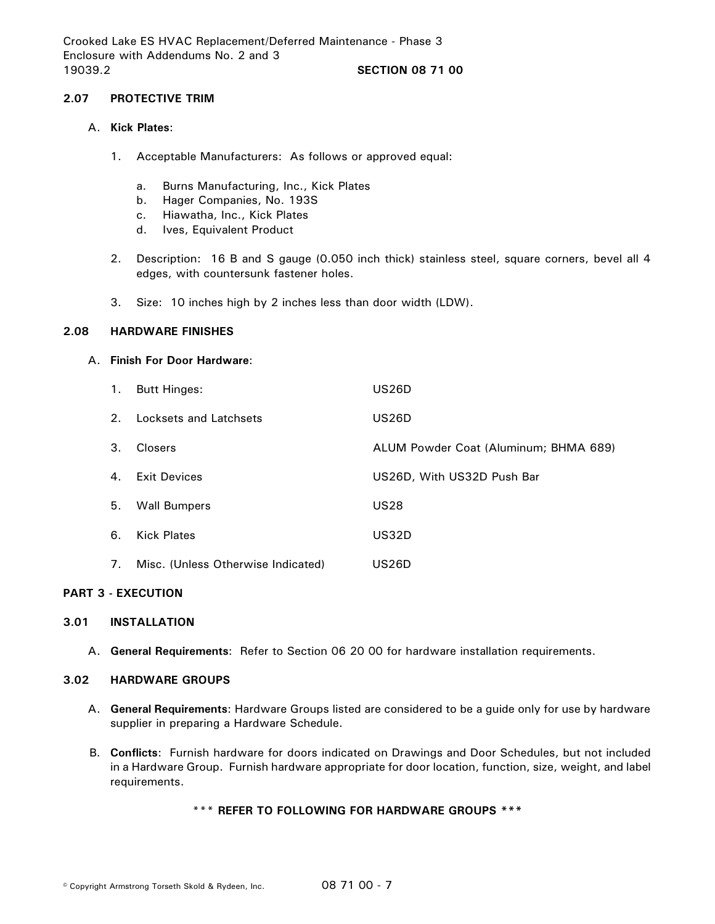Crooked Lake ES HVAC Replacement/Deferred Maintenance - Phase 3 Enclosure with Addendums No. 2 and 3 19039.2 **SECTION 08 71 00**

## **2.07 PROTECTIVE TRIM**

# A. **Kick Plates**:

- 1. Acceptable Manufacturers: As follows or approved equal:
	- a. Burns Manufacturing, Inc., Kick Plates
	- b. Hager Companies, No. 193S
	- c. Hiawatha, Inc., Kick Plates
	- d. Ives, Equivalent Product
- 2. Description: 16 B and S gauge (0.050 inch thick) stainless steel, square corners, bevel all 4 edges, with countersunk fastener holes.
- 3. Size: 10 inches high by 2 inches less than door width (LDW).

#### **2.08 HARDWARE FINISHES**

### A. **Finish For Door Hardware**:

| 1. | <b>Butt Hinges:</b>                | US26D                                 |
|----|------------------------------------|---------------------------------------|
|    | 2. Locksets and Latchsets          | US26D                                 |
| 3. | Closers                            | ALUM Powder Coat (Aluminum; BHMA 689) |
| 4. | <b>Exit Devices</b>                | US26D, With US32D Push Bar            |
| 5. | <b>Wall Bumpers</b>                | <b>US28</b>                           |
| 6. | <b>Kick Plates</b>                 | US32D                                 |
| 7. | Misc. (Unless Otherwise Indicated) | US26D                                 |

# **PART 3 - EXECUTION**

# **3.01 INSTALLATION**

A. **General Requirements**: Refer to Section 06 20 00 for hardware installation requirements.

# **3.02 HARDWARE GROUPS**

- A. **General Requirements**: Hardware Groups listed are considered to be a guide only for use by hardware supplier in preparing a Hardware Schedule.
- B. **Conflicts**: Furnish hardware for doors indicated on Drawings and Door Schedules, but not included in a Hardware Group. Furnish hardware appropriate for door location, function, size, weight, and label requirements.

# \*\*\* **REFER TO FOLLOWING FOR HARDWARE GROUPS \*\*\***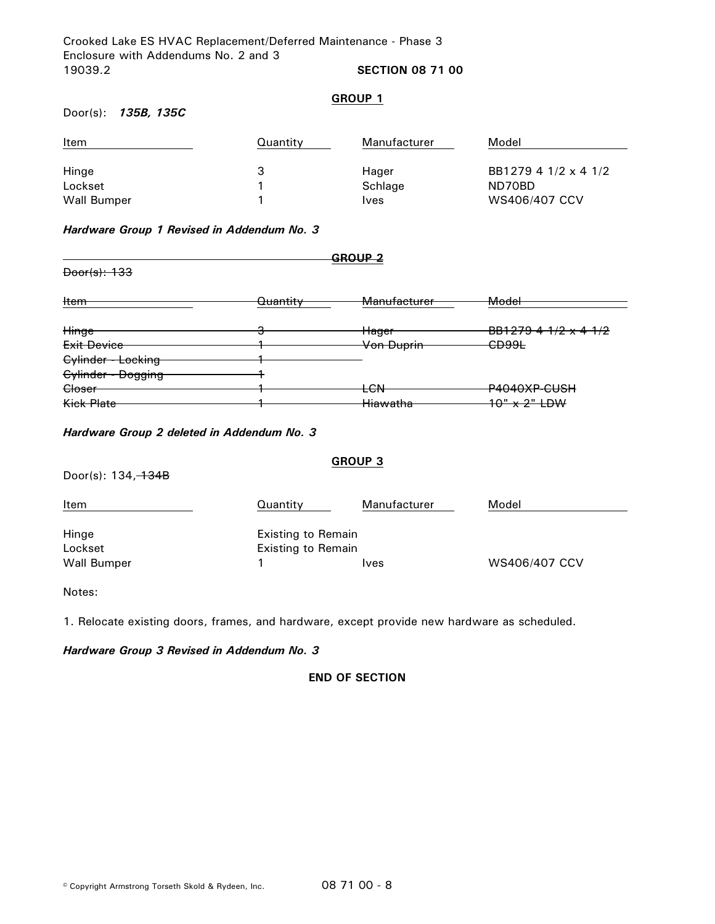### **GROUP 1**

# Door(s): *135B, 135C*

| Item        | Quantity | Manufacturer | Model                |
|-------------|----------|--------------|----------------------|
| Hinge       | 3        | Hager        | BB1279 4 1/2 x 4 1/2 |
| Lockset     |          | Schlage      | ND70BD               |
| Wall Bumper |          | Ives         | WS406/407 CCV        |

# *Hardware Group 1 Revised in Addendum No. 3*

| GROUP <sub>2</sub> |                     |                         |                          |
|--------------------|---------------------|-------------------------|--------------------------|
| Door(s): 133       |                     |                         |                          |
| <b>Item</b>        | <del>Quantity</del> | <del>Manufacturer</del> | <del>Model</del>         |
| Hinge              |                     | <del>Hager</del>        | $BB127941/2 \times 41/2$ |
| Exit Device        |                     | <b>Von Duprin</b>       | <del>CD99L</del>         |
| Cylinder - Locking |                     |                         |                          |
| Cylinder - Dogging |                     |                         |                          |
| Closer             |                     | <b>LCN</b>              | <del>P4040XP-CUSH</del>  |
| <b>Kick Plate</b>  |                     | Hiawatha                | $10" \times 2"$ LDW      |

*Hardware Group 2 deleted in Addendum No. 3*

# **GROUP 3**

# Door(s): 134, 134B

| Item                            | Quantity                                        | Manufacturer | Model         |
|---------------------------------|-------------------------------------------------|--------------|---------------|
| Hinge<br>Lockset<br>Wall Bumper | Existing to Remain<br><b>Existing to Remain</b> | Ives         | WS406/407 CCV |

#### Notes:

1. Relocate existing doors, frames, and hardware, except provide new hardware as scheduled.

# *Hardware Group 3 Revised in Addendum No. 3*

# **END OF SECTION**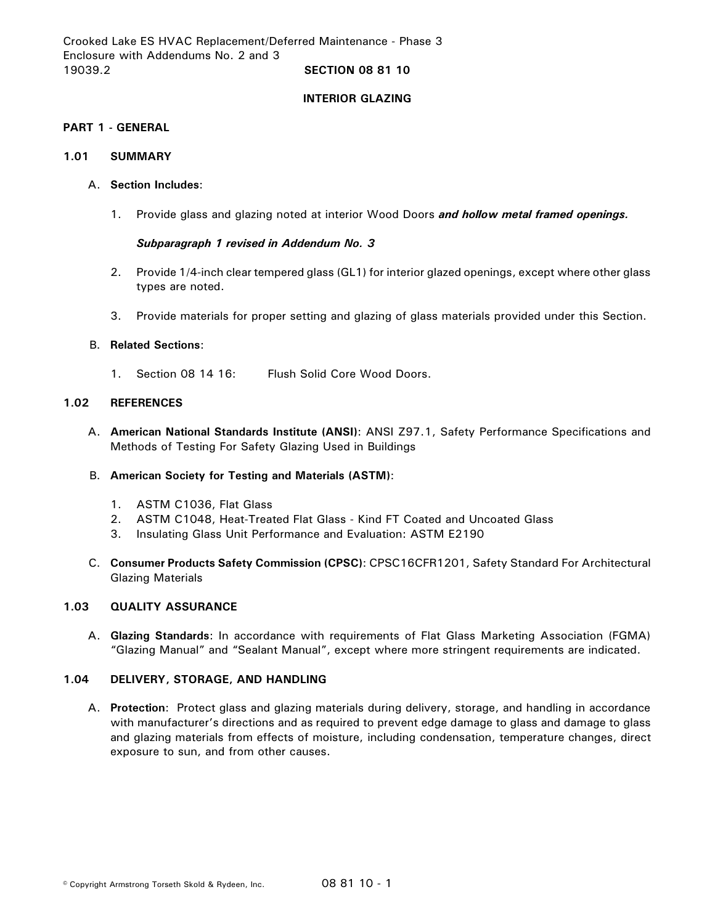## **INTERIOR GLAZING**

### **PART 1 - GENERAL**

# **1.01 SUMMARY**

## A. **Section Includes**:

1. Provide glass and glazing noted at interior Wood Doors *and hollow metal framed openings.*

# *Subparagraph 1 revised in Addendum No. 3*

- 2. Provide 1/4-inch clear tempered glass (GL1) for interior glazed openings, except where other glass types are noted.
- 3. Provide materials for proper setting and glazing of glass materials provided under this Section.

### B. **Related Sections**:

1. Section 08 14 16: Flush Solid Core Wood Doors.

### **1.02 REFERENCES**

A. **American National Standards Institute (ANSI)**: ANSI Z97.1, Safety Performance Specifications and Methods of Testing For Safety Glazing Used in Buildings

# B. **American Society for Testing and Materials (ASTM)**:

- 1. ASTM C1036, Flat Glass
- 2. ASTM C1048, Heat-Treated Flat Glass Kind FT Coated and Uncoated Glass
- 3. Insulating Glass Unit Performance and Evaluation: ASTM E2190
- C. **Consumer Products Safety Commission (CPSC)**: CPSC16CFR1201, Safety Standard For Architectural Glazing Materials

# **1.03 QUALITY ASSURANCE**

A. **Glazing Standards**: In accordance with requirements of Flat Glass Marketing Association (FGMA) "Glazing Manual" and "Sealant Manual", except where more stringent requirements are indicated.

# **1.04 DELIVERY, STORAGE, AND HANDLING**

A. **Protection**: Protect glass and glazing materials during delivery, storage, and handling in accordance with manufacturer's directions and as required to prevent edge damage to glass and damage to glass and glazing materials from effects of moisture, including condensation, temperature changes, direct exposure to sun, and from other causes.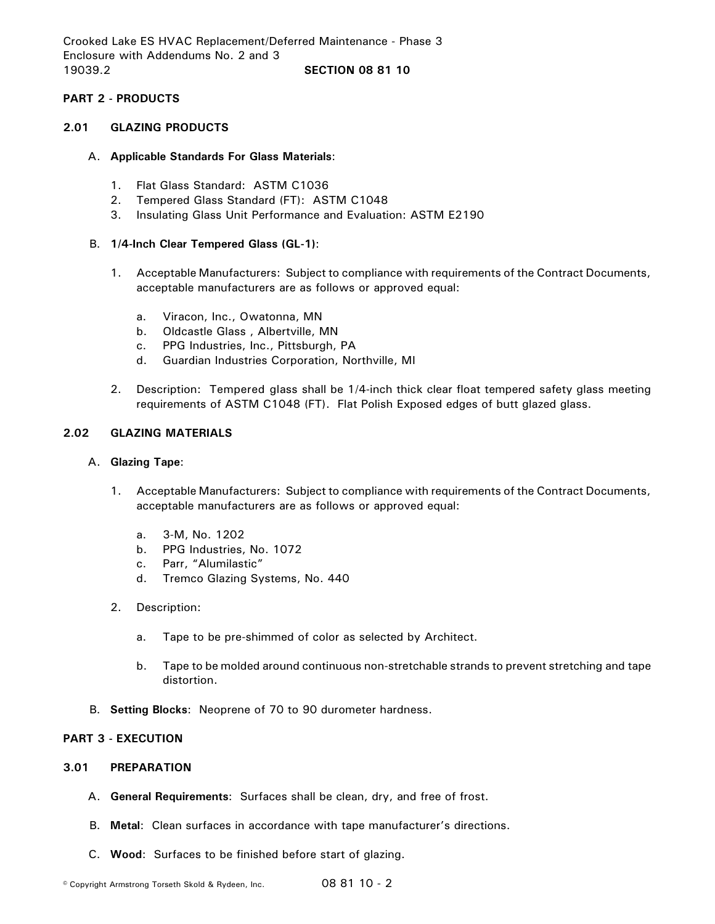Crooked Lake ES HVAC Replacement/Deferred Maintenance - Phase 3 Enclosure with Addendums No. 2 and 3 19039.2 **SECTION 08 81 10**

# **PART 2 - PRODUCTS**

## **2.01 GLAZING PRODUCTS**

#### A. **Applicable Standards For Glass Materials**:

- 1. Flat Glass Standard: ASTM C1036
- 2. Tempered Glass Standard (FT): ASTM C1048
- 3. Insulating Glass Unit Performance and Evaluation: ASTM E2190

# B. **1/4-Inch Clear Tempered Glass (GL-1)**:

- 1. Acceptable Manufacturers: Subject to compliance with requirements of the Contract Documents, acceptable manufacturers are as follows or approved equal:
	- a. Viracon, Inc., Owatonna, MN
	- b. Oldcastle Glass , Albertville, MN
	- c. PPG Industries, Inc., Pittsburgh, PA
	- d. Guardian Industries Corporation, Northville, MI
- 2. Description: Tempered glass shall be 1/4-inch thick clear float tempered safety glass meeting requirements of ASTM C1048 (FT). Flat Polish Exposed edges of butt glazed glass.

# **2.02 GLAZING MATERIALS**

#### A. **Glazing Tape**:

- 1. Acceptable Manufacturers: Subject to compliance with requirements of the Contract Documents, acceptable manufacturers are as follows or approved equal:
	- a. 3-M, No. 1202
	- b. PPG Industries, No. 1072
	- c. Parr, "Alumilastic"
	- d. Tremco Glazing Systems, No. 440
- 2. Description:
	- a. Tape to be pre-shimmed of color as selected by Architect.
	- b. Tape to be molded around continuous non-stretchable strands to prevent stretching and tape distortion.
- B. **Setting Blocks**: Neoprene of 70 to 90 durometer hardness.

#### **PART 3 - EXECUTION**

#### **3.01 PREPARATION**

- A. **General Requirements**: Surfaces shall be clean, dry, and free of frost.
- B. **Metal**: Clean surfaces in accordance with tape manufacturer's directions.
- C. **Wood**: Surfaces to be finished before start of glazing.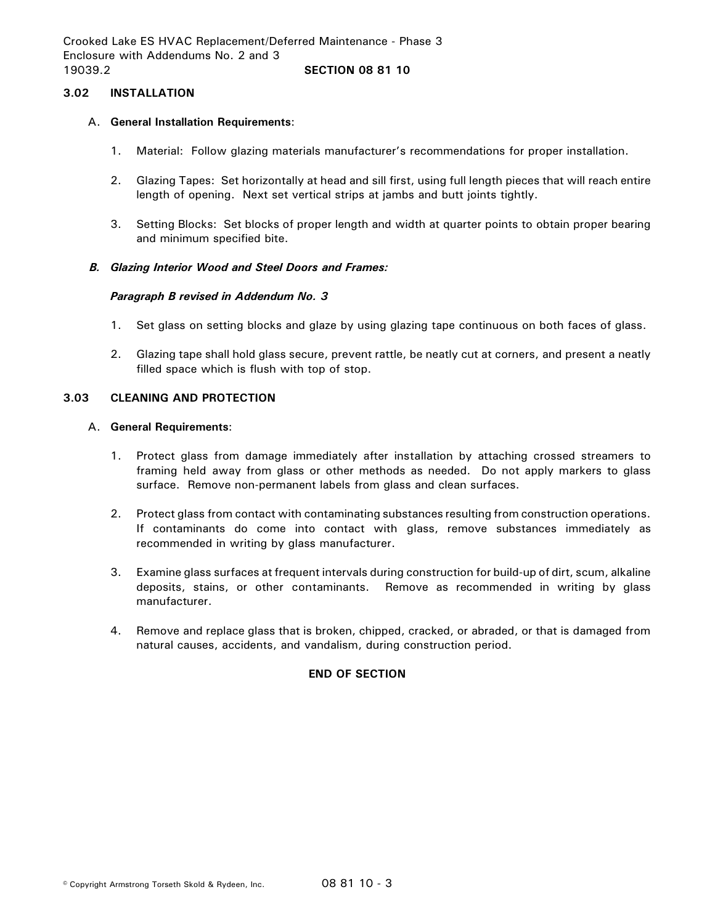# **3.02 INSTALLATION**

### A. **General Installation Requirements**:

- 1. Material: Follow glazing materials manufacturer's recommendations for proper installation.
- 2. Glazing Tapes: Set horizontally at head and sill first, using full length pieces that will reach entire length of opening. Next set vertical strips at jambs and butt joints tightly.
- 3. Setting Blocks: Set blocks of proper length and width at quarter points to obtain proper bearing and minimum specified bite.

### *B. Glazing Interior Wood and Steel Doors and Frames:*

### *Paragraph B revised in Addendum No. 3*

- 1. Set glass on setting blocks and glaze by using glazing tape continuous on both faces of glass.
- 2. Glazing tape shall hold glass secure, prevent rattle, be neatly cut at corners, and present a neatly filled space which is flush with top of stop.

# **3.03 CLEANING AND PROTECTION**

### A. **General Requirements**:

- 1. Protect glass from damage immediately after installation by attaching crossed streamers to framing held away from glass or other methods as needed. Do not apply markers to glass surface. Remove non-permanent labels from glass and clean surfaces.
- 2. Protect glass from contact with contaminating substances resulting from construction operations. If contaminants do come into contact with glass, remove substances immediately as recommended in writing by glass manufacturer.
- 3. Examine glass surfaces at frequent intervals during construction for build-up of dirt, scum, alkaline deposits, stains, or other contaminants. Remove as recommended in writing by glass manufacturer.
- 4. Remove and replace glass that is broken, chipped, cracked, or abraded, or that is damaged from natural causes, accidents, and vandalism, during construction period.

# **END OF SECTION**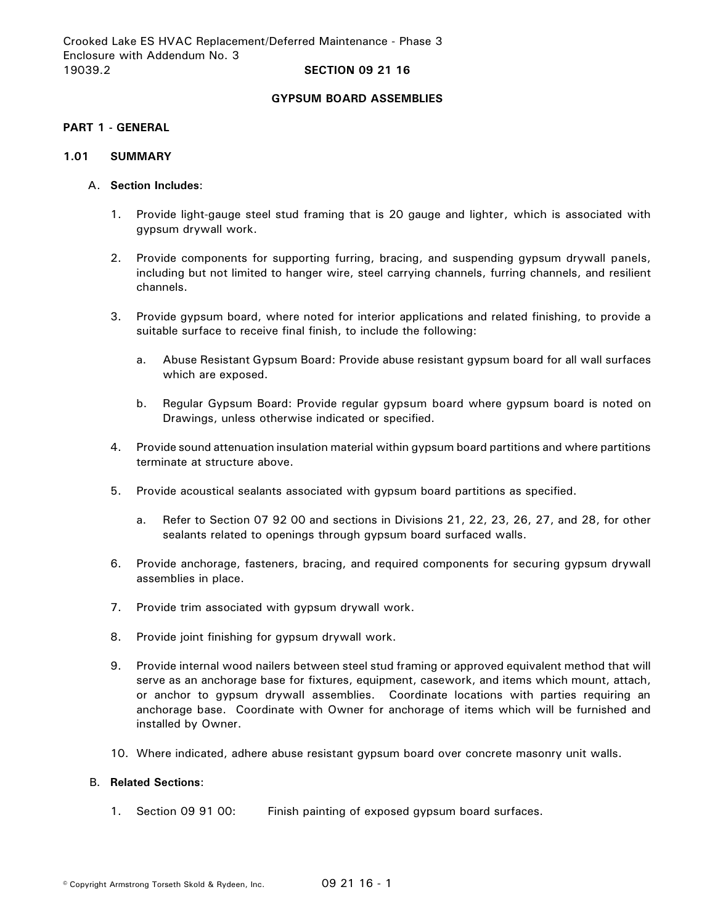Crooked Lake ES HVAC Replacement/Deferred Maintenance - Phase 3 Enclosure with Addendum No. 3 19039.2 **SECTION 09 21 16**

#### **GYPSUM BOARD ASSEMBLIES**

#### **PART 1 - GENERAL**

#### **1.01 SUMMARY**

### A. **Section Includes**:

- 1. Provide light-gauge steel stud framing that is 20 gauge and lighter, which is associated with gypsum drywall work.
- 2. Provide components for supporting furring, bracing, and suspending gypsum drywall panels, including but not limited to hanger wire, steel carrying channels, furring channels, and resilient channels.
- 3. Provide gypsum board, where noted for interior applications and related finishing, to provide a suitable surface to receive final finish, to include the following:
	- a. Abuse Resistant Gypsum Board: Provide abuse resistant gypsum board for all wall surfaces which are exposed.
	- b. Regular Gypsum Board: Provide regular gypsum board where gypsum board is noted on Drawings, unless otherwise indicated or specified.
- 4. Provide sound attenuation insulation material within gypsum board partitions and where partitions terminate at structure above.
- 5. Provide acoustical sealants associated with gypsum board partitions as specified.
	- a. Refer to Section 07 92 00 and sections in Divisions 21, 22, 23, 26, 27, and 28, for other sealants related to openings through gypsum board surfaced walls.
- 6. Provide anchorage, fasteners, bracing, and required components for securing gypsum drywall assemblies in place.
- 7. Provide trim associated with gypsum drywall work.
- 8. Provide joint finishing for gypsum drywall work.
- 9. Provide internal wood nailers between steel stud framing or approved equivalent method that will serve as an anchorage base for fixtures, equipment, casework, and items which mount, attach, or anchor to gypsum drywall assemblies. Coordinate locations with parties requiring an anchorage base. Coordinate with Owner for anchorage of items which will be furnished and installed by Owner.
- 10. Where indicated, adhere abuse resistant gypsum board over concrete masonry unit walls.

#### B. **Related Sections**:

1. Section 09 91 00: Finish painting of exposed gypsum board surfaces.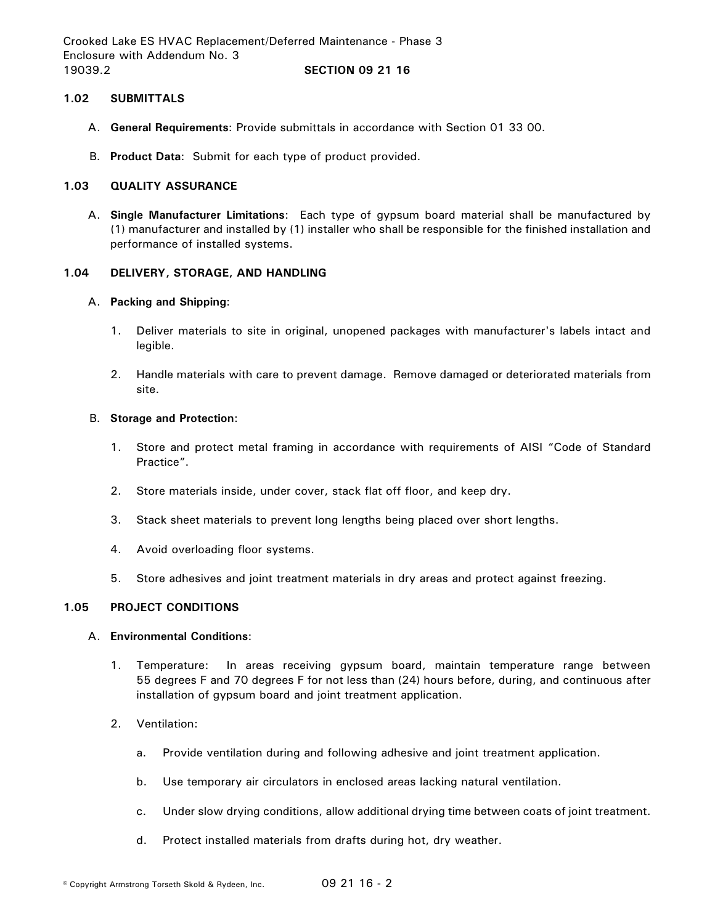Crooked Lake ES HVAC Replacement/Deferred Maintenance - Phase 3 Enclosure with Addendum No. 3 19039.2 **SECTION 09 21 16**

### **1.02 SUBMITTALS**

- A. **General Requirements**: Provide submittals in accordance with Section 01 33 00.
- B. **Product Data**: Submit for each type of product provided.

# **1.03 QUALITY ASSURANCE**

A. **Single Manufacturer Limitations**: Each type of gypsum board material shall be manufactured by (1) manufacturer and installed by (1) installer who shall be responsible for the finished installation and performance of installed systems.

### **1.04 DELIVERY, STORAGE, AND HANDLING**

#### A. **Packing and Shipping**:

- 1. Deliver materials to site in original, unopened packages with manufacturer's labels intact and legible.
- 2. Handle materials with care to prevent damage. Remove damaged or deteriorated materials from site.

#### B. **Storage and Protection**:

- 1. Store and protect metal framing in accordance with requirements of AISI "Code of Standard Practice".
- 2. Store materials inside, under cover, stack flat off floor, and keep dry.
- 3. Stack sheet materials to prevent long lengths being placed over short lengths.
- 4. Avoid overloading floor systems.
- 5. Store adhesives and joint treatment materials in dry areas and protect against freezing.

## **1.05 PROJECT CONDITIONS**

#### A. **Environmental Conditions**:

- 1. Temperature: In areas receiving gypsum board, maintain temperature range between 55 degrees F and 70 degrees F for not less than (24) hours before, during, and continuous after installation of gypsum board and joint treatment application.
- 2. Ventilation:
	- a. Provide ventilation during and following adhesive and joint treatment application.
	- b. Use temporary air circulators in enclosed areas lacking natural ventilation.
	- c. Under slow drying conditions, allow additional drying time between coats of joint treatment.
	- d. Protect installed materials from drafts during hot, dry weather.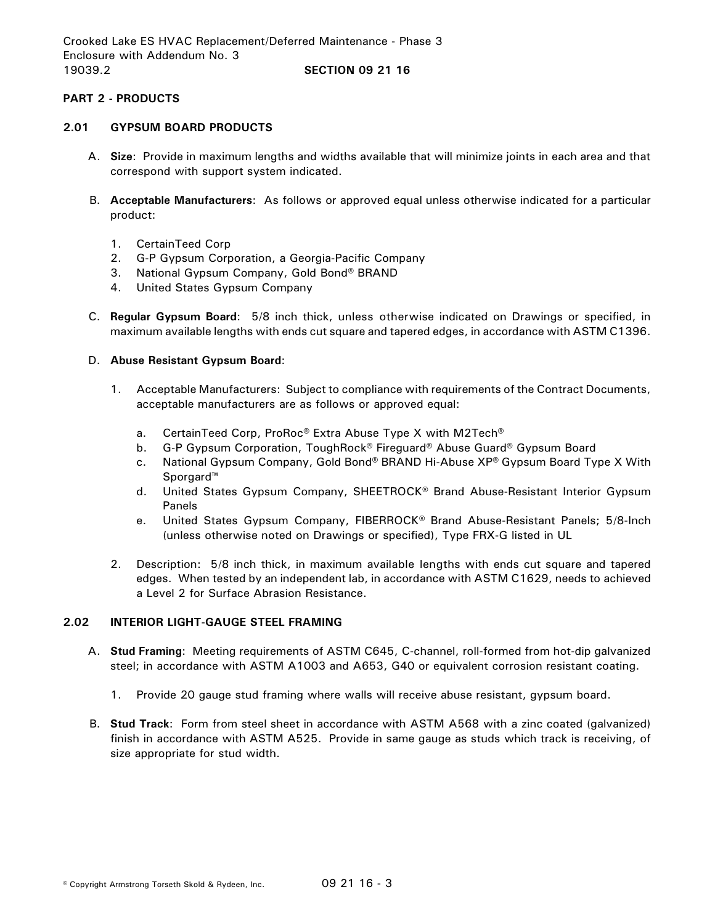# **PART 2 - PRODUCTS**

### **2.01 GYPSUM BOARD PRODUCTS**

- A. **Size**: Provide in maximum lengths and widths available that will minimize joints in each area and that correspond with support system indicated.
- B. **Acceptable Manufacturers**: As follows or approved equal unless otherwise indicated for a particular product:
	- 1. CertainTeed Corp
	- 2. G-P Gypsum Corporation, a Georgia-Pacific Company
	- 3. National Gypsum Company, Gold Bond® BRAND
	- 4. United States Gypsum Company
- C. **Regular Gypsum Board**: 5/8 inch thick, unless otherwise indicated on Drawings or specified, in maximum available lengths with ends cut square and tapered edges, in accordance with ASTM C1396.

## D. **Abuse Resistant Gypsum Board**:

- 1. Acceptable Manufacturers: Subject to compliance with requirements of the Contract Documents, acceptable manufacturers are as follows or approved equal:
	- a. CertainTeed Corp, ProRoc® Extra Abuse Type X with M2Tech®
	- b. G-P Gypsum Corporation, ToughRock® Fireguard® Abuse Guard® Gypsum Board
	- c. National Gypsum Company, Gold Bond® BRAND Hi-Abuse XP® Gypsum Board Type X With Sporgard™
	- d. United States Gypsum Company, SHEETROCK® Brand Abuse-Resistant Interior Gypsum Panels
	- e. United States Gypsum Company, FIBERROCK® Brand Abuse-Resistant Panels; 5/8-Inch (unless otherwise noted on Drawings or specified), Type FRX-G listed in UL
- 2. Description: 5/8 inch thick, in maximum available lengths with ends cut square and tapered edges. When tested by an independent lab, in accordance with ASTM C1629, needs to achieved a Level 2 for Surface Abrasion Resistance.

## **2.02 INTERIOR LIGHT-GAUGE STEEL FRAMING**

- A. **Stud Framing**: Meeting requirements of ASTM C645, C-channel, roll-formed from hot-dip galvanized steel; in accordance with ASTM A1003 and A653, G40 or equivalent corrosion resistant coating.
	- 1. Provide 20 gauge stud framing where walls will receive abuse resistant, gypsum board.
- B. **Stud Track**: Form from steel sheet in accordance with ASTM A568 with a zinc coated (galvanized) finish in accordance with ASTM A525. Provide in same gauge as studs which track is receiving, of size appropriate for stud width.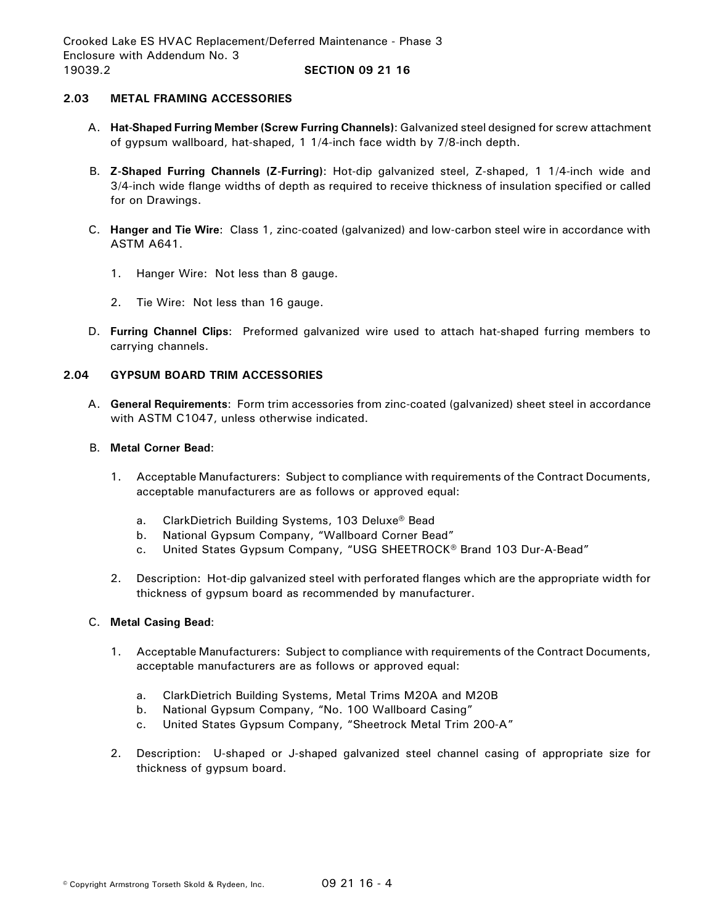# **2.03 METAL FRAMING ACCESSORIES**

- A. **Hat-Shaped Furring Member (Screw Furring Channels)**: Galvanized steel designed for screw attachment of gypsum wallboard, hat-shaped, 1 1/4-inch face width by 7/8-inch depth.
- B. **Z-Shaped Furring Channels (Z-Furring)**: Hot-dip galvanized steel, Z-shaped, 1 1/4-inch wide and 3/4-inch wide flange widths of depth as required to receive thickness of insulation specified or called for on Drawings.
- C. **Hanger and Tie Wire**: Class 1, zinc-coated (galvanized) and low-carbon steel wire in accordance with ASTM A641.
	- 1. Hanger Wire: Not less than 8 gauge.
	- 2. Tie Wire: Not less than 16 gauge.
- D. **Furring Channel Clips**: Preformed galvanized wire used to attach hat-shaped furring members to carrying channels.

# **2.04 GYPSUM BOARD TRIM ACCESSORIES**

A. **General Requirements**: Form trim accessories from zinc-coated (galvanized) sheet steel in accordance with ASTM C1047, unless otherwise indicated.

## B. **Metal Corner Bead**:

- 1. Acceptable Manufacturers: Subject to compliance with requirements of the Contract Documents, acceptable manufacturers are as follows or approved equal:
	- a. ClarkDietrich Building Systems, 103 Deluxe® Bead
	- b. National Gypsum Company, "Wallboard Corner Bead"
	- c. United States Gypsum Company, "USG SHEETROCK® Brand 103 Dur-A-Bead"
- 2. Description: Hot-dip galvanized steel with perforated flanges which are the appropriate width for thickness of gypsum board as recommended by manufacturer.

## C. **Metal Casing Bead**:

- 1. Acceptable Manufacturers: Subject to compliance with requirements of the Contract Documents, acceptable manufacturers are as follows or approved equal:
	- a. ClarkDietrich Building Systems, Metal Trims M20A and M20B
	- b. National Gypsum Company, "No. 100 Wallboard Casing"
	- c. United States Gypsum Company, "Sheetrock Metal Trim 200-A"
- 2. Description: U-shaped or J-shaped galvanized steel channel casing of appropriate size for thickness of gypsum board.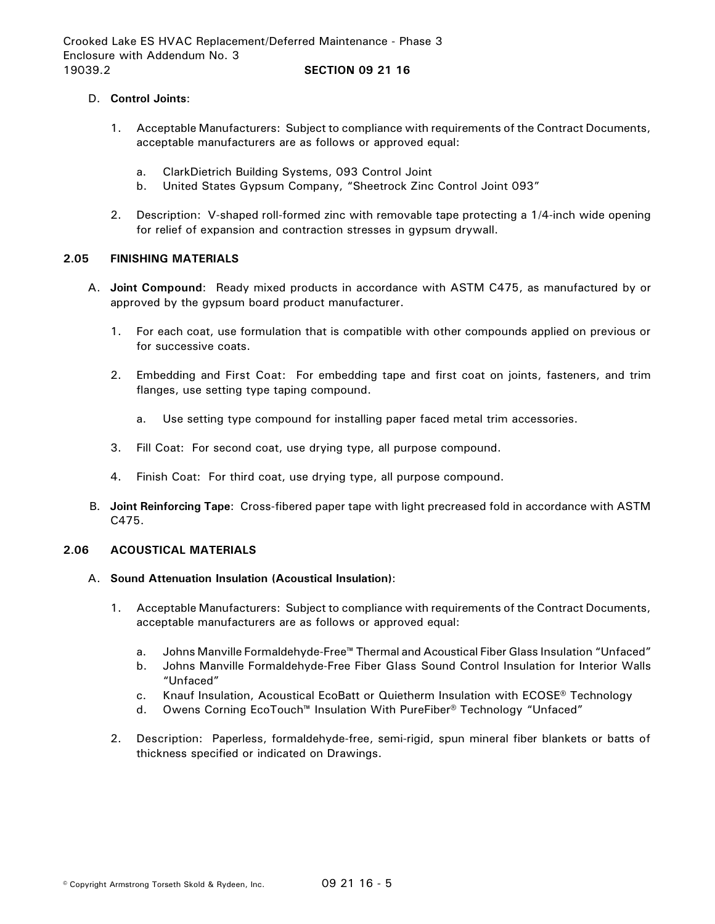## D. **Control Joints**:

- 1. Acceptable Manufacturers: Subject to compliance with requirements of the Contract Documents, acceptable manufacturers are as follows or approved equal:
	- a. ClarkDietrich Building Systems, 093 Control Joint
	- b. United States Gypsum Company, "Sheetrock Zinc Control Joint 093"
- 2. Description: V-shaped roll-formed zinc with removable tape protecting a 1/4-inch wide opening for relief of expansion and contraction stresses in gypsum drywall.

### **2.05 FINISHING MATERIALS**

- A. **Joint Compound**: Ready mixed products in accordance with ASTM C475, as manufactured by or approved by the gypsum board product manufacturer.
	- 1. For each coat, use formulation that is compatible with other compounds applied on previous or for successive coats.
	- 2. Embedding and First Coat: For embedding tape and first coat on joints, fasteners, and trim flanges, use setting type taping compound.
		- a. Use setting type compound for installing paper faced metal trim accessories.
	- 3. Fill Coat: For second coat, use drying type, all purpose compound.
	- 4. Finish Coat: For third coat, use drying type, all purpose compound.
- B. **Joint Reinforcing Tape**: Cross-fibered paper tape with light precreased fold in accordance with ASTM C475.

#### **2.06 ACOUSTICAL MATERIALS**

#### A. **Sound Attenuation Insulation (Acoustical Insulation)**:

- 1. Acceptable Manufacturers: Subject to compliance with requirements of the Contract Documents, acceptable manufacturers are as follows or approved equal:
	- a. Johns Manville Formaldehyde-Free™ Thermal and Acoustical Fiber Glass Insulation "Unfaced"
	- b. Johns Manville Formaldehyde-Free Fiber Glass Sound Control Insulation for Interior Walls "Unfaced"
	- c. Knauf Insulation, Acoustical EcoBatt or Quietherm Insulation with ECOSE® Technology
	- d. Owens Corning EcoTouch™ Insulation With PureFiber® Technology "Unfaced"
- 2. Description: Paperless, formaldehyde-free, semi-rigid, spun mineral fiber blankets or batts of thickness specified or indicated on Drawings.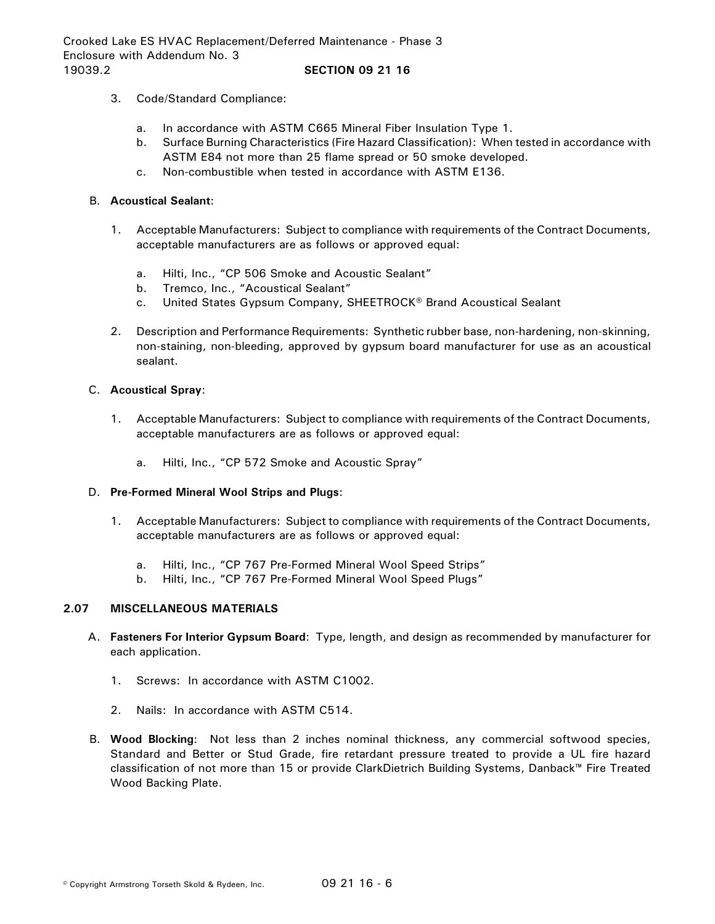# 3. Code/Standard Compliance:

- a. In accordance with ASTM C665 Mineral Fiber Insulation Type 1.
- b. Surface Burning Characteristics (Fire Hazard Classification): When tested in accordance with ASTM E84 not more than 25 flame spread or 50 smoke developed.
- c. Non-combustible when tested in accordance with ASTM E136.

### B. **Acoustical Sealant**:

- 1. Acceptable Manufacturers: Subject to compliance with requirements of the Contract Documents, acceptable manufacturers are as follows or approved equal:
	- a. Hilti, Inc., "CP 506 Smoke and Acoustic Sealant"
	- b. Tremco, Inc., "Acoustical Sealant"
	- c. United States Gypsum Company, SHEETROCK® Brand Acoustical Sealant
- 2. Description and Performance Requirements: Synthetic rubber base, non-hardening, non-skinning, non-staining, non-bleeding, approved by gypsum board manufacturer for use as an acoustical sealant.

### C. **Acoustical Spray**:

- 1. Acceptable Manufacturers: Subject to compliance with requirements of the Contract Documents, acceptable manufacturers are as follows or approved equal:
	- a. Hilti, Inc., "CP 572 Smoke and Acoustic Spray"

#### D. **Pre-Formed Mineral Wool Strips and Plugs**:

- 1. Acceptable Manufacturers: Subject to compliance with requirements of the Contract Documents, acceptable manufacturers are as follows or approved equal:
	- a. Hilti, Inc., "CP 767 Pre-Formed Mineral Wool Speed Strips"
	- b. Hilti, Inc., "CP 767 Pre-Formed Mineral Wool Speed Plugs"

## **2.07 MISCELLANEOUS MATERIALS**

- A. **Fasteners For Interior Gypsum Board**: Type, length, and design as recommended by manufacturer for each application.
	- 1. Screws: In accordance with ASTM C1002.
	- 2. Nails: In accordance with ASTM C514.
- B. **Wood Blocking**: Not less than 2 inches nominal thickness, any commercial softwood species, Standard and Better or Stud Grade, fire retardant pressure treated to provide a UL fire hazard classification of not more than 15 or provide ClarkDietrich Building Systems, Danback™ Fire Treated Wood Backing Plate.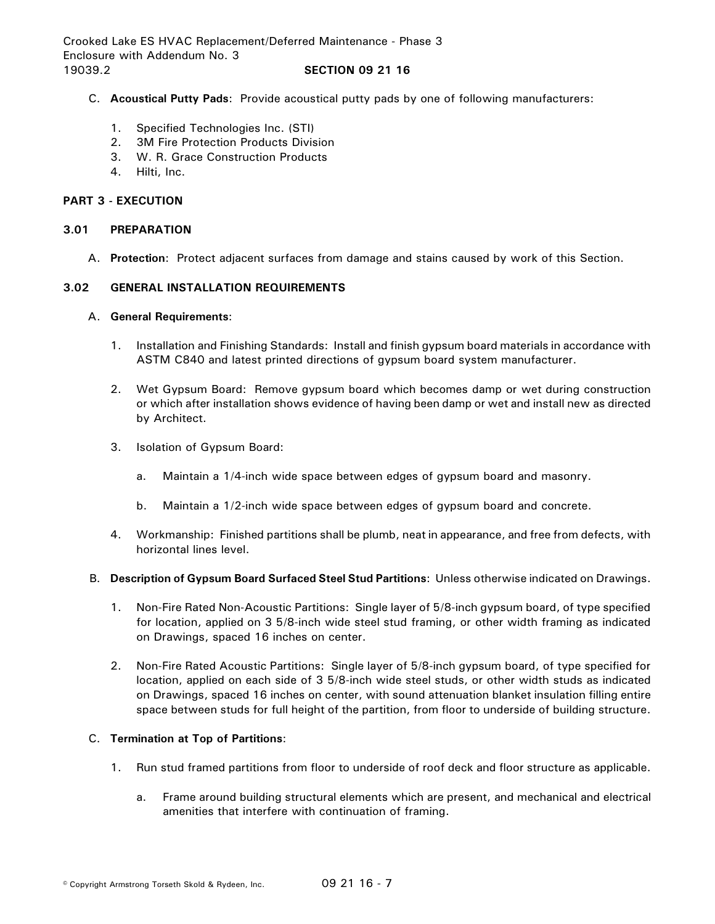# C. **Acoustical Putty Pads**: Provide acoustical putty pads by one of following manufacturers:

- 1. Specified Technologies Inc. (STI)
- 2. 3M Fire Protection Products Division
- 3. W. R. Grace Construction Products
- 4. Hilti, Inc.

### **PART 3 - EXECUTION**

### **3.01 PREPARATION**

A. **Protection**: Protect adjacent surfaces from damage and stains caused by work of this Section.

### **3.02 GENERAL INSTALLATION REQUIREMENTS**

### A. **General Requirements**:

- 1. Installation and Finishing Standards: Install and finish gypsum board materials in accordance with ASTM C840 and latest printed directions of gypsum board system manufacturer.
- 2. Wet Gypsum Board: Remove gypsum board which becomes damp or wet during construction or which after installation shows evidence of having been damp or wet and install new as directed by Architect.
- 3. Isolation of Gypsum Board:
	- a. Maintain a 1/4-inch wide space between edges of gypsum board and masonry.
	- b. Maintain a 1/2-inch wide space between edges of gypsum board and concrete.
- 4. Workmanship: Finished partitions shall be plumb, neat in appearance, and free from defects, with horizontal lines level.
- B. **Description of Gypsum Board Surfaced Steel Stud Partitions**: Unless otherwise indicated on Drawings.
	- 1. Non-Fire Rated Non-Acoustic Partitions: Single layer of 5/8-inch gypsum board, of type specified for location, applied on 3 5/8-inch wide steel stud framing, or other width framing as indicated on Drawings, spaced 16 inches on center.
	- 2. Non-Fire Rated Acoustic Partitions: Single layer of 5/8-inch gypsum board, of type specified for location, applied on each side of 3 5/8-inch wide steel studs, or other width studs as indicated on Drawings, spaced 16 inches on center, with sound attenuation blanket insulation filling entire space between studs for full height of the partition, from floor to underside of building structure.

## C. **Termination at Top of Partitions**:

- 1. Run stud framed partitions from floor to underside of roof deck and floor structure as applicable.
	- a. Frame around building structural elements which are present, and mechanical and electrical amenities that interfere with continuation of framing.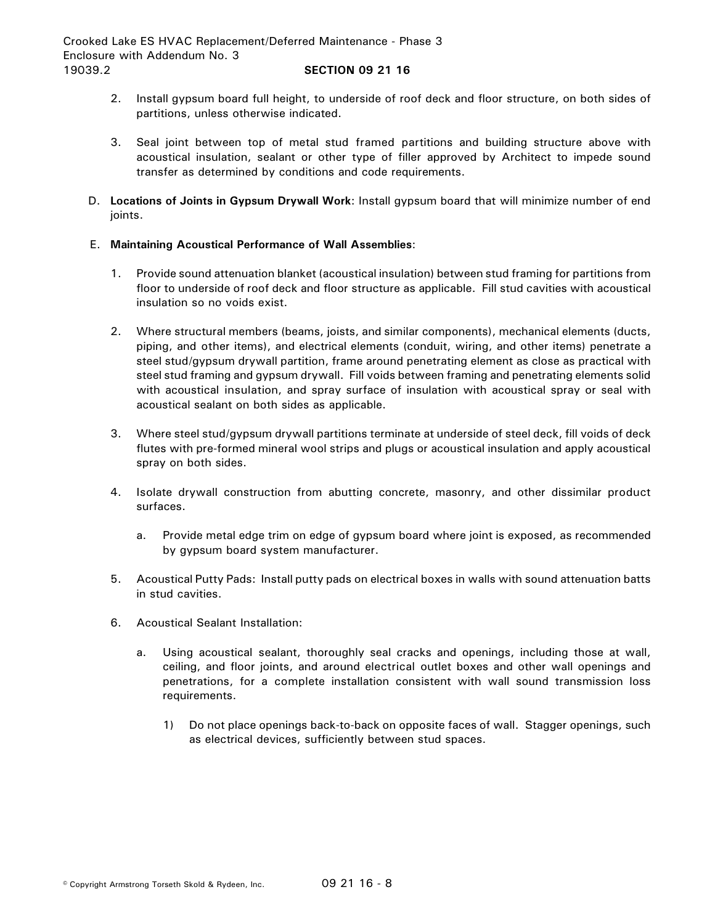- 2. Install gypsum board full height, to underside of roof deck and floor structure, on both sides of partitions, unless otherwise indicated.
- 3. Seal joint between top of metal stud framed partitions and building structure above with acoustical insulation, sealant or other type of filler approved by Architect to impede sound transfer as determined by conditions and code requirements.
- D. **Locations of Joints in Gypsum Drywall Work**: Install gypsum board that will minimize number of end joints.

## E. **Maintaining Acoustical Performance of Wall Assemblies**:

- 1. Provide sound attenuation blanket (acoustical insulation) between stud framing for partitions from floor to underside of roof deck and floor structure as applicable. Fill stud cavities with acoustical insulation so no voids exist.
- 2. Where structural members (beams, joists, and similar components), mechanical elements (ducts, piping, and other items), and electrical elements (conduit, wiring, and other items) penetrate a steel stud/gypsum drywall partition, frame around penetrating element as close as practical with steel stud framing and gypsum drywall. Fill voids between framing and penetrating elements solid with acoustical insulation, and spray surface of insulation with acoustical spray or seal with acoustical sealant on both sides as applicable.
- 3. Where steel stud/gypsum drywall partitions terminate at underside of steel deck, fill voids of deck flutes with pre-formed mineral wool strips and plugs or acoustical insulation and apply acoustical spray on both sides.
- 4. Isolate drywall construction from abutting concrete, masonry, and other dissimilar product surfaces.
	- a. Provide metal edge trim on edge of gypsum board where joint is exposed, as recommended by gypsum board system manufacturer.
- 5. Acoustical Putty Pads: Install putty pads on electrical boxes in walls with sound attenuation batts in stud cavities.
- 6. Acoustical Sealant Installation:
	- a. Using acoustical sealant, thoroughly seal cracks and openings, including those at wall, ceiling, and floor joints, and around electrical outlet boxes and other wall openings and penetrations, for a complete installation consistent with wall sound transmission loss requirements.
		- 1) Do not place openings back-to-back on opposite faces of wall. Stagger openings, such as electrical devices, sufficiently between stud spaces.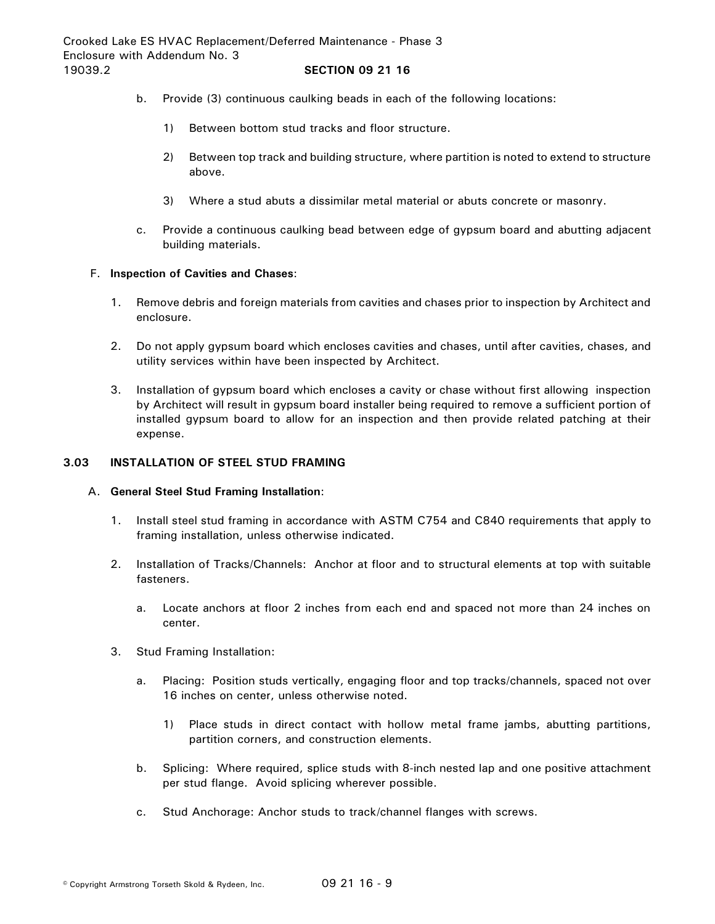- b. Provide (3) continuous caulking beads in each of the following locations:
	- 1) Between bottom stud tracks and floor structure.
	- 2) Between top track and building structure, where partition is noted to extend to structure above.
	- 3) Where a stud abuts a dissimilar metal material or abuts concrete or masonry.
- c. Provide a continuous caulking bead between edge of gypsum board and abutting adjacent building materials.

### F. **Inspection of Cavities and Chases**:

- 1. Remove debris and foreign materials from cavities and chases prior to inspection by Architect and enclosure.
- 2. Do not apply gypsum board which encloses cavities and chases, until after cavities, chases, and utility services within have been inspected by Architect.
- 3. Installation of gypsum board which encloses a cavity or chase without first allowing inspection by Architect will result in gypsum board installer being required to remove a sufficient portion of installed gypsum board to allow for an inspection and then provide related patching at their expense.

### **3.03 INSTALLATION OF STEEL STUD FRAMING**

#### A. **General Steel Stud Framing Installation**:

- 1. Install steel stud framing in accordance with ASTM C754 and C840 requirements that apply to framing installation, unless otherwise indicated.
- 2. Installation of Tracks/Channels: Anchor at floor and to structural elements at top with suitable fasteners.
	- a. Locate anchors at floor 2 inches from each end and spaced not more than 24 inches on center.
- 3. Stud Framing Installation:
	- a. Placing: Position studs vertically, engaging floor and top tracks/channels, spaced not over 16 inches on center, unless otherwise noted.
		- 1) Place studs in direct contact with hollow metal frame jambs, abutting partitions, partition corners, and construction elements.
	- b. Splicing: Where required, splice studs with 8-inch nested lap and one positive attachment per stud flange. Avoid splicing wherever possible.
	- c. Stud Anchorage: Anchor studs to track/channel flanges with screws.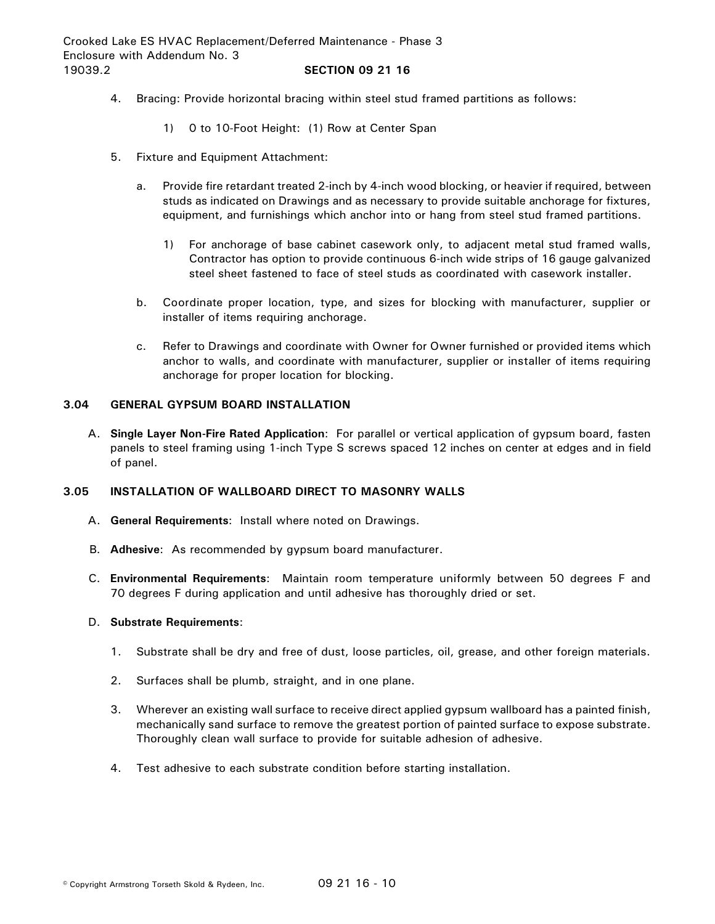- 4. Bracing: Provide horizontal bracing within steel stud framed partitions as follows:
	- 1) 0 to 10-Foot Height: (1) Row at Center Span
- 5. Fixture and Equipment Attachment:
	- a. Provide fire retardant treated 2-inch by 4-inch wood blocking, or heavier if required, between studs as indicated on Drawings and as necessary to provide suitable anchorage for fixtures, equipment, and furnishings which anchor into or hang from steel stud framed partitions.
		- 1) For anchorage of base cabinet casework only, to adjacent metal stud framed walls, Contractor has option to provide continuous 6-inch wide strips of 16 gauge galvanized steel sheet fastened to face of steel studs as coordinated with casework installer.
	- b. Coordinate proper location, type, and sizes for blocking with manufacturer, supplier or installer of items requiring anchorage.
	- c. Refer to Drawings and coordinate with Owner for Owner furnished or provided items which anchor to walls, and coordinate with manufacturer, supplier or installer of items requiring anchorage for proper location for blocking.

## **3.04 GENERAL GYPSUM BOARD INSTALLATION**

A. **Single Layer Non-Fire Rated Application**: For parallel or vertical application of gypsum board, fasten panels to steel framing using 1-inch Type S screws spaced 12 inches on center at edges and in field of panel.

## **3.05 INSTALLATION OF WALLBOARD DIRECT TO MASONRY WALLS**

- A. **General Requirements**: Install where noted on Drawings.
- B. **Adhesive**: As recommended by gypsum board manufacturer.
- C. **Environmental Requirements**: Maintain room temperature uniformly between 50 degrees F and 70 degrees F during application and until adhesive has thoroughly dried or set.

## D. **Substrate Requirements**:

- 1. Substrate shall be dry and free of dust, loose particles, oil, grease, and other foreign materials.
- 2. Surfaces shall be plumb, straight, and in one plane.
- 3. Wherever an existing wall surface to receive direct applied gypsum wallboard has a painted finish, mechanically sand surface to remove the greatest portion of painted surface to expose substrate. Thoroughly clean wall surface to provide for suitable adhesion of adhesive.
- 4. Test adhesive to each substrate condition before starting installation.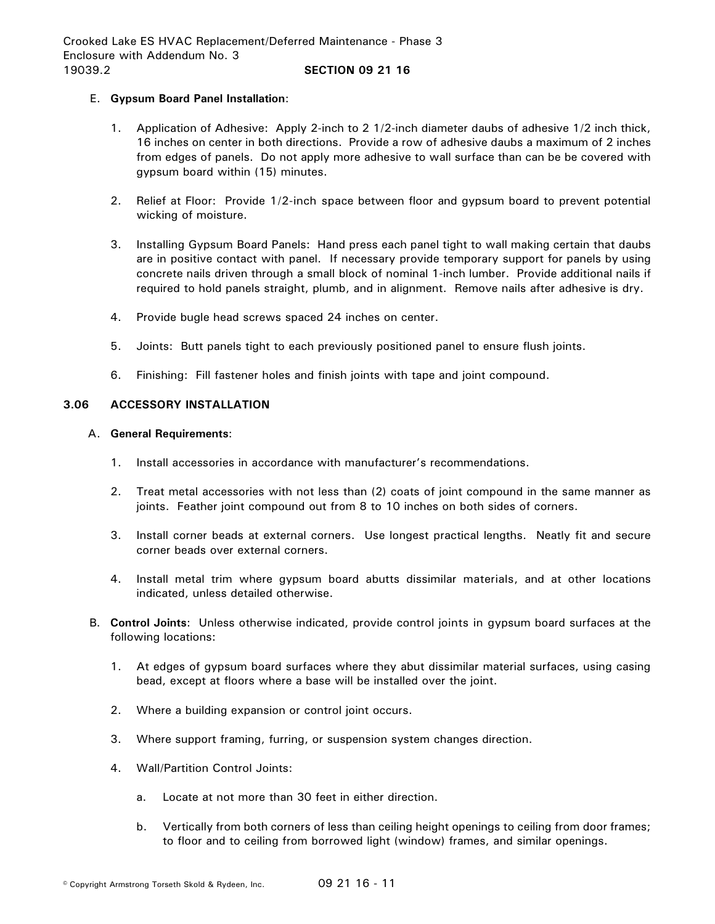# E. **Gypsum Board Panel Installation**:

- 1. Application of Adhesive: Apply 2-inch to 2 1/2-inch diameter daubs of adhesive 1/2 inch thick, 16 inches on center in both directions. Provide a row of adhesive daubs a maximum of 2 inches from edges of panels. Do not apply more adhesive to wall surface than can be be covered with gypsum board within (15) minutes.
- 2. Relief at Floor: Provide 1/2-inch space between floor and gypsum board to prevent potential wicking of moisture.
- 3. Installing Gypsum Board Panels: Hand press each panel tight to wall making certain that daubs are in positive contact with panel. If necessary provide temporary support for panels by using concrete nails driven through a small block of nominal 1-inch lumber. Provide additional nails if required to hold panels straight, plumb, and in alignment. Remove nails after adhesive is dry.
- 4. Provide bugle head screws spaced 24 inches on center.
- 5. Joints: Butt panels tight to each previously positioned panel to ensure flush joints.
- 6. Finishing: Fill fastener holes and finish joints with tape and joint compound.

# **3.06 ACCESSORY INSTALLATION**

## A. **General Requirements**:

- 1. Install accessories in accordance with manufacturer's recommendations.
- 2. Treat metal accessories with not less than (2) coats of joint compound in the same manner as joints. Feather joint compound out from 8 to 10 inches on both sides of corners.
- 3. Install corner beads at external corners. Use longest practical lengths. Neatly fit and secure corner beads over external corners.
- 4. Install metal trim where gypsum board abutts dissimilar materials, and at other locations indicated, unless detailed otherwise.
- B. **Control Joints**: Unless otherwise indicated, provide control joints in gypsum board surfaces at the following locations:
	- 1. At edges of gypsum board surfaces where they abut dissimilar material surfaces, using casing bead, except at floors where a base will be installed over the joint.
	- 2. Where a building expansion or control joint occurs.
	- 3. Where support framing, furring, or suspension system changes direction.
	- 4. Wall/Partition Control Joints:
		- a. Locate at not more than 30 feet in either direction.
		- b. Vertically from both corners of less than ceiling height openings to ceiling from door frames; to floor and to ceiling from borrowed light (window) frames, and similar openings.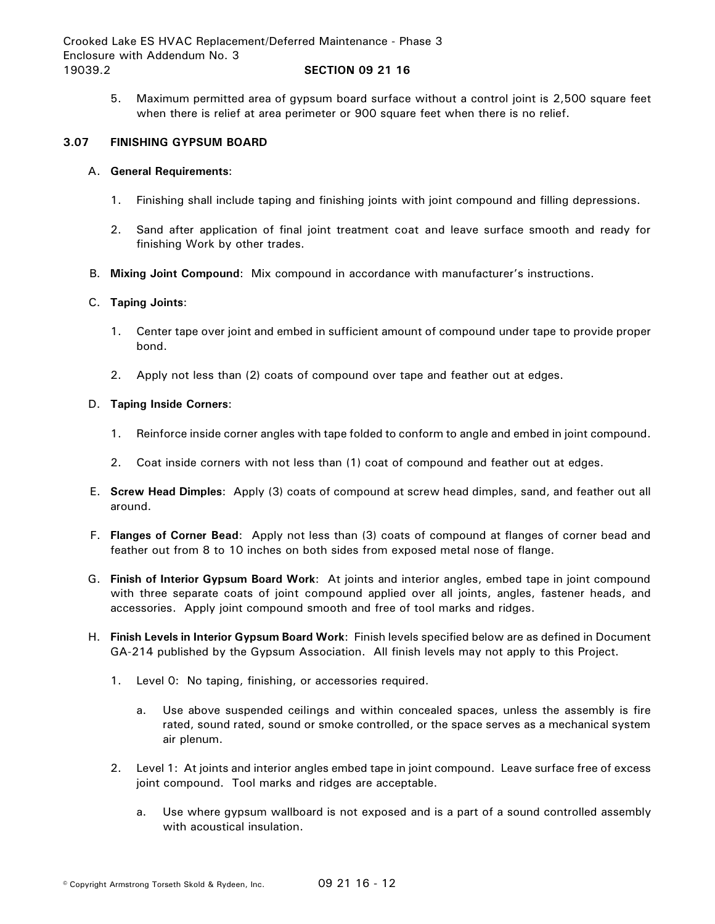5. Maximum permitted area of gypsum board surface without a control joint is 2,500 square feet when there is relief at area perimeter or 900 square feet when there is no relief.

### **3.07 FINISHING GYPSUM BOARD**

### A. **General Requirements**:

- 1. Finishing shall include taping and finishing joints with joint compound and filling depressions.
- 2. Sand after application of final joint treatment coat and leave surface smooth and ready for finishing Work by other trades.
- B. **Mixing Joint Compound**: Mix compound in accordance with manufacturer's instructions.

## C. **Taping Joints**:

- 1. Center tape over joint and embed in sufficient amount of compound under tape to provide proper bond.
- 2. Apply not less than (2) coats of compound over tape and feather out at edges.

## D. **Taping Inside Corners**:

- 1. Reinforce inside corner angles with tape folded to conform to angle and embed in joint compound.
- 2. Coat inside corners with not less than (1) coat of compound and feather out at edges.
- E. **Screw Head Dimples**: Apply (3) coats of compound at screw head dimples, sand, and feather out all around.
- F. **Flanges of Corner Bead**: Apply not less than (3) coats of compound at flanges of corner bead and feather out from 8 to 10 inches on both sides from exposed metal nose of flange.
- G. **Finish of Interior Gypsum Board Work**: At joints and interior angles, embed tape in joint compound with three separate coats of joint compound applied over all joints, angles, fastener heads, and accessories. Apply joint compound smooth and free of tool marks and ridges.
- H. **Finish Levels in Interior Gypsum Board Work**: Finish levels specified below are as defined in Document GA-214 published by the Gypsum Association. All finish levels may not apply to this Project.
	- 1. Level 0: No taping, finishing, or accessories required.
		- a. Use above suspended ceilings and within concealed spaces, unless the assembly is fire rated, sound rated, sound or smoke controlled, or the space serves as a mechanical system air plenum.
	- 2. Level 1: At joints and interior angles embed tape in joint compound. Leave surface free of excess joint compound. Tool marks and ridges are acceptable.
		- a. Use where gypsum wallboard is not exposed and is a part of a sound controlled assembly with acoustical insulation.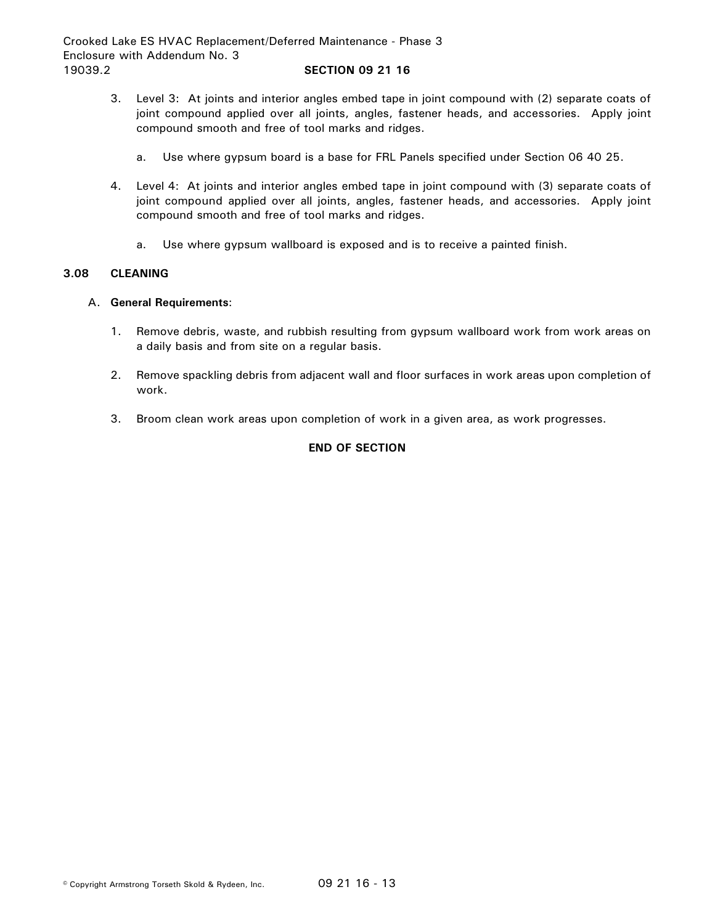- 3. Level 3: At joints and interior angles embed tape in joint compound with (2) separate coats of joint compound applied over all joints, angles, fastener heads, and accessories. Apply joint compound smooth and free of tool marks and ridges.
	- a. Use where gypsum board is a base for FRL Panels specified under Section 06 40 25.
- 4. Level 4: At joints and interior angles embed tape in joint compound with (3) separate coats of joint compound applied over all joints, angles, fastener heads, and accessories. Apply joint compound smooth and free of tool marks and ridges.
	- a. Use where gypsum wallboard is exposed and is to receive a painted finish.

# **3.08 CLEANING**

## A. **General Requirements**:

- 1. Remove debris, waste, and rubbish resulting from gypsum wallboard work from work areas on a daily basis and from site on a regular basis.
- 2. Remove spackling debris from adjacent wall and floor surfaces in work areas upon completion of work.
- 3. Broom clean work areas upon completion of work in a given area, as work progresses.

## **END OF SECTION**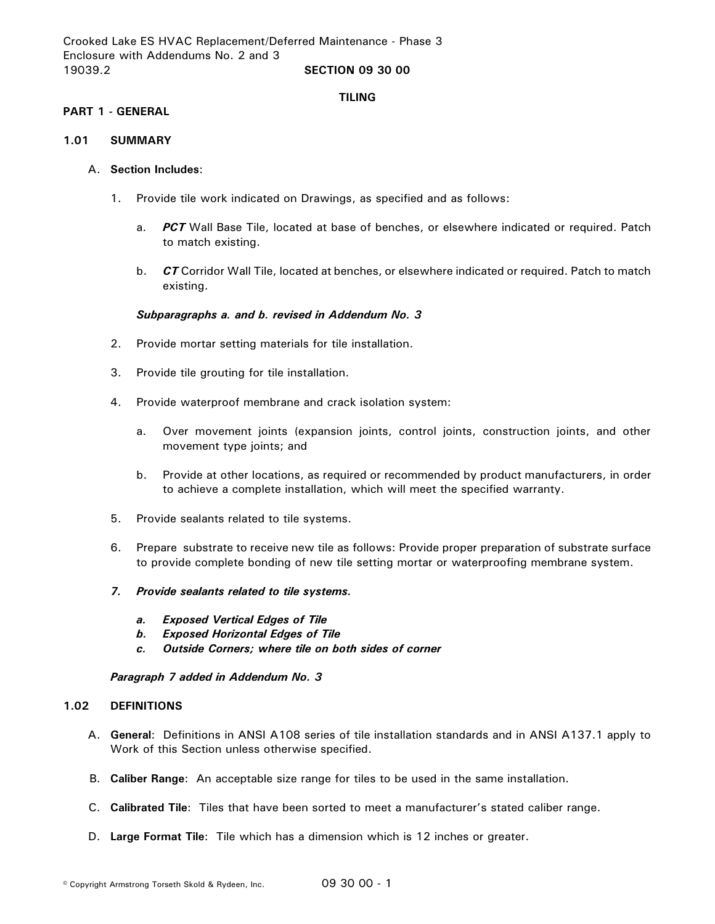Crooked Lake ES HVAC Replacement/Deferred Maintenance - Phase 3 Enclosure with Addendums No. 2 and 3 19039.2 **SECTION 09 30 00**

### **TILING**

### **PART 1 - GENERAL**

#### **1.01 SUMMARY**

#### A. **Section Includes**:

- 1. Provide tile work indicated on Drawings, as specified and as follows:
	- a. *PCT* Wall Base Tile, located at base of benches, or elsewhere indicated or required. Patch to match existing.
	- b. *CT* Corridor Wall Tile, located at benches, or elsewhere indicated or required. Patch to match existing.

### *Subparagraphs a. and b. revised in Addendum No. 3*

- 2. Provide mortar setting materials for tile installation.
- 3. Provide tile grouting for tile installation.
- 4. Provide waterproof membrane and crack isolation system:
	- a. Over movement joints (expansion joints, control joints, construction joints, and other movement type joints; and
	- b. Provide at other locations, as required or recommended by product manufacturers, in order to achieve a complete installation, which will meet the specified warranty.
- 5. Provide sealants related to tile systems.
- 6. Prepare substrate to receive new tile as follows: Provide proper preparation of substrate surface to provide complete bonding of new tile setting mortar or waterproofing membrane system.
- *7. Provide sealants related to tile systems.*
	- *a. Exposed Vertical Edges of Tile*
	- *b. Exposed Horizontal Edges of Tile*
	- *c. Outside Corners; where tile on both sides of corner*

*Paragraph 7 added in Addendum No. 3*

## **1.02 DEFINITIONS**

- A. **General**: Definitions in ANSI A108 series of tile installation standards and in ANSI A137.1 apply to Work of this Section unless otherwise specified.
- B. **Caliber Range**: An acceptable size range for tiles to be used in the same installation.
- C. **Calibrated Tile**: Tiles that have been sorted to meet a manufacturer's stated caliber range.
- D. **Large Format Tile**: Tile which has a dimension which is 12 inches or greater.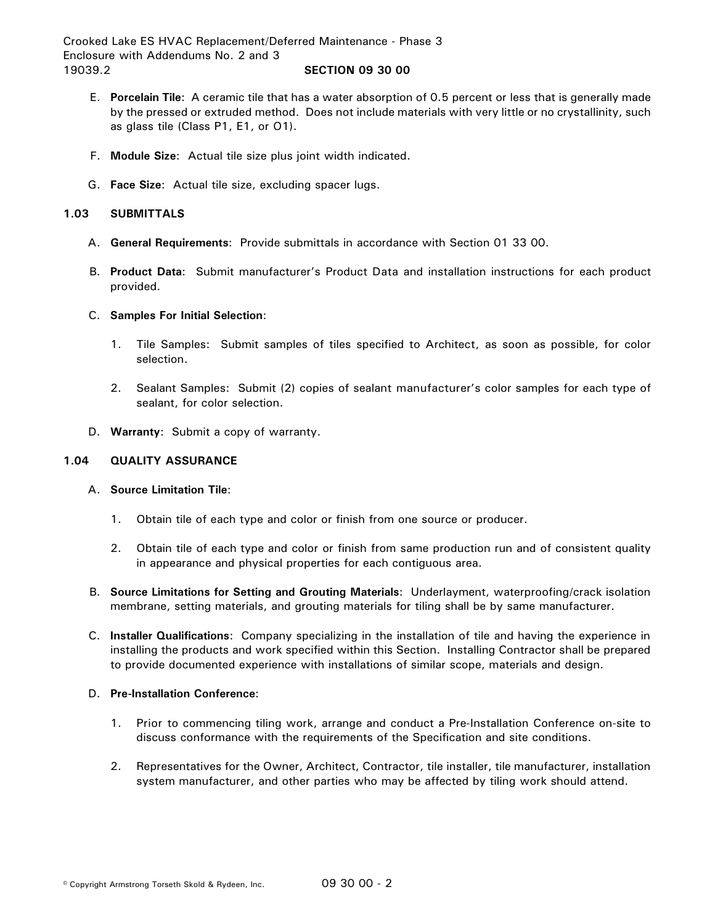Crooked Lake ES HVAC Replacement/Deferred Maintenance - Phase 3 Enclosure with Addendums No. 2 and 3 19039.2 **SECTION 09 30 00**

- E. **Porcelain Tile**: A ceramic tile that has a water absorption of 0.5 percent or less that is generally made by the pressed or extruded method. Does not include materials with very little or no crystallinity, such as glass tile (Class P1, E1, or O1).
- F. **Module Size**: Actual tile size plus joint width indicated.
- G. **Face Size**: Actual tile size, excluding spacer lugs.

#### **1.03 SUBMITTALS**

- A. **General Requirements**: Provide submittals in accordance with Section 01 33 00.
- B. **Product Data**: Submit manufacturer's Product Data and installation instructions for each product provided.
- C. **Samples For Initial Selection**:
	- 1. Tile Samples: Submit samples of tiles specified to Architect, as soon as possible, for color selection.
	- 2. Sealant Samples: Submit (2) copies of sealant manufacturer's color samples for each type of sealant, for color selection.
- D. **Warranty**: Submit a copy of warranty.

### **1.04 QUALITY ASSURANCE**

#### A. **Source Limitation Tile**:

- 1. Obtain tile of each type and color or finish from one source or producer.
- 2. Obtain tile of each type and color or finish from same production run and of consistent quality in appearance and physical properties for each contiguous area.
- B. **Source Limitations for Setting and Grouting Materials**: Underlayment, waterproofing/crack isolation membrane, setting materials, and grouting materials for tiling shall be by same manufacturer.
- C. **Installer Qualifications**: Company specializing in the installation of tile and having the experience in installing the products and work specified within this Section. Installing Contractor shall be prepared to provide documented experience with installations of similar scope, materials and design.

### D. **Pre-Installation Conference**:

- 1. Prior to commencing tiling work, arrange and conduct a Pre-Installation Conference on-site to discuss conformance with the requirements of the Specification and site conditions.
- 2. Representatives for the Owner, Architect, Contractor, tile installer, tile manufacturer, installation system manufacturer, and other parties who may be affected by tiling work should attend.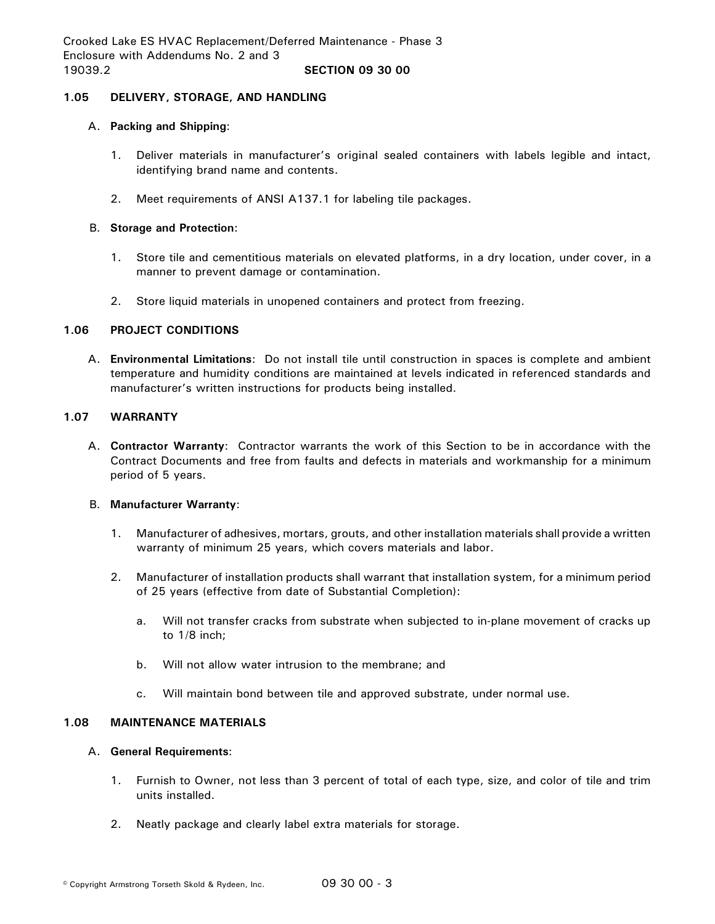### **1.05 DELIVERY, STORAGE, AND HANDLING**

#### A. **Packing and Shipping**:

- 1. Deliver materials in manufacturer's original sealed containers with labels legible and intact, identifying brand name and contents.
- 2. Meet requirements of ANSI A137.1 for labeling tile packages.

### B. **Storage and Protection**:

- 1. Store tile and cementitious materials on elevated platforms, in a dry location, under cover, in a manner to prevent damage or contamination.
- 2. Store liquid materials in unopened containers and protect from freezing.

### **1.06 PROJECT CONDITIONS**

A. **Environmental Limitations**: Do not install tile until construction in spaces is complete and ambient temperature and humidity conditions are maintained at levels indicated in referenced standards and manufacturer's written instructions for products being installed.

### **1.07 WARRANTY**

A. **Contractor Warranty**: Contractor warrants the work of this Section to be in accordance with the Contract Documents and free from faults and defects in materials and workmanship for a minimum period of 5 years.

#### B. **Manufacturer Warranty**:

- 1. Manufacturer of adhesives, mortars, grouts, and other installation materials shall provide a written warranty of minimum 25 years, which covers materials and labor.
- 2. Manufacturer of installation products shall warrant that installation system, for a minimum period of 25 years (effective from date of Substantial Completion):
	- a. Will not transfer cracks from substrate when subjected to in-plane movement of cracks up to 1/8 inch;
	- b. Will not allow water intrusion to the membrane; and
	- c. Will maintain bond between tile and approved substrate, under normal use.

## **1.08 MAINTENANCE MATERIALS**

- A. **General Requirements**:
	- 1. Furnish to Owner, not less than 3 percent of total of each type, size, and color of tile and trim units installed.
	- 2. Neatly package and clearly label extra materials for storage.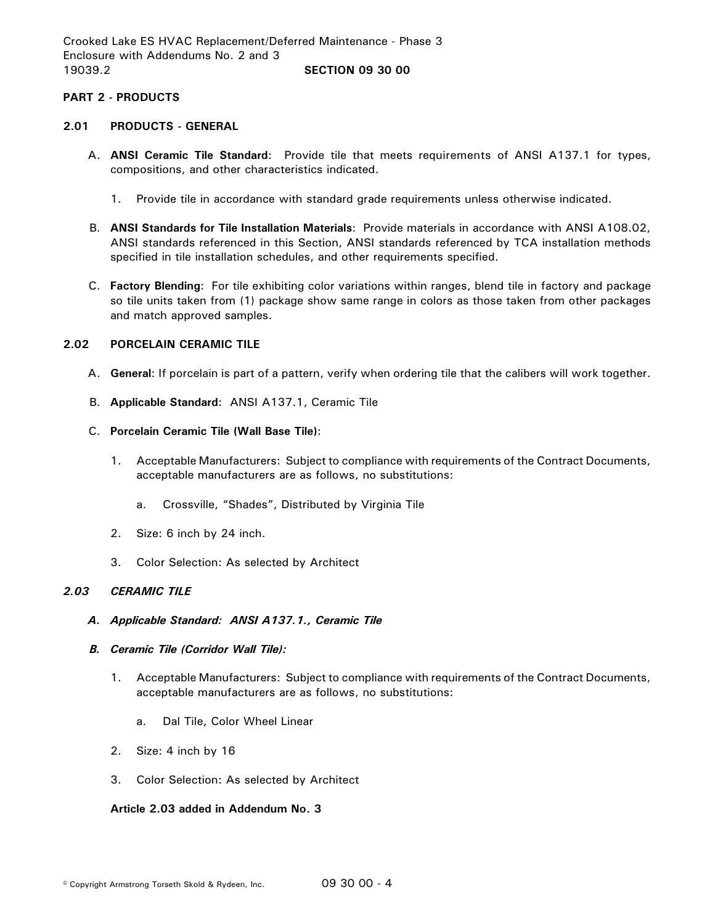# **PART 2 - PRODUCTS**

### **2.01 PRODUCTS - GENERAL**

- A. **ANSI Ceramic Tile Standard**: Provide tile that meets requirements of ANSI A137.1 for types, compositions, and other characteristics indicated.
	- 1. Provide tile in accordance with standard grade requirements unless otherwise indicated.
- B. **ANSI Standards for Tile Installation Materials**: Provide materials in accordance with ANSI A108.02, ANSI standards referenced in this Section, ANSI standards referenced by TCA installation methods specified in tile installation schedules, and other requirements specified.
- C. **Factory Blending**: For tile exhibiting color variations within ranges, blend tile in factory and package so tile units taken from (1) package show same range in colors as those taken from other packages and match approved samples.

### **2.02 PORCELAIN CERAMIC TILE**

- A. **General**: If porcelain is part of a pattern, verify when ordering tile that the calibers will work together.
- B. **Applicable Standard**: ANSI A137.1, Ceramic Tile
- C. **Porcelain Ceramic Tile (Wall Base Tile)**:
	- 1. Acceptable Manufacturers: Subject to compliance with requirements of the Contract Documents, acceptable manufacturers are as follows, no substitutions:
		- a. Crossville, "Shades", Distributed by Virginia Tile
	- 2. Size: 6 inch by 24 inch.
	- 3. Color Selection: As selected by Architect

## *2.03 CERAMIC TILE*

*A. Applicable Standard: ANSI A137.1., Ceramic Tile*

#### *B. Ceramic Tile (Corridor Wall Tile):*

- 1. Acceptable Manufacturers: Subject to compliance with requirements of the Contract Documents, acceptable manufacturers are as follows, no substitutions:
	- a. Dal Tile, Color Wheel Linear
- 2. Size: 4 inch by 16
- 3. Color Selection: As selected by Architect

#### **Article 2.03 added in Addendum No. 3**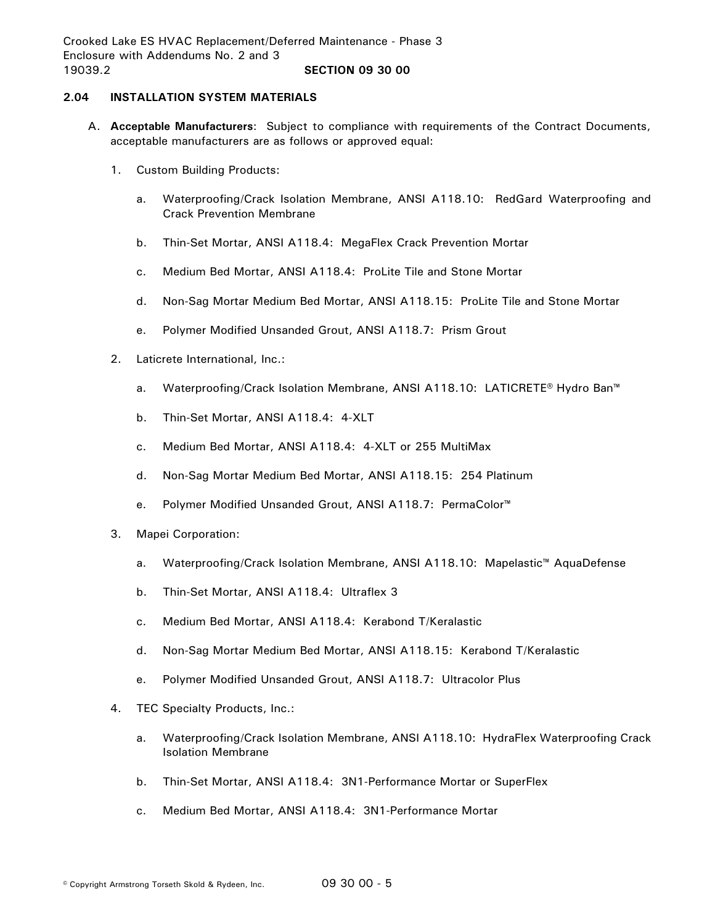# **2.04 INSTALLATION SYSTEM MATERIALS**

- A. **Acceptable Manufacturers**: Subject to compliance with requirements of the Contract Documents, acceptable manufacturers are as follows or approved equal:
	- 1. Custom Building Products:
		- a. Waterproofing/Crack Isolation Membrane, ANSI A118.10: RedGard Waterproofing and Crack Prevention Membrane
		- b. Thin-Set Mortar, ANSI A118.4: MegaFlex Crack Prevention Mortar
		- c. Medium Bed Mortar, ANSI A118.4: ProLite Tile and Stone Mortar
		- d. Non-Sag Mortar Medium Bed Mortar, ANSI A118.15: ProLite Tile and Stone Mortar
		- e. Polymer Modified Unsanded Grout, ANSI A118.7: Prism Grout
	- 2. Laticrete International, Inc.:
		- a. Waterproofing/Crack Isolation Membrane, ANSI A118.10: LATICRETE® Hydro Ban™
		- b. Thin-Set Mortar, ANSI A118.4: 4-XLT
		- c. Medium Bed Mortar, ANSI A118.4: 4-XLT or 255 MultiMax
		- d. Non-Sag Mortar Medium Bed Mortar, ANSI A118.15: 254 Platinum
		- e. Polymer Modified Unsanded Grout, ANSI A118.7: PermaColor™
	- 3. Mapei Corporation:
		- a. Waterproofing/Crack Isolation Membrane, ANSI A118.10: Mapelastic™ AquaDefense
		- b. Thin-Set Mortar, ANSI A118.4: Ultraflex 3
		- c. Medium Bed Mortar, ANSI A118.4: Kerabond T/Keralastic
		- d. Non-Sag Mortar Medium Bed Mortar, ANSI A118.15: Kerabond T/Keralastic
		- e. Polymer Modified Unsanded Grout, ANSI A118.7: Ultracolor Plus
	- 4. TEC Specialty Products, Inc.:
		- a. Waterproofing/Crack Isolation Membrane, ANSI A118.10: HydraFlex Waterproofing Crack Isolation Membrane
		- b. Thin-Set Mortar, ANSI A118.4: 3N1-Performance Mortar or SuperFlex
		- c. Medium Bed Mortar, ANSI A118.4: 3N1-Performance Mortar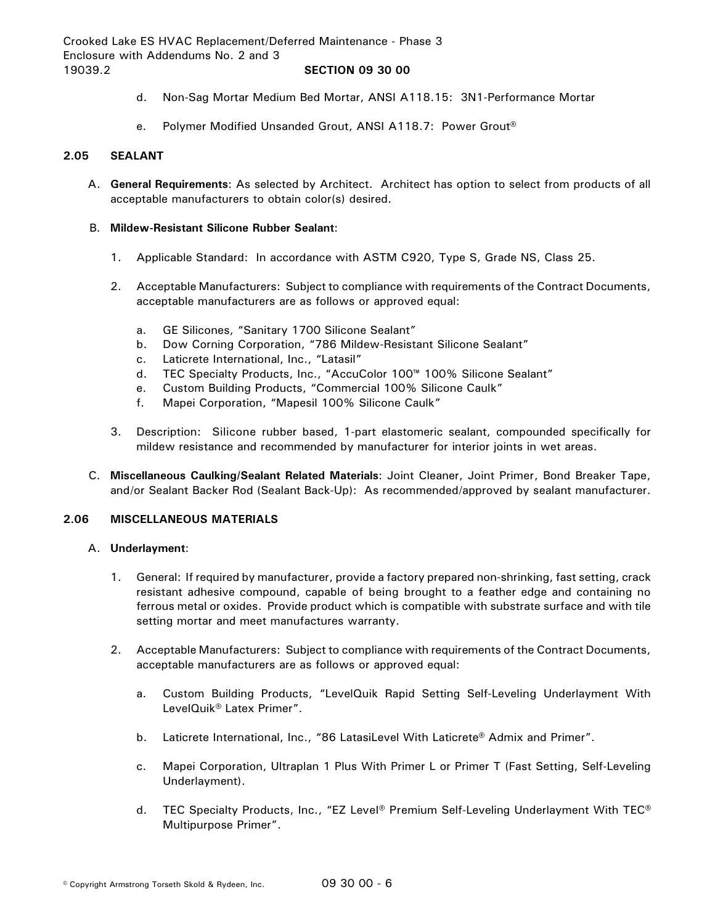- d. Non-Sag Mortar Medium Bed Mortar, ANSI A118.15: 3N1-Performance Mortar
- e. Polymer Modified Unsanded Grout, ANSI A118.7: Power Grout®

# **2.05 SEALANT**

A. **General Requirements**: As selected by Architect. Architect has option to select from products of all acceptable manufacturers to obtain color(s) desired.

## B. **Mildew-Resistant Silicone Rubber Sealant**:

- 1. Applicable Standard: In accordance with ASTM C920, Type S, Grade NS, Class 25.
- 2. Acceptable Manufacturers: Subject to compliance with requirements of the Contract Documents, acceptable manufacturers are as follows or approved equal:
	- a. GE Silicones, "Sanitary 1700 Silicone Sealant"
	- b. Dow Corning Corporation, "786 Mildew-Resistant Silicone Sealant"
	- c. Laticrete International, Inc., "Latasil"
	- d. TEC Specialty Products, Inc., "AccuColor 100™ 100% Silicone Sealant"
	- e. Custom Building Products, "Commercial 100% Silicone Caulk"
	- f. Mapei Corporation, "Mapesil 100% Silicone Caulk"
- 3. Description: Silicone rubber based, 1-part elastomeric sealant, compounded specifically for mildew resistance and recommended by manufacturer for interior joints in wet areas.
- C. **Miscellaneous Caulking/Sealant Related Materials**: Joint Cleaner, Joint Primer, Bond Breaker Tape, and/or Sealant Backer Rod (Sealant Back-Up): As recommended/approved by sealant manufacturer.

## **2.06 MISCELLANEOUS MATERIALS**

## A. **Underlayment**:

- 1. General: If required by manufacturer, provide a factory prepared non-shrinking, fast setting, crack resistant adhesive compound, capable of being brought to a feather edge and containing no ferrous metal or oxides. Provide product which is compatible with substrate surface and with tile setting mortar and meet manufactures warranty.
- 2. Acceptable Manufacturers: Subject to compliance with requirements of the Contract Documents, acceptable manufacturers are as follows or approved equal:
	- a. Custom Building Products, "LevelQuik Rapid Setting Self-Leveling Underlayment With LevelQuik® Latex Primer".
	- b. Laticrete International, Inc., "86 LatasiLevel With Laticrete® Admix and Primer".
	- c. Mapei Corporation, Ultraplan 1 Plus With Primer L or Primer T (Fast Setting, Self-Leveling Underlayment).
	- d. TEC Specialty Products, Inc., "EZ Level® Premium Self-Leveling Underlayment With TEC® Multipurpose Primer".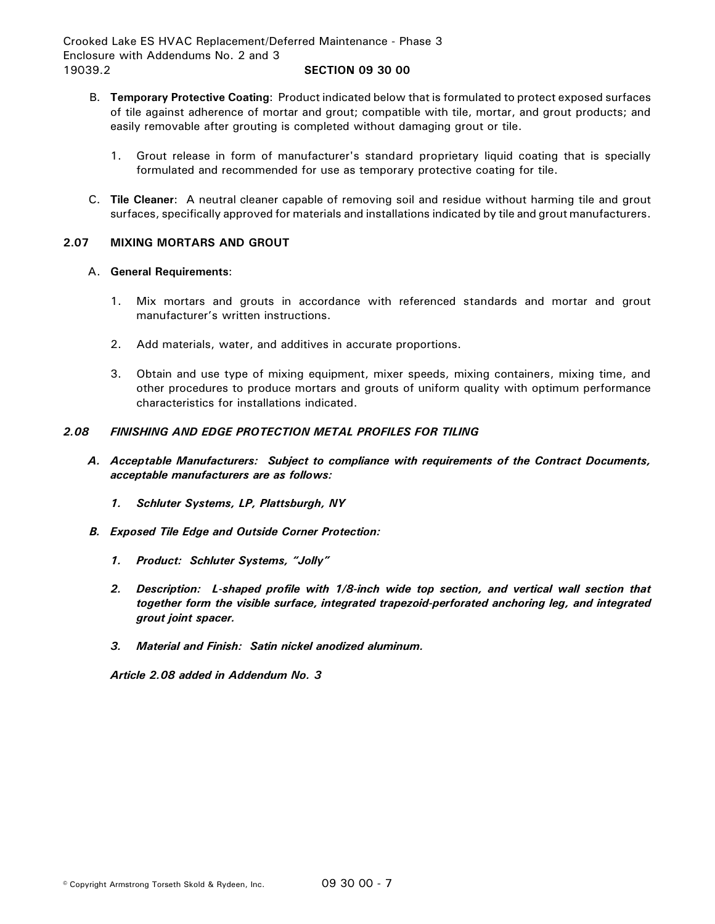- B. **Temporary Protective Coating**: Product indicated below that is formulated to protect exposed surfaces of tile against adherence of mortar and grout; compatible with tile, mortar, and grout products; and easily removable after grouting is completed without damaging grout or tile.
	- 1. Grout release in form of manufacturer's standard proprietary liquid coating that is specially formulated and recommended for use as temporary protective coating for tile.
- C. **Tile Cleaner**: A neutral cleaner capable of removing soil and residue without harming tile and grout surfaces, specifically approved for materials and installations indicated by tile and grout manufacturers.

# **2.07 MIXING MORTARS AND GROUT**

### A. **General Requirements**:

- 1. Mix mortars and grouts in accordance with referenced standards and mortar and grout manufacturer's written instructions.
- 2. Add materials, water, and additives in accurate proportions.
- 3. Obtain and use type of mixing equipment, mixer speeds, mixing containers, mixing time, and other procedures to produce mortars and grouts of uniform quality with optimum performance characteristics for installations indicated.

## *2.08 FINISHING AND EDGE PROTECTION METAL PROFILES FOR TILING*

- *A. Acceptable Manufacturers: Subject to compliance with requirements of the Contract Documents, acceptable manufacturers are as follows:*
	- *1. Schluter Systems, LP, Plattsburgh, NY*
- *B. Exposed Tile Edge and Outside Corner Protection:*
	- *1. Product: Schluter Systems, "Jolly"*
	- *2. Description: L-shaped profile with 1/8-inch wide top section, and vertical wall section that together form the visible surface, integrated trapezoid-perforated anchoring leg, and integrated grout joint spacer.*
	- *3. Material and Finish: Satin nickel anodized aluminum.*

*Article 2.08 added in Addendum No. 3*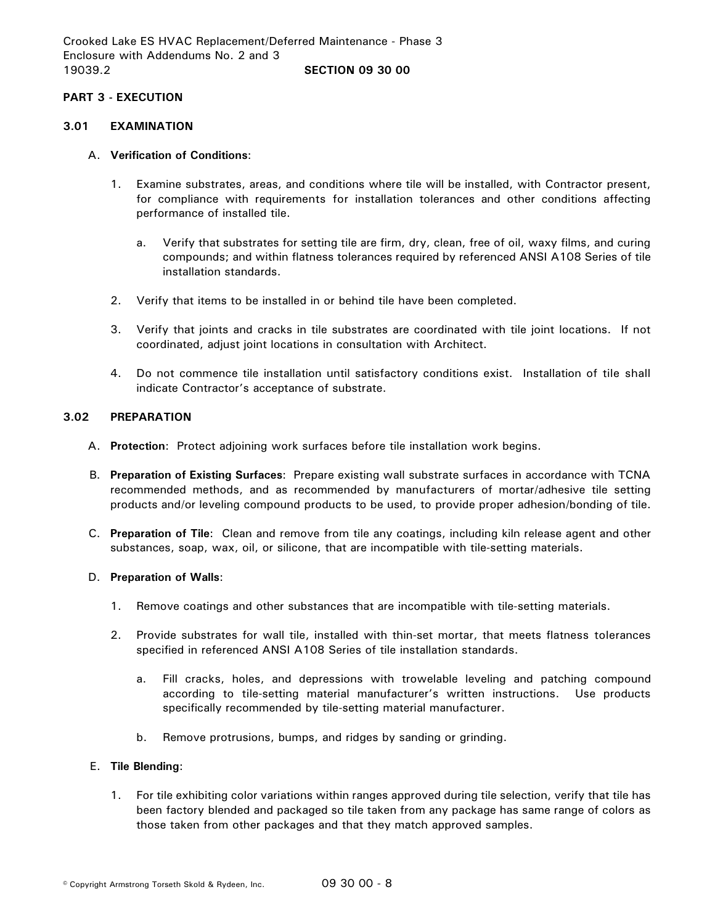## **PART 3 - EXECUTION**

#### **3.01 EXAMINATION**

#### A. **Verification of Conditions**:

- 1. Examine substrates, areas, and conditions where tile will be installed, with Contractor present, for compliance with requirements for installation tolerances and other conditions affecting performance of installed tile.
	- a. Verify that substrates for setting tile are firm, dry, clean, free of oil, waxy films, and curing compounds; and within flatness tolerances required by referenced ANSI A108 Series of tile installation standards.
- 2. Verify that items to be installed in or behind tile have been completed.
- 3. Verify that joints and cracks in tile substrates are coordinated with tile joint locations. If not coordinated, adjust joint locations in consultation with Architect.
- 4. Do not commence tile installation until satisfactory conditions exist. Installation of tile shall indicate Contractor's acceptance of substrate.

# **3.02 PREPARATION**

- A. **Protection**: Protect adjoining work surfaces before tile installation work begins.
- B. **Preparation of Existing Surfaces**: Prepare existing wall substrate surfaces in accordance with TCNA recommended methods, and as recommended by manufacturers of mortar/adhesive tile setting products and/or leveling compound products to be used, to provide proper adhesion/bonding of tile.
- C. **Preparation of Tile**: Clean and remove from tile any coatings, including kiln release agent and other substances, soap, wax, oil, or silicone, that are incompatible with tile-setting materials.

#### D. **Preparation of Walls**:

- 1. Remove coatings and other substances that are incompatible with tile-setting materials.
- 2. Provide substrates for wall tile, installed with thin-set mortar, that meets flatness tolerances specified in referenced ANSI A108 Series of tile installation standards.
	- a. Fill cracks, holes, and depressions with trowelable leveling and patching compound according to tile-setting material manufacturer's written instructions. Use products specifically recommended by tile-setting material manufacturer.
	- b. Remove protrusions, bumps, and ridges by sanding or grinding.

#### E. **Tile Blending**:

1. For tile exhibiting color variations within ranges approved during tile selection, verify that tile has been factory blended and packaged so tile taken from any package has same range of colors as those taken from other packages and that they match approved samples.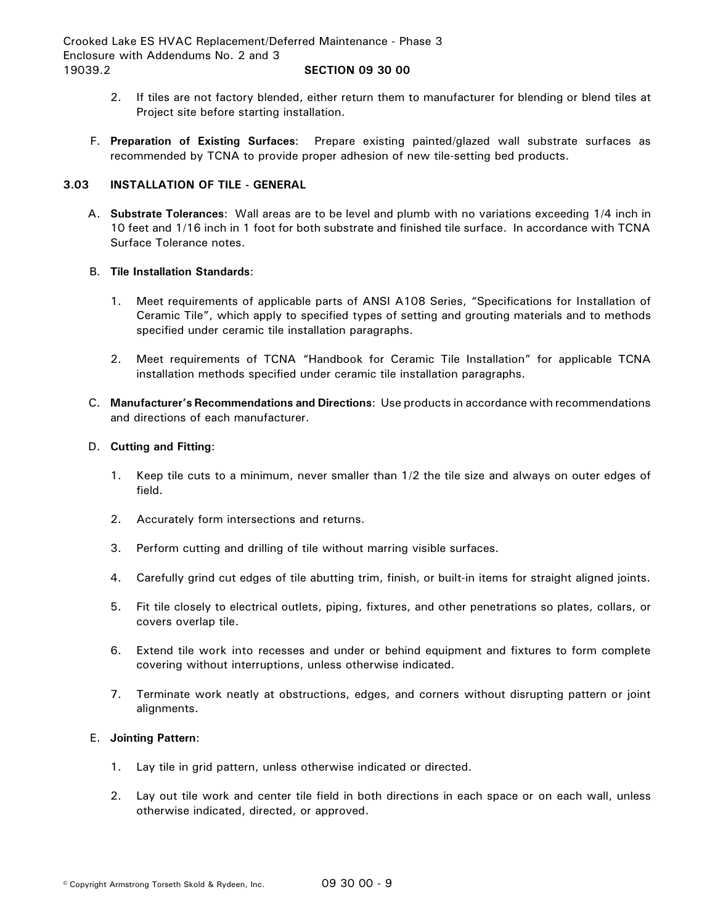- 2. If tiles are not factory blended, either return them to manufacturer for blending or blend tiles at Project site before starting installation.
- F. **Preparation of Existing Surfaces**: Prepare existing painted/glazed wall substrate surfaces as recommended by TCNA to provide proper adhesion of new tile-setting bed products.

# **3.03 INSTALLATION OF TILE - GENERAL**

A. **Substrate Tolerances**: Wall areas are to be level and plumb with no variations exceeding 1/4 inch in 10 feet and 1/16 inch in 1 foot for both substrate and finished tile surface. In accordance with TCNA Surface Tolerance notes.

## B. **Tile Installation Standards**:

- 1. Meet requirements of applicable parts of ANSI A108 Series, "Specifications for Installation of Ceramic Tile", which apply to specified types of setting and grouting materials and to methods specified under ceramic tile installation paragraphs.
- 2. Meet requirements of TCNA "Handbook for Ceramic Tile Installation" for applicable TCNA installation methods specified under ceramic tile installation paragraphs.
- C. **Manufacturer's Recommendations and Directions**: Use products in accordance with recommendations and directions of each manufacturer.

## D. **Cutting and Fitting**:

- 1. Keep tile cuts to a minimum, never smaller than 1/2 the tile size and always on outer edges of field.
- 2. Accurately form intersections and returns.
- 3. Perform cutting and drilling of tile without marring visible surfaces.
- 4. Carefully grind cut edges of tile abutting trim, finish, or built-in items for straight aligned joints.
- 5. Fit tile closely to electrical outlets, piping, fixtures, and other penetrations so plates, collars, or covers overlap tile.
- 6. Extend tile work into recesses and under or behind equipment and fixtures to form complete covering without interruptions, unless otherwise indicated.
- 7. Terminate work neatly at obstructions, edges, and corners without disrupting pattern or joint alignments.

#### E. **Jointing Pattern**:

- 1. Lay tile in grid pattern, unless otherwise indicated or directed.
- 2. Lay out tile work and center tile field in both directions in each space or on each wall, unless otherwise indicated, directed, or approved.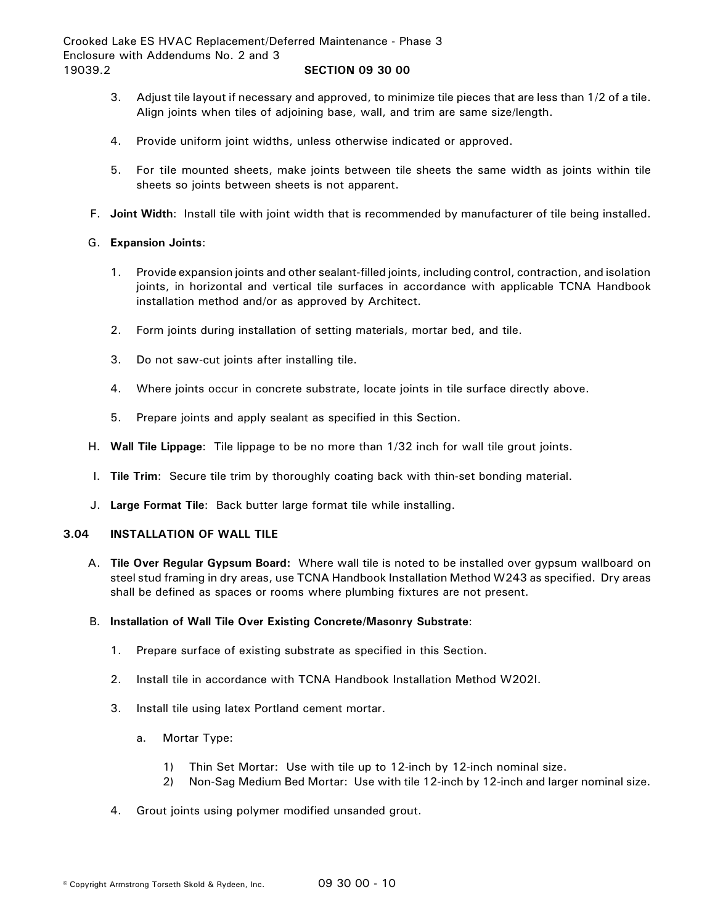- 3. Adjust tile layout if necessary and approved, to minimize tile pieces that are less than 1/2 of a tile. Align joints when tiles of adjoining base, wall, and trim are same size/length.
- 4. Provide uniform joint widths, unless otherwise indicated or approved.
- 5. For tile mounted sheets, make joints between tile sheets the same width as joints within tile sheets so joints between sheets is not apparent.
- F. **Joint Width**: Install tile with joint width that is recommended by manufacturer of tile being installed.
- G. **Expansion Joints**:
	- 1. Provide expansion joints and other sealant-filled joints, including control, contraction, and isolation joints, in horizontal and vertical tile surfaces in accordance with applicable TCNA Handbook installation method and/or as approved by Architect.
	- 2. Form joints during installation of setting materials, mortar bed, and tile.
	- 3. Do not saw-cut joints after installing tile.
	- 4. Where joints occur in concrete substrate, locate joints in tile surface directly above.
	- 5. Prepare joints and apply sealant as specified in this Section.
- H. **Wall Tile Lippage**: Tile lippage to be no more than 1/32 inch for wall tile grout joints.
- I. **Tile Trim**: Secure tile trim by thoroughly coating back with thin-set bonding material.
- J. **Large Format Tile**: Back butter large format tile while installing.

## **3.04 INSTALLATION OF WALL TILE**

A. **Tile Over Regular Gypsum Board:** Where wall tile is noted to be installed over gypsum wallboard on steel stud framing in dry areas, use TCNA Handbook Installation Method W243 as specified. Dry areas shall be defined as spaces or rooms where plumbing fixtures are not present.

## B. **Installation of Wall Tile Over Existing Concrete/Masonry Substrate**:

- 1. Prepare surface of existing substrate as specified in this Section.
- 2. Install tile in accordance with TCNA Handbook Installation Method W202I.
- 3. Install tile using latex Portland cement mortar.
	- a. Mortar Type:
		- 1) Thin Set Mortar: Use with tile up to 12-inch by 12-inch nominal size.
		- 2) Non-Sag Medium Bed Mortar: Use with tile 12-inch by 12-inch and larger nominal size.
- 4. Grout joints using polymer modified unsanded grout.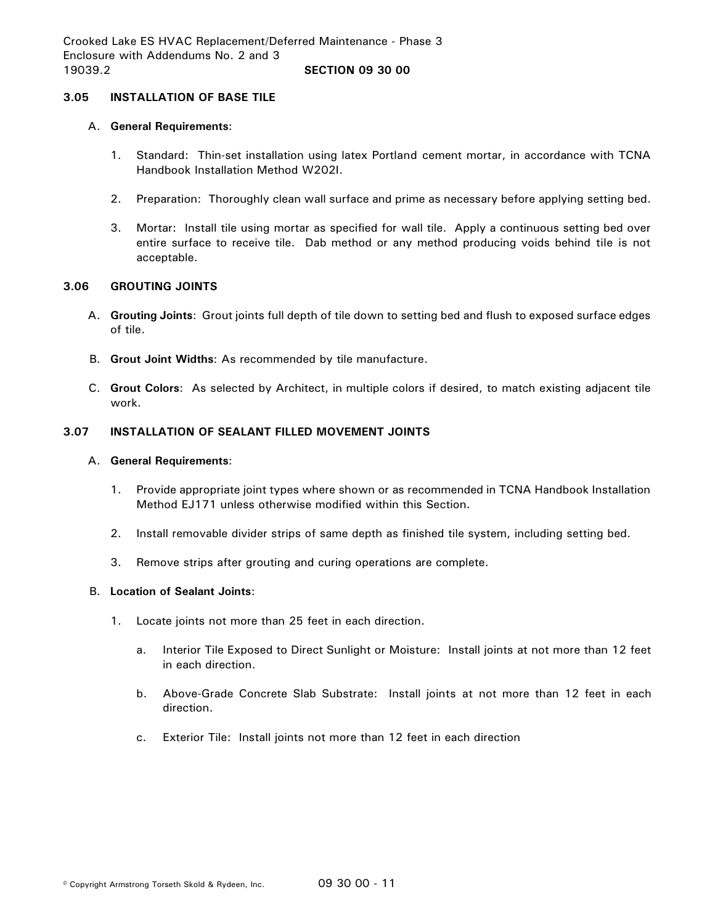### **3.05 INSTALLATION OF BASE TILE**

#### A. **General Requirements**:

- 1. Standard: Thin-set installation using latex Portland cement mortar, in accordance with TCNA Handbook Installation Method W202I.
- 2. Preparation: Thoroughly clean wall surface and prime as necessary before applying setting bed.
- 3. Mortar: Install tile using mortar as specified for wall tile. Apply a continuous setting bed over entire surface to receive tile. Dab method or any method producing voids behind tile is not acceptable.

### **3.06 GROUTING JOINTS**

- A. **Grouting Joints**: Grout joints full depth of tile down to setting bed and flush to exposed surface edges of tile.
- B. **Grout Joint Widths**: As recommended by tile manufacture.
- C. **Grout Colors**: As selected by Architect, in multiple colors if desired, to match existing adjacent tile work.

### **3.07 INSTALLATION OF SEALANT FILLED MOVEMENT JOINTS**

### A. **General Requirements**:

- 1. Provide appropriate joint types where shown or as recommended in TCNA Handbook Installation Method EJ171 unless otherwise modified within this Section.
- 2. Install removable divider strips of same depth as finished tile system, including setting bed.
- 3. Remove strips after grouting and curing operations are complete.

#### B. **Location of Sealant Joints**:

- 1. Locate joints not more than 25 feet in each direction.
	- a. Interior Tile Exposed to Direct Sunlight or Moisture: Install joints at not more than 12 feet in each direction.
	- b. Above-Grade Concrete Slab Substrate: Install joints at not more than 12 feet in each direction.
	- c. Exterior Tile: Install joints not more than 12 feet in each direction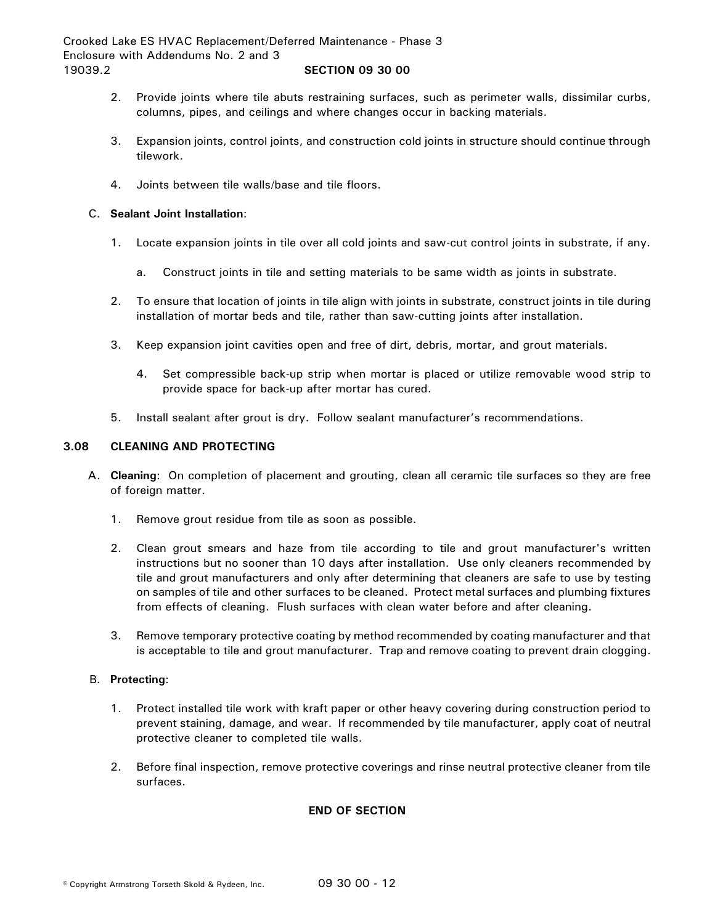- 2. Provide joints where tile abuts restraining surfaces, such as perimeter walls, dissimilar curbs, columns, pipes, and ceilings and where changes occur in backing materials.
- 3. Expansion joints, control joints, and construction cold joints in structure should continue through tilework.
- 4. Joints between tile walls/base and tile floors.

## C. **Sealant Joint Installation**:

- 1. Locate expansion joints in tile over all cold joints and saw-cut control joints in substrate, if any.
	- a. Construct joints in tile and setting materials to be same width as joints in substrate.
- 2. To ensure that location of joints in tile align with joints in substrate, construct joints in tile during installation of mortar beds and tile, rather than saw-cutting joints after installation.
- 3. Keep expansion joint cavities open and free of dirt, debris, mortar, and grout materials.
	- 4. Set compressible back-up strip when mortar is placed or utilize removable wood strip to provide space for back-up after mortar has cured.
- 5. Install sealant after grout is dry. Follow sealant manufacturer's recommendations.

### **3.08 CLEANING AND PROTECTING**

- A. **Cleaning**: On completion of placement and grouting, clean all ceramic tile surfaces so they are free of foreign matter.
	- 1. Remove grout residue from tile as soon as possible.
	- 2. Clean grout smears and haze from tile according to tile and grout manufacturer's written instructions but no sooner than 10 days after installation. Use only cleaners recommended by tile and grout manufacturers and only after determining that cleaners are safe to use by testing on samples of tile and other surfaces to be cleaned. Protect metal surfaces and plumbing fixtures from effects of cleaning. Flush surfaces with clean water before and after cleaning.
	- 3. Remove temporary protective coating by method recommended by coating manufacturer and that is acceptable to tile and grout manufacturer. Trap and remove coating to prevent drain clogging.

## B. **Protecting**:

- 1. Protect installed tile work with kraft paper or other heavy covering during construction period to prevent staining, damage, and wear. If recommended by tile manufacturer, apply coat of neutral protective cleaner to completed tile walls.
- 2. Before final inspection, remove protective coverings and rinse neutral protective cleaner from tile surfaces.

## **END OF SECTION**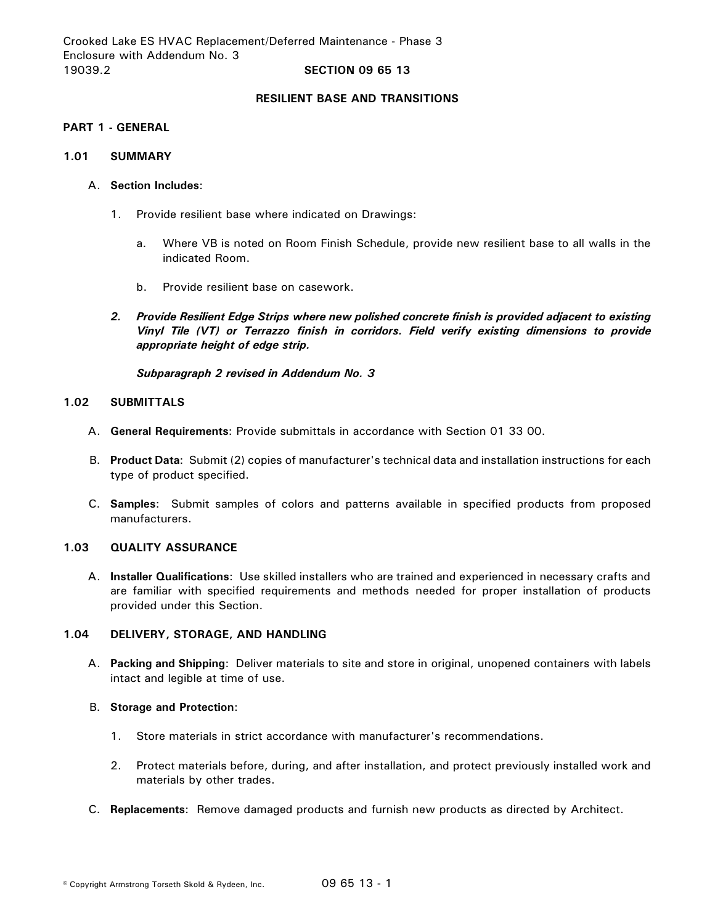Crooked Lake ES HVAC Replacement/Deferred Maintenance - Phase 3 Enclosure with Addendum No. 3 19039.2 **SECTION 09 65 13**

### **RESILIENT BASE AND TRANSITIONS**

#### **PART 1 - GENERAL**

#### **1.01 SUMMARY**

### A. **Section Includes**:

- 1. Provide resilient base where indicated on Drawings:
	- a. Where VB is noted on Room Finish Schedule, provide new resilient base to all walls in the indicated Room.
	- b. Provide resilient base on casework.
- *2. Provide Resilient Edge Strips where new polished concrete finish is provided adjacent to existing Vinyl Tile (VT) or Terrazzo finish in corridors. Field verify existing dimensions to provide appropriate height of edge strip.*

*Subparagraph 2 revised in Addendum No. 3*

### **1.02 SUBMITTALS**

- A. **General Requirements**: Provide submittals in accordance with Section 01 33 00.
- B. **Product Data**: Submit (2) copies of manufacturer's technical data and installation instructions for each type of product specified.
- C. **Samples**: Submit samples of colors and patterns available in specified products from proposed manufacturers.

# **1.03 QUALITY ASSURANCE**

A. **Installer Qualifications**: Use skilled installers who are trained and experienced in necessary crafts and are familiar with specified requirements and methods needed for proper installation of products provided under this Section.

# **1.04 DELIVERY, STORAGE, AND HANDLING**

A. **Packing and Shipping**: Deliver materials to site and store in original, unopened containers with labels intact and legible at time of use.

#### B. **Storage and Protection**:

- 1. Store materials in strict accordance with manufacturer's recommendations.
- 2. Protect materials before, during, and after installation, and protect previously installed work and materials by other trades.
- C. **Replacements**: Remove damaged products and furnish new products as directed by Architect.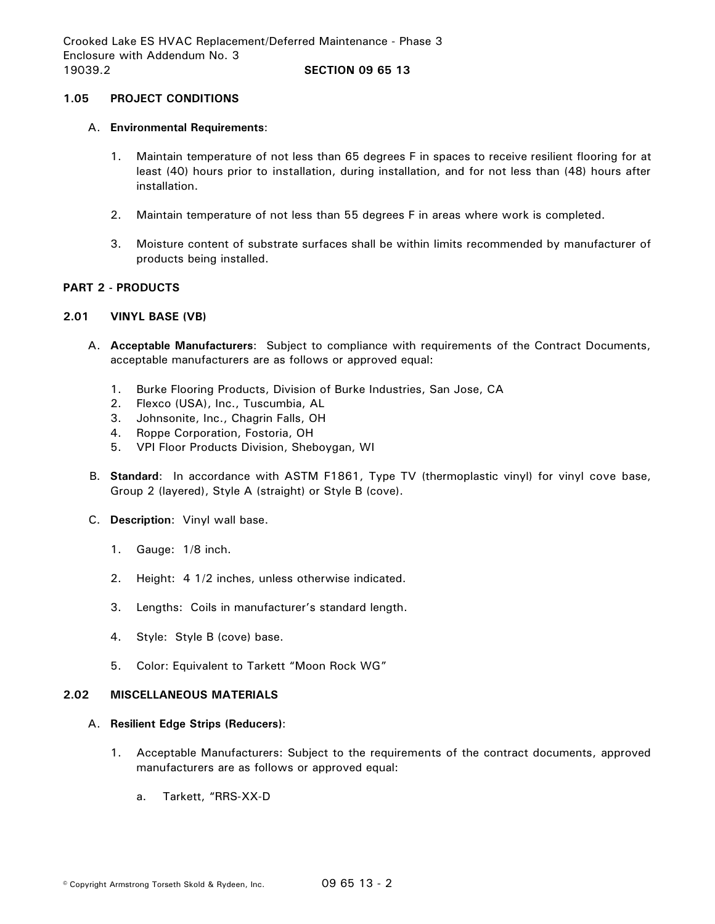## **1.05 PROJECT CONDITIONS**

#### A. **Environmental Requirements**:

- 1. Maintain temperature of not less than 65 degrees F in spaces to receive resilient flooring for at least (40) hours prior to installation, during installation, and for not less than (48) hours after installation.
- 2. Maintain temperature of not less than 55 degrees F in areas where work is completed.
- 3. Moisture content of substrate surfaces shall be within limits recommended by manufacturer of products being installed.

## **PART 2 - PRODUCTS**

### **2.01 VINYL BASE (VB)**

- A. **Acceptable Manufacturers**: Subject to compliance with requirements of the Contract Documents, acceptable manufacturers are as follows or approved equal:
	- 1. Burke Flooring Products, Division of Burke Industries, San Jose, CA
	- 2. Flexco (USA), Inc., Tuscumbia, AL
	- 3. Johnsonite, Inc., Chagrin Falls, OH
	- 4. Roppe Corporation, Fostoria, OH
	- 5. VPI Floor Products Division, Sheboygan, WI
- B. **Standard**: In accordance with ASTM F1861, Type TV (thermoplastic vinyl) for vinyl cove base, Group 2 (layered), Style A (straight) or Style B (cove).
- C. **Description**: Vinyl wall base.
	- 1. Gauge: 1/8 inch.
	- 2. Height: 4 1/2 inches, unless otherwise indicated.
	- 3. Lengths: Coils in manufacturer's standard length.
	- 4. Style: Style B (cove) base.
	- 5. Color: Equivalent to Tarkett "Moon Rock WG"

#### **2.02 MISCELLANEOUS MATERIALS**

#### A. **Resilient Edge Strips (Reducers)**:

- 1. Acceptable Manufacturers: Subject to the requirements of the contract documents, approved manufacturers are as follows or approved equal:
	- a. Tarkett, "RRS-XX-D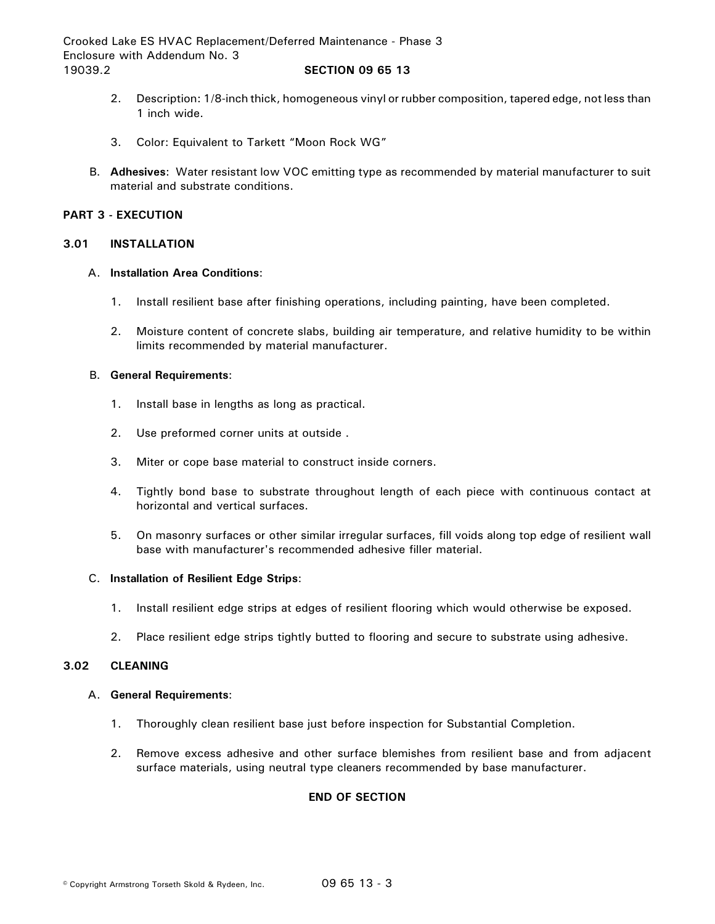Crooked Lake ES HVAC Replacement/Deferred Maintenance - Phase 3 Enclosure with Addendum No. 3 19039.2 **SECTION 09 65 13**

- 2. Description: 1/8-inch thick, homogeneous vinyl or rubber composition, tapered edge, not less than 1 inch wide.
- 3. Color: Equivalent to Tarkett "Moon Rock WG"
- B. **Adhesives**: Water resistant low VOC emitting type as recommended by material manufacturer to suit material and substrate conditions.

### **PART 3 - EXECUTION**

#### **3.01 INSTALLATION**

### A. **Installation Area Conditions**:

- 1. Install resilient base after finishing operations, including painting, have been completed.
- 2. Moisture content of concrete slabs, building air temperature, and relative humidity to be within limits recommended by material manufacturer.

### B. **General Requirements**:

- 1. Install base in lengths as long as practical.
- 2. Use preformed corner units at outside .
- 3. Miter or cope base material to construct inside corners.
- 4. Tightly bond base to substrate throughout length of each piece with continuous contact at horizontal and vertical surfaces.
- 5. On masonry surfaces or other similar irregular surfaces, fill voids along top edge of resilient wall base with manufacturer's recommended adhesive filler material.

#### C. **Installation of Resilient Edge Strips**:

- 1. Install resilient edge strips at edges of resilient flooring which would otherwise be exposed.
- 2. Place resilient edge strips tightly butted to flooring and secure to substrate using adhesive.

## **3.02 CLEANING**

#### A. **General Requirements**:

- 1. Thoroughly clean resilient base just before inspection for Substantial Completion.
- 2. Remove excess adhesive and other surface blemishes from resilient base and from adjacent surface materials, using neutral type cleaners recommended by base manufacturer.

## **END OF SECTION**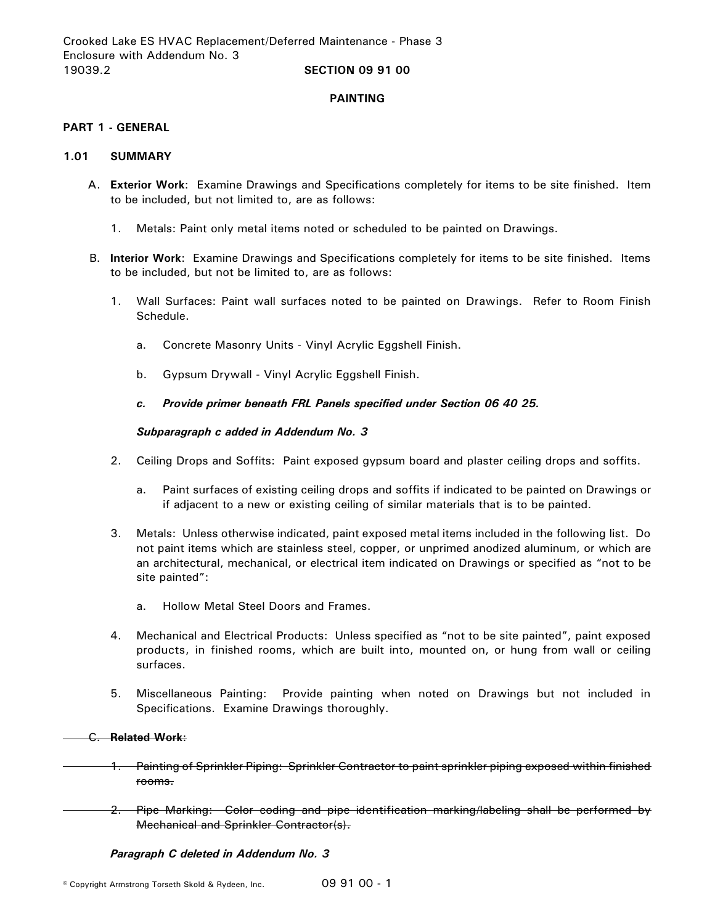### **PAINTING**

### **PART 1 - GENERAL**

### **1.01 SUMMARY**

- A. **Exterior Work**: Examine Drawings and Specifications completely for items to be site finished. Item to be included, but not limited to, are as follows:
	- 1. Metals: Paint only metal items noted or scheduled to be painted on Drawings.
- B. **Interior Work**: Examine Drawings and Specifications completely for items to be site finished. Items to be included, but not be limited to, are as follows:
	- 1. Wall Surfaces: Paint wall surfaces noted to be painted on Drawings. Refer to Room Finish Schedule.
		- a. Concrete Masonry Units Vinyl Acrylic Eggshell Finish.
		- b. Gypsum Drywall Vinyl Acrylic Eggshell Finish.
		- *c. Provide primer beneath FRL Panels specified under Section 06 40 25.*

#### *Subparagraph c added in Addendum No. 3*

- 2. Ceiling Drops and Soffits: Paint exposed gypsum board and plaster ceiling drops and soffits.
	- a. Paint surfaces of existing ceiling drops and soffits if indicated to be painted on Drawings or if adjacent to a new or existing ceiling of similar materials that is to be painted.
- 3. Metals: Unless otherwise indicated, paint exposed metal items included in the following list. Do not paint items which are stainless steel, copper, or unprimed anodized aluminum, or which are an architectural, mechanical, or electrical item indicated on Drawings or specified as "not to be site painted":
	- a. Hollow Metal Steel Doors and Frames.
- 4. Mechanical and Electrical Products: Unless specified as "not to be site painted", paint exposed products, in finished rooms, which are built into, mounted on, or hung from wall or ceiling surfaces.
- 5. Miscellaneous Painting: Provide painting when noted on Drawings but not included in Specifications. Examine Drawings thoroughly.

#### C. **Related Work**:

- 1. Painting of Sprinkler Piping: Sprinkler Contractor to paint sprinkler piping exposed within finished rooms.
- 2. Pipe Marking: Color coding and pipe identification marking/labeling shall be performed by Mechanical and Sprinkler Contractor(s).

*Paragraph C deleted in Addendum No. 3*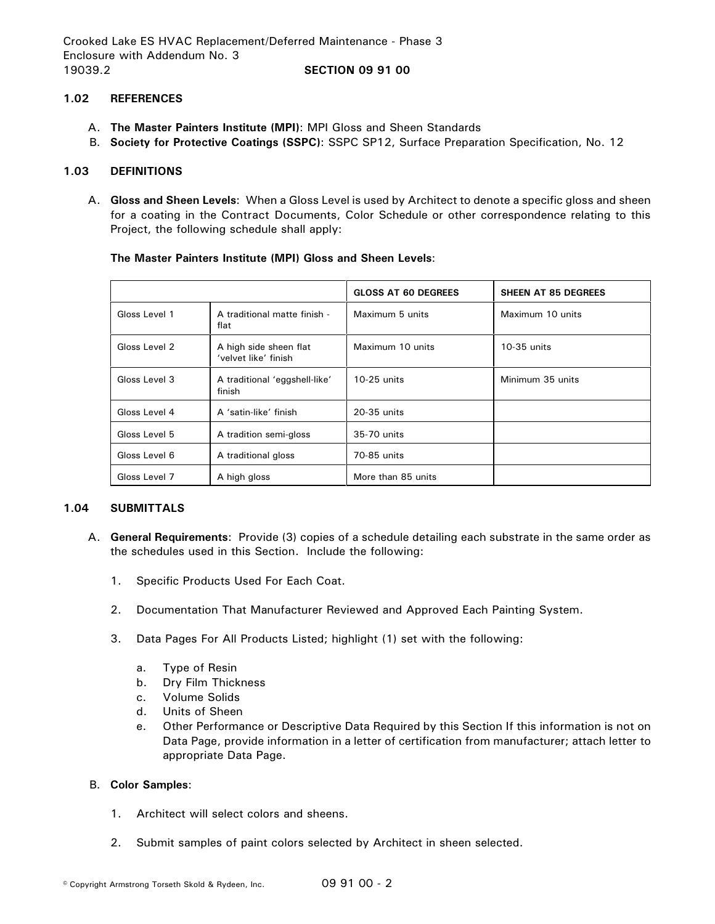### **1.02 REFERENCES**

- A. **The Master Painters Institute (MPI)**: MPI Gloss and Sheen Standards
- B. **Society for Protective Coatings (SSPC)**: SSPC SP12, Surface Preparation Specification, No. 12

#### **1.03 DEFINITIONS**

A. **Gloss and Sheen Levels**: When a Gloss Level is used by Architect to denote a specific gloss and sheen for a coating in the Contract Documents, Color Schedule or other correspondence relating to this Project, the following schedule shall apply:

**The Master Painters Institute (MPI) Gloss and Sheen Levels**:

|               |                                                | <b>GLOSS AT 60 DEGREES</b> | <b>SHEEN AT 85 DEGREES</b> |
|---------------|------------------------------------------------|----------------------------|----------------------------|
| Gloss Level 1 | A traditional matte finish -<br>flat           | Maximum 5 units            | Maximum 10 units           |
| Gloss Level 2 | A high side sheen flat<br>'velvet like' finish | Maximum 10 units           | 10-35 units                |
| Gloss Level 3 | A traditional 'eggshell-like'<br>finish        | 10-25 units                | Minimum 35 units           |
| Gloss Level 4 | A 'satin-like' finish                          | 20-35 units                |                            |
| Gloss Level 5 | A tradition semi-gloss                         | 35-70 units                |                            |
| Gloss Level 6 | A traditional gloss                            | 70-85 units                |                            |
| Gloss Level 7 | A high gloss                                   | More than 85 units         |                            |

#### **1.04 SUBMITTALS**

- A. **General Requirements**: Provide (3) copies of a schedule detailing each substrate in the same order as the schedules used in this Section. Include the following:
	- 1. Specific Products Used For Each Coat.
	- 2. Documentation That Manufacturer Reviewed and Approved Each Painting System.
	- 3. Data Pages For All Products Listed; highlight (1) set with the following:
		- a. Type of Resin
		- b. Dry Film Thickness
		- c. Volume Solids
		- d. Units of Sheen
		- e. Other Performance or Descriptive Data Required by this Section If this information is not on Data Page, provide information in a letter of certification from manufacturer; attach letter to appropriate Data Page.

#### B. **Color Samples**:

- 1. Architect will select colors and sheens.
- 2. Submit samples of paint colors selected by Architect in sheen selected.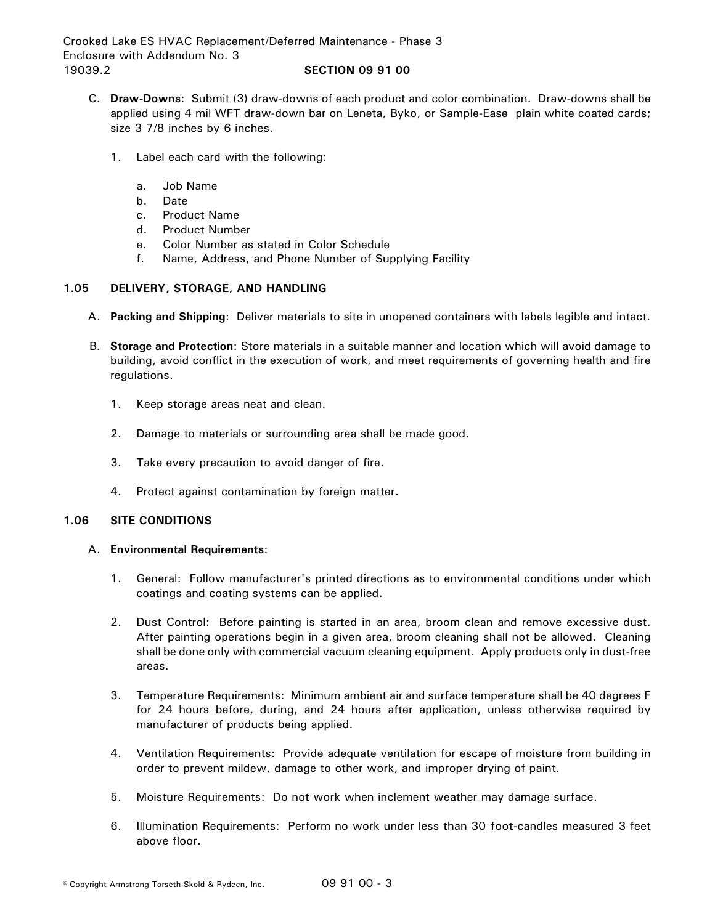- C. **Draw-Downs**: Submit (3) draw-downs of each product and color combination. Draw-downs shall be applied using 4 mil WFT draw-down bar on Leneta, Byko, or Sample-Ease plain white coated cards; size 3 7/8 inches by 6 inches.
	- 1. Label each card with the following:
		- a. Job Name
		- b. Date
		- c. Product Name
		- d. Product Number
		- e. Color Number as stated in Color Schedule
		- f. Name, Address, and Phone Number of Supplying Facility

# **1.05 DELIVERY, STORAGE, AND HANDLING**

- A. **Packing and Shipping**: Deliver materials to site in unopened containers with labels legible and intact.
- B. **Storage and Protection**: Store materials in a suitable manner and location which will avoid damage to building, avoid conflict in the execution of work, and meet requirements of governing health and fire regulations.
	- 1. Keep storage areas neat and clean.
	- 2. Damage to materials or surrounding area shall be made good.
	- 3. Take every precaution to avoid danger of fire.
	- 4. Protect against contamination by foreign matter.

## **1.06 SITE CONDITIONS**

## A. **Environmental Requirements**:

- 1. General: Follow manufacturer's printed directions as to environmental conditions under which coatings and coating systems can be applied.
- 2. Dust Control: Before painting is started in an area, broom clean and remove excessive dust. After painting operations begin in a given area, broom cleaning shall not be allowed. Cleaning shall be done only with commercial vacuum cleaning equipment. Apply products only in dust-free areas.
- 3. Temperature Requirements: Minimum ambient air and surface temperature shall be 40 degrees F for 24 hours before, during, and 24 hours after application, unless otherwise required by manufacturer of products being applied.
- 4. Ventilation Requirements: Provide adequate ventilation for escape of moisture from building in order to prevent mildew, damage to other work, and improper drying of paint.
- 5. Moisture Requirements: Do not work when inclement weather may damage surface.
- 6. Illumination Requirements: Perform no work under less than 30 foot-candles measured 3 feet above floor.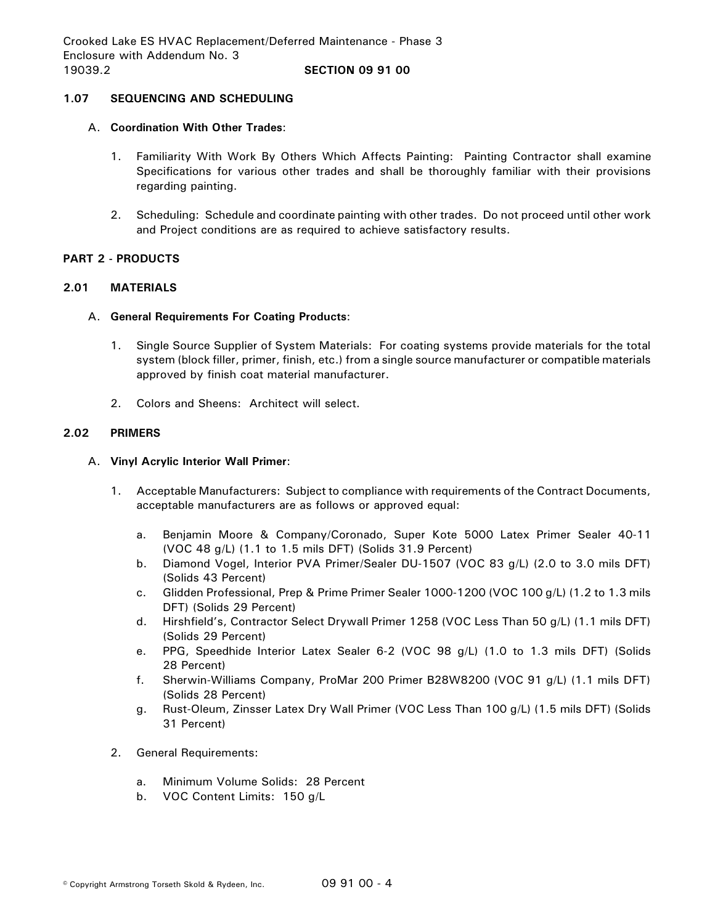# **1.07 SEQUENCING AND SCHEDULING**

### A. **Coordination With Other Trades**:

- 1. Familiarity With Work By Others Which Affects Painting: Painting Contractor shall examine Specifications for various other trades and shall be thoroughly familiar with their provisions regarding painting.
- 2. Scheduling: Schedule and coordinate painting with other trades. Do not proceed until other work and Project conditions are as required to achieve satisfactory results.

## **PART 2 - PRODUCTS**

### **2.01 MATERIALS**

### A. **General Requirements For Coating Products**:

- 1. Single Source Supplier of System Materials: For coating systems provide materials for the total system (block filler, primer, finish, etc.) from a single source manufacturer or compatible materials approved by finish coat material manufacturer.
- 2. Colors and Sheens: Architect will select.

### **2.02 PRIMERS**

### A. **Vinyl Acrylic Interior Wall Primer**:

- 1. Acceptable Manufacturers: Subject to compliance with requirements of the Contract Documents, acceptable manufacturers are as follows or approved equal:
	- a. Benjamin Moore & Company/Coronado, Super Kote 5000 Latex Primer Sealer 40-11 (VOC 48 g/L) (1.1 to 1.5 mils DFT) (Solids 31.9 Percent)
	- b. Diamond Vogel, Interior PVA Primer/Sealer DU-1507 (VOC 83 g/L) (2.0 to 3.0 mils DFT) (Solids 43 Percent)
	- c. Glidden Professional, Prep & Prime Primer Sealer 1000-1200 (VOC 100 g/L) (1.2 to 1.3 mils DFT) (Solids 29 Percent)
	- d. Hirshfield's, Contractor Select Drywall Primer 1258 (VOC Less Than 50 g/L) (1.1 mils DFT) (Solids 29 Percent)
	- e. PPG, Speedhide Interior Latex Sealer 6-2 (VOC 98 g/L) (1.0 to 1.3 mils DFT) (Solids 28 Percent)
	- f. Sherwin-Williams Company, ProMar 200 Primer B28W8200 (VOC 91 g/L) (1.1 mils DFT) (Solids 28 Percent)
	- g. Rust-Oleum, Zinsser Latex Dry Wall Primer (VOC Less Than 100 g/L) (1.5 mils DFT) (Solids 31 Percent)
- 2. General Requirements:
	- a. Minimum Volume Solids: 28 Percent
	- b. VOC Content Limits: 150 g/L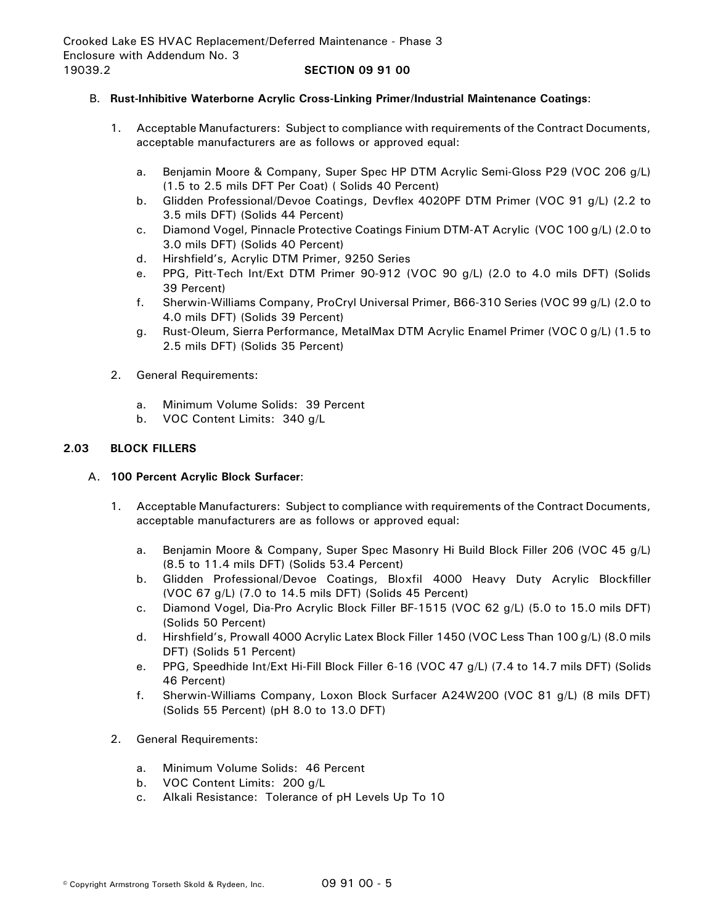# B. **Rust-Inhibitive Waterborne Acrylic Cross-Linking Primer/Industrial Maintenance Coatings**:

- 1. Acceptable Manufacturers: Subject to compliance with requirements of the Contract Documents, acceptable manufacturers are as follows or approved equal:
	- a. Benjamin Moore & Company, Super Spec HP DTM Acrylic Semi-Gloss P29 (VOC 206 g/L) (1.5 to 2.5 mils DFT Per Coat) ( Solids 40 Percent)
	- b. Glidden Professional/Devoe Coatings, Devflex 4020PF DTM Primer (VOC 91 g/L) (2.2 to 3.5 mils DFT) (Solids 44 Percent)
	- c. Diamond Vogel, Pinnacle Protective Coatings Finium DTM-AT Acrylic (VOC 100 g/L) (2.0 to 3.0 mils DFT) (Solids 40 Percent)
	- d. Hirshfield's, Acrylic DTM Primer, 9250 Series
	- e. PPG, Pitt-Tech Int/Ext DTM Primer 90-912 (VOC 90 g/L) (2.0 to 4.0 mils DFT) (Solids 39 Percent)
	- f. Sherwin-Williams Company, ProCryl Universal Primer, B66-310 Series (VOC 99 g/L) (2.0 to 4.0 mils DFT) (Solids 39 Percent)
	- g. Rust-Oleum, Sierra Performance, MetalMax DTM Acrylic Enamel Primer (VOC 0 g/L) (1.5 to 2.5 mils DFT) (Solids 35 Percent)
- 2. General Requirements:
	- a. Minimum Volume Solids: 39 Percent
	- b. VOC Content Limits: 340 g/L

# **2.03 BLOCK FILLERS**

- A. **100 Percent Acrylic Block Surfacer**:
	- 1. Acceptable Manufacturers: Subject to compliance with requirements of the Contract Documents, acceptable manufacturers are as follows or approved equal:
		- a. Benjamin Moore & Company, Super Spec Masonry Hi Build Block Filler 206 (VOC 45 g/L) (8.5 to 11.4 mils DFT) (Solids 53.4 Percent)
		- b. Glidden Professional/Devoe Coatings, Bloxfil 4000 Heavy Duty Acrylic Blockfiller (VOC 67 g/L) (7.0 to 14.5 mils DFT) (Solids 45 Percent)
		- c. Diamond Vogel, Dia-Pro Acrylic Block Filler BF-1515 (VOC 62 g/L) (5.0 to 15.0 mils DFT) (Solids 50 Percent)
		- d. Hirshfield's, Prowall 4000 Acrylic Latex Block Filler 1450 (VOC Less Than 100 g/L) (8.0 mils DFT) (Solids 51 Percent)
		- e. PPG, Speedhide Int/Ext Hi-Fill Block Filler 6-16 (VOC 47 g/L) (7.4 to 14.7 mils DFT) (Solids 46 Percent)
		- f. Sherwin-Williams Company, Loxon Block Surfacer A24W200 (VOC 81 g/L) (8 mils DFT) (Solids 55 Percent) (pH 8.0 to 13.0 DFT)
	- 2. General Requirements:
		- a. Minimum Volume Solids: 46 Percent
		- b. VOC Content Limits: 200 g/L
		- c. Alkali Resistance: Tolerance of pH Levels Up To 10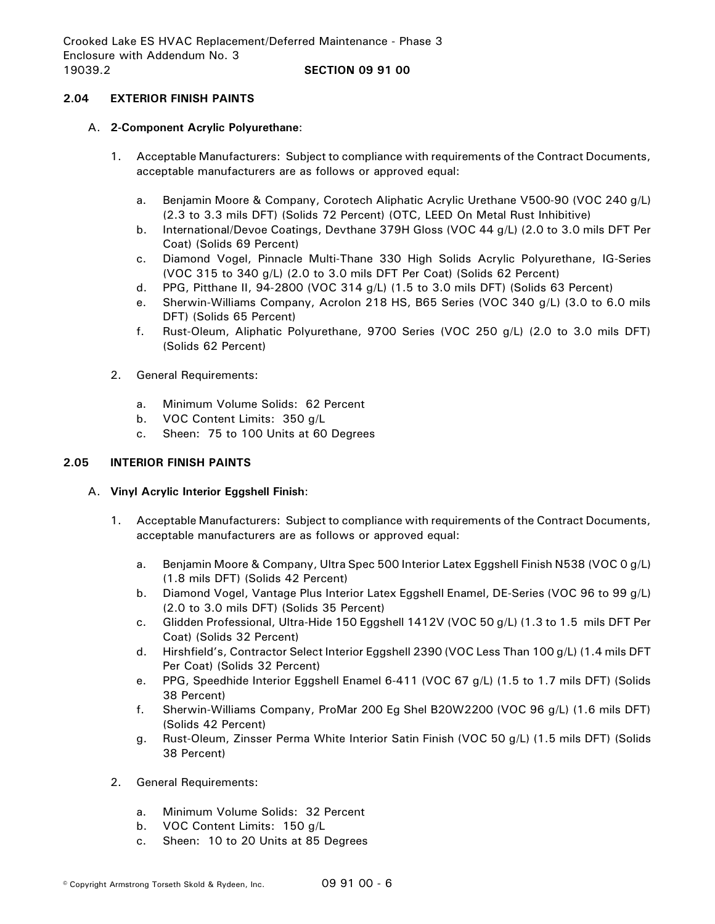# **2.04 EXTERIOR FINISH PAINTS**

### A. **2-Component Acrylic Polyurethane**:

- 1. Acceptable Manufacturers: Subject to compliance with requirements of the Contract Documents, acceptable manufacturers are as follows or approved equal:
	- a. Benjamin Moore & Company, Corotech Aliphatic Acrylic Urethane V500-90 (VOC 240 g/L) (2.3 to 3.3 mils DFT) (Solids 72 Percent) (OTC, LEED On Metal Rust Inhibitive)
	- b. International/Devoe Coatings, Devthane 379H Gloss (VOC 44 g/L) (2.0 to 3.0 mils DFT Per Coat) (Solids 69 Percent)
	- c. Diamond Vogel, Pinnacle Multi-Thane 330 High Solids Acrylic Polyurethane, IG-Series (VOC 315 to 340 g/L) (2.0 to 3.0 mils DFT Per Coat) (Solids 62 Percent)
	- d. PPG, Pitthane II, 94-2800 (VOC 314 g/L) (1.5 to 3.0 mils DFT) (Solids 63 Percent)
	- e. Sherwin-Williams Company, Acrolon 218 HS, B65 Series (VOC 340 g/L) (3.0 to 6.0 mils DFT) (Solids 65 Percent)
	- f. Rust-Oleum, Aliphatic Polyurethane, 9700 Series (VOC 250 g/L) (2.0 to 3.0 mils DFT) (Solids 62 Percent)
- 2. General Requirements:
	- a. Minimum Volume Solids: 62 Percent
	- b. VOC Content Limits: 350 g/L
	- c. Sheen: 75 to 100 Units at 60 Degrees

# **2.05 INTERIOR FINISH PAINTS**

## A. **Vinyl Acrylic Interior Eggshell Finish**:

- 1. Acceptable Manufacturers: Subject to compliance with requirements of the Contract Documents, acceptable manufacturers are as follows or approved equal:
	- a. Benjamin Moore & Company, Ultra Spec 500 Interior Latex Eggshell Finish N538 (VOC 0 g/L) (1.8 mils DFT) (Solids 42 Percent)
	- b. Diamond Vogel, Vantage Plus Interior Latex Eggshell Enamel, DE-Series (VOC 96 to 99 g/L) (2.0 to 3.0 mils DFT) (Solids 35 Percent)
	- c. Glidden Professional, Ultra-Hide 150 Eggshell 1412V (VOC 50 g/L) (1.3 to 1.5 mils DFT Per Coat) (Solids 32 Percent)
	- d. Hirshfield's, Contractor Select Interior Eggshell 2390 (VOC Less Than 100 g/L) (1.4 mils DFT Per Coat) (Solids 32 Percent)
	- e. PPG, Speedhide Interior Eggshell Enamel 6-411 (VOC 67 g/L) (1.5 to 1.7 mils DFT) (Solids 38 Percent)
	- f. Sherwin-Williams Company, ProMar 200 Eg Shel B20W2200 (VOC 96 g/L) (1.6 mils DFT) (Solids 42 Percent)
	- g. Rust-Oleum, Zinsser Perma White Interior Satin Finish (VOC 50 g/L) (1.5 mils DFT) (Solids 38 Percent)
- 2. General Requirements:
	- a. Minimum Volume Solids: 32 Percent
	- b. VOC Content Limits: 150 g/L
	- c. Sheen: 10 to 20 Units at 85 Degrees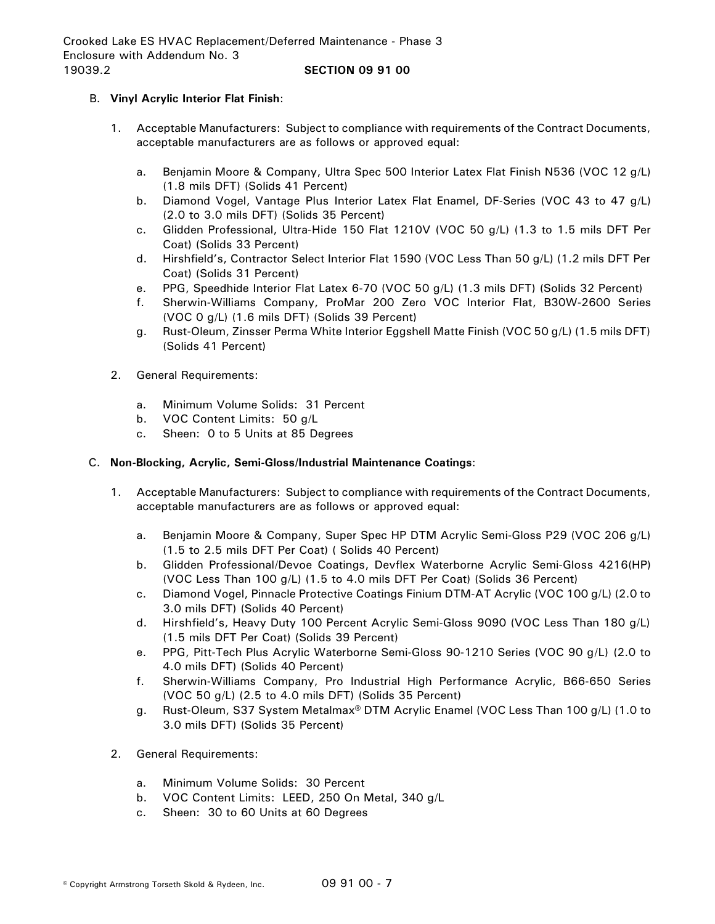# B. **Vinyl Acrylic Interior Flat Finish**:

- 1. Acceptable Manufacturers: Subject to compliance with requirements of the Contract Documents, acceptable manufacturers are as follows or approved equal:
	- a. Benjamin Moore & Company, Ultra Spec 500 Interior Latex Flat Finish N536 (VOC 12 g/L) (1.8 mils DFT) (Solids 41 Percent)
	- b. Diamond Vogel, Vantage Plus Interior Latex Flat Enamel, DF-Series (VOC 43 to 47 g/L) (2.0 to 3.0 mils DFT) (Solids 35 Percent)
	- c. Glidden Professional, Ultra-Hide 150 Flat 1210V (VOC 50 g/L) (1.3 to 1.5 mils DFT Per Coat) (Solids 33 Percent)
	- d. Hirshfield's, Contractor Select Interior Flat 1590 (VOC Less Than 50 g/L) (1.2 mils DFT Per Coat) (Solids 31 Percent)
	- e. PPG, Speedhide Interior Flat Latex 6-70 (VOC 50 g/L) (1.3 mils DFT) (Solids 32 Percent)
	- f. Sherwin-Williams Company, ProMar 200 Zero VOC Interior Flat, B30W-2600 Series (VOC 0 g/L) (1.6 mils DFT) (Solids 39 Percent)
	- g. Rust-Oleum, Zinsser Perma White Interior Eggshell Matte Finish (VOC 50 g/L) (1.5 mils DFT) (Solids 41 Percent)
- 2. General Requirements:
	- a. Minimum Volume Solids: 31 Percent
	- b. VOC Content Limits: 50 g/L
	- c. Sheen: 0 to 5 Units at 85 Degrees

# C. **Non-Blocking, Acrylic, Semi-Gloss/Industrial Maintenance Coatings**:

- 1. Acceptable Manufacturers: Subject to compliance with requirements of the Contract Documents, acceptable manufacturers are as follows or approved equal:
	- a. Benjamin Moore & Company, Super Spec HP DTM Acrylic Semi-Gloss P29 (VOC 206 g/L) (1.5 to 2.5 mils DFT Per Coat) ( Solids 40 Percent)
	- b. Glidden Professional/Devoe Coatings, Devflex Waterborne Acrylic Semi-Gloss 4216(HP) (VOC Less Than 100 g/L) (1.5 to 4.0 mils DFT Per Coat) (Solids 36 Percent)
	- c. Diamond Vogel, Pinnacle Protective Coatings Finium DTM-AT Acrylic (VOC 100 g/L) (2.0 to 3.0 mils DFT) (Solids 40 Percent)
	- d. Hirshfield's, Heavy Duty 100 Percent Acrylic Semi-Gloss 9090 (VOC Less Than 180 g/L) (1.5 mils DFT Per Coat) (Solids 39 Percent)
	- e. PPG, Pitt-Tech Plus Acrylic Waterborne Semi-Gloss 90-1210 Series (VOC 90 g/L) (2.0 to 4.0 mils DFT) (Solids 40 Percent)
	- f. Sherwin-Williams Company, Pro Industrial High Performance Acrylic, B66-650 Series (VOC 50 g/L) (2.5 to 4.0 mils DFT) (Solids 35 Percent)
	- g. Rust-Oleum, S37 System Metalmax® DTM Acrylic Enamel (VOC Less Than 100 g/L) (1.0 to 3.0 mils DFT) (Solids 35 Percent)
- 2. General Requirements:
	- a. Minimum Volume Solids: 30 Percent
	- b. VOC Content Limits: LEED, 250 On Metal, 340 g/L
	- c. Sheen: 30 to 60 Units at 60 Degrees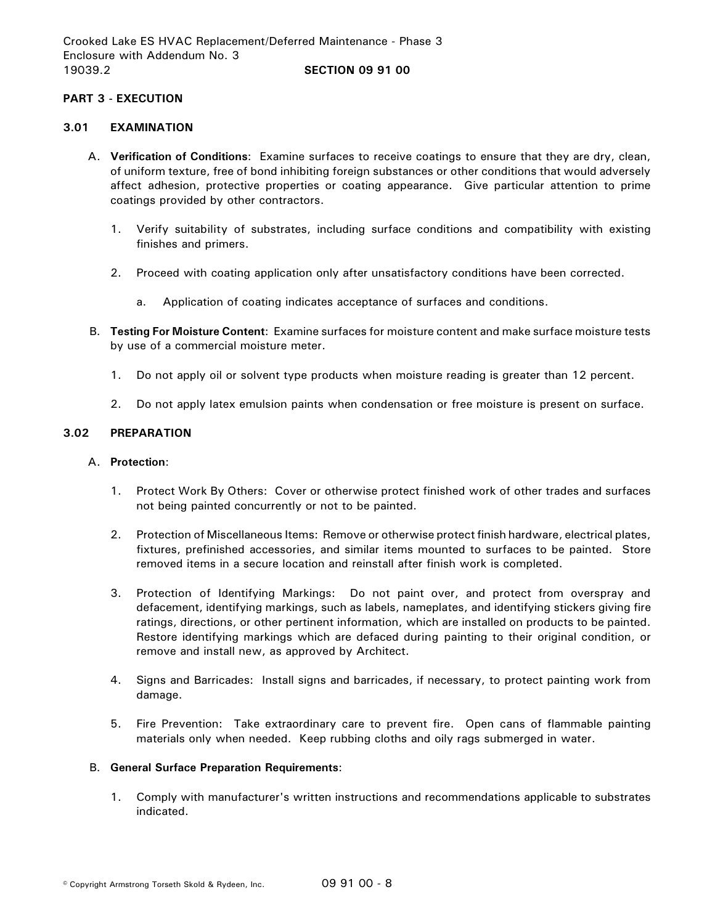## **PART 3 - EXECUTION**

#### **3.01 EXAMINATION**

- A. **Verification of Conditions**: Examine surfaces to receive coatings to ensure that they are dry, clean, of uniform texture, free of bond inhibiting foreign substances or other conditions that would adversely affect adhesion, protective properties or coating appearance. Give particular attention to prime coatings provided by other contractors.
	- 1. Verify suitability of substrates, including surface conditions and compatibility with existing finishes and primers.
	- 2. Proceed with coating application only after unsatisfactory conditions have been corrected.
		- a. Application of coating indicates acceptance of surfaces and conditions.
- B. **Testing For Moisture Content**: Examine surfaces for moisture content and make surface moisture tests by use of a commercial moisture meter.
	- 1. Do not apply oil or solvent type products when moisture reading is greater than 12 percent.
	- 2. Do not apply latex emulsion paints when condensation or free moisture is present on surface.

# **3.02 PREPARATION**

### A. **Protection**:

- 1. Protect Work By Others: Cover or otherwise protect finished work of other trades and surfaces not being painted concurrently or not to be painted.
- 2. Protection of Miscellaneous Items: Remove or otherwise protect finish hardware, electrical plates, fixtures, prefinished accessories, and similar items mounted to surfaces to be painted. Store removed items in a secure location and reinstall after finish work is completed.
- 3. Protection of Identifying Markings: Do not paint over, and protect from overspray and defacement, identifying markings, such as labels, nameplates, and identifying stickers giving fire ratings, directions, or other pertinent information, which are installed on products to be painted. Restore identifying markings which are defaced during painting to their original condition, or remove and install new, as approved by Architect.
- 4. Signs and Barricades: Install signs and barricades, if necessary, to protect painting work from damage.
- 5. Fire Prevention: Take extraordinary care to prevent fire. Open cans of flammable painting materials only when needed. Keep rubbing cloths and oily rags submerged in water.

## B. **General Surface Preparation Requirements**:

1. Comply with manufacturer's written instructions and recommendations applicable to substrates indicated.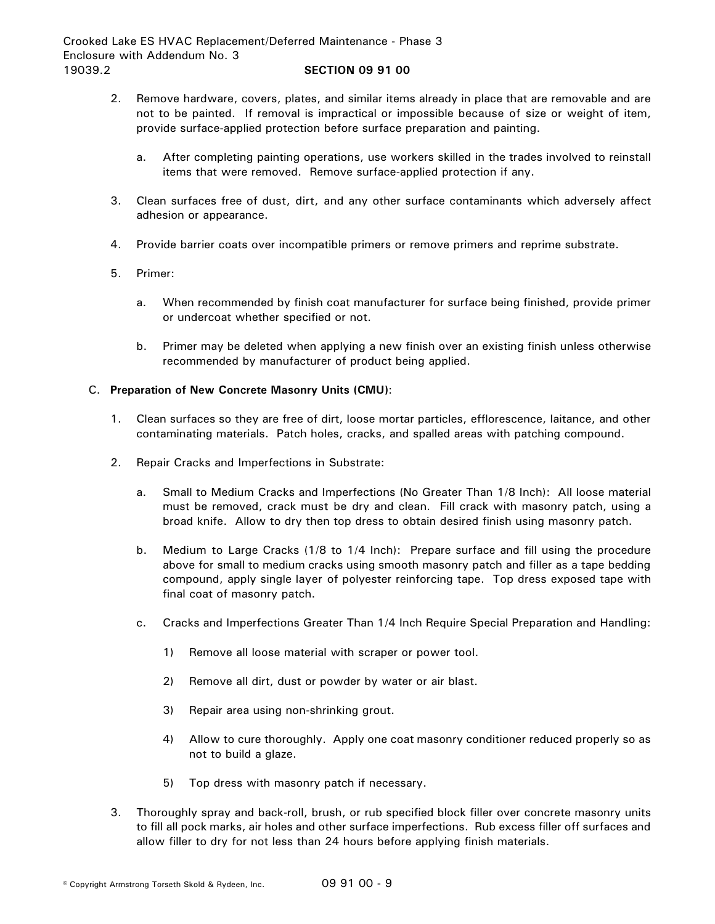- 2. Remove hardware, covers, plates, and similar items already in place that are removable and are not to be painted. If removal is impractical or impossible because of size or weight of item, provide surface-applied protection before surface preparation and painting.
	- a. After completing painting operations, use workers skilled in the trades involved to reinstall items that were removed. Remove surface-applied protection if any.
- 3. Clean surfaces free of dust, dirt, and any other surface contaminants which adversely affect adhesion or appearance.
- 4. Provide barrier coats over incompatible primers or remove primers and reprime substrate.
- 5. Primer:
	- a. When recommended by finish coat manufacturer for surface being finished, provide primer or undercoat whether specified or not.
	- b. Primer may be deleted when applying a new finish over an existing finish unless otherwise recommended by manufacturer of product being applied.

# C. **Preparation of New Concrete Masonry Units (CMU)**:

- 1. Clean surfaces so they are free of dirt, loose mortar particles, efflorescence, laitance, and other contaminating materials. Patch holes, cracks, and spalled areas with patching compound.
- 2. Repair Cracks and Imperfections in Substrate:
	- a. Small to Medium Cracks and Imperfections (No Greater Than 1/8 Inch): All loose material must be removed, crack must be dry and clean. Fill crack with masonry patch, using a broad knife. Allow to dry then top dress to obtain desired finish using masonry patch.
	- b. Medium to Large Cracks (1/8 to 1/4 Inch): Prepare surface and fill using the procedure above for small to medium cracks using smooth masonry patch and filler as a tape bedding compound, apply single layer of polyester reinforcing tape. Top dress exposed tape with final coat of masonry patch.
	- c. Cracks and Imperfections Greater Than 1/4 Inch Require Special Preparation and Handling:
		- 1) Remove all loose material with scraper or power tool.
		- 2) Remove all dirt, dust or powder by water or air blast.
		- 3) Repair area using non-shrinking grout.
		- 4) Allow to cure thoroughly. Apply one coat masonry conditioner reduced properly so as not to build a glaze.
		- 5) Top dress with masonry patch if necessary.
- 3. Thoroughly spray and back-roll, brush, or rub specified block filler over concrete masonry units to fill all pock marks, air holes and other surface imperfections. Rub excess filler off surfaces and allow filler to dry for not less than 24 hours before applying finish materials.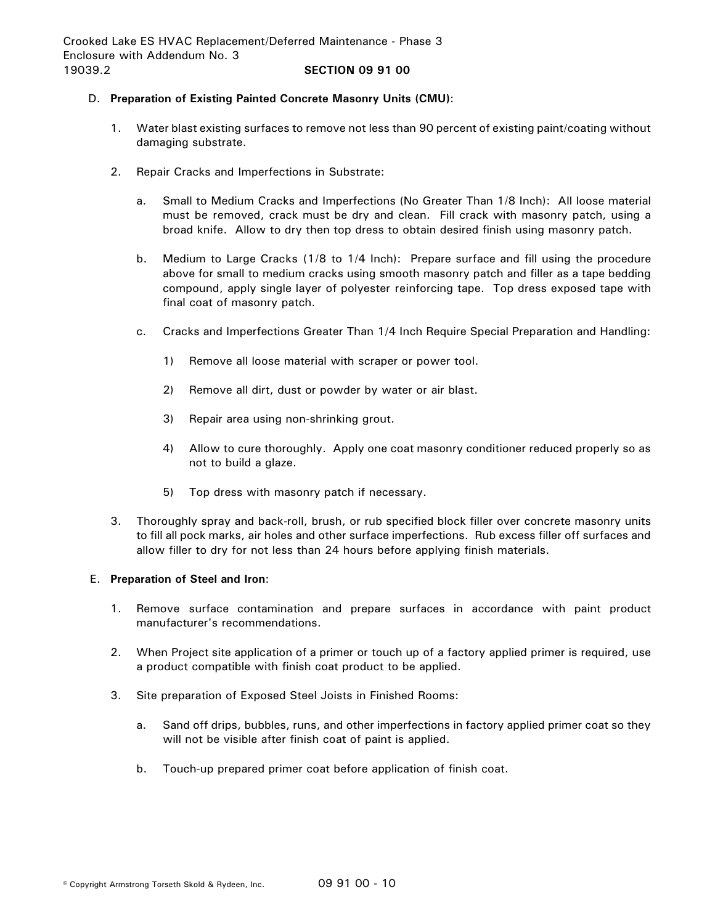# D. **Preparation of Existing Painted Concrete Masonry Units (CMU)**:

- 1. Water blast existing surfaces to remove not less than 90 percent of existing paint/coating without damaging substrate.
- 2. Repair Cracks and Imperfections in Substrate:
	- a. Small to Medium Cracks and Imperfections (No Greater Than 1/8 Inch): All loose material must be removed, crack must be dry and clean. Fill crack with masonry patch, using a broad knife. Allow to dry then top dress to obtain desired finish using masonry patch.
	- b. Medium to Large Cracks (1/8 to 1/4 Inch): Prepare surface and fill using the procedure above for small to medium cracks using smooth masonry patch and filler as a tape bedding compound, apply single layer of polyester reinforcing tape. Top dress exposed tape with final coat of masonry patch.
	- c. Cracks and Imperfections Greater Than 1/4 Inch Require Special Preparation and Handling:
		- 1) Remove all loose material with scraper or power tool.
		- 2) Remove all dirt, dust or powder by water or air blast.
		- 3) Repair area using non-shrinking grout.
		- 4) Allow to cure thoroughly. Apply one coat masonry conditioner reduced properly so as not to build a glaze.
		- 5) Top dress with masonry patch if necessary.
- 3. Thoroughly spray and back-roll, brush, or rub specified block filler over concrete masonry units to fill all pock marks, air holes and other surface imperfections. Rub excess filler off surfaces and allow filler to dry for not less than 24 hours before applying finish materials.

# E. **Preparation of Steel and Iron**:

- 1. Remove surface contamination and prepare surfaces in accordance with paint product manufacturer's recommendations.
- 2. When Project site application of a primer or touch up of a factory applied primer is required, use a product compatible with finish coat product to be applied.
- 3. Site preparation of Exposed Steel Joists in Finished Rooms:
	- a. Sand off drips, bubbles, runs, and other imperfections in factory applied primer coat so they will not be visible after finish coat of paint is applied.
	- b. Touch-up prepared primer coat before application of finish coat.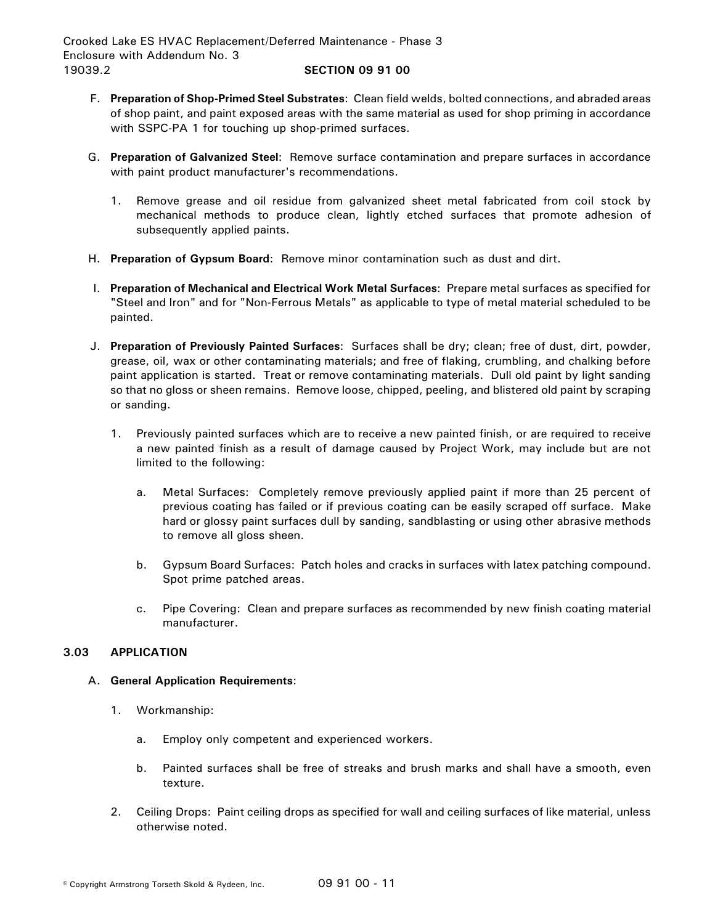- F. **Preparation of Shop-Primed Steel Substrates**: Clean field welds, bolted connections, and abraded areas of shop paint, and paint exposed areas with the same material as used for shop priming in accordance with SSPC-PA 1 for touching up shop-primed surfaces.
- G. **Preparation of Galvanized Steel**: Remove surface contamination and prepare surfaces in accordance with paint product manufacturer's recommendations.
	- 1. Remove grease and oil residue from galvanized sheet metal fabricated from coil stock by mechanical methods to produce clean, lightly etched surfaces that promote adhesion of subsequently applied paints.
- H. **Preparation of Gypsum Board**: Remove minor contamination such as dust and dirt.
- I. **Preparation of Mechanical and Electrical Work Metal Surfaces**: Prepare metal surfaces as specified for "Steel and Iron" and for "Non-Ferrous Metals" as applicable to type of metal material scheduled to be painted.
- J. **Preparation of Previously Painted Surfaces**: Surfaces shall be dry; clean; free of dust, dirt, powder, grease, oil, wax or other contaminating materials; and free of flaking, crumbling, and chalking before paint application is started. Treat or remove contaminating materials. Dull old paint by light sanding so that no gloss or sheen remains. Remove loose, chipped, peeling, and blistered old paint by scraping or sanding.
	- 1. Previously painted surfaces which are to receive a new painted finish, or are required to receive a new painted finish as a result of damage caused by Project Work, may include but are not limited to the following:
		- a. Metal Surfaces: Completely remove previously applied paint if more than 25 percent of previous coating has failed or if previous coating can be easily scraped off surface. Make hard or glossy paint surfaces dull by sanding, sandblasting or using other abrasive methods to remove all gloss sheen.
		- b. Gypsum Board Surfaces: Patch holes and cracks in surfaces with latex patching compound. Spot prime patched areas.
		- c. Pipe Covering: Clean and prepare surfaces as recommended by new finish coating material manufacturer.

# **3.03 APPLICATION**

# A. **General Application Requirements**:

- 1. Workmanship:
	- a. Employ only competent and experienced workers.
	- b. Painted surfaces shall be free of streaks and brush marks and shall have a smooth, even texture.
- 2. Ceiling Drops: Paint ceiling drops as specified for wall and ceiling surfaces of like material, unless otherwise noted.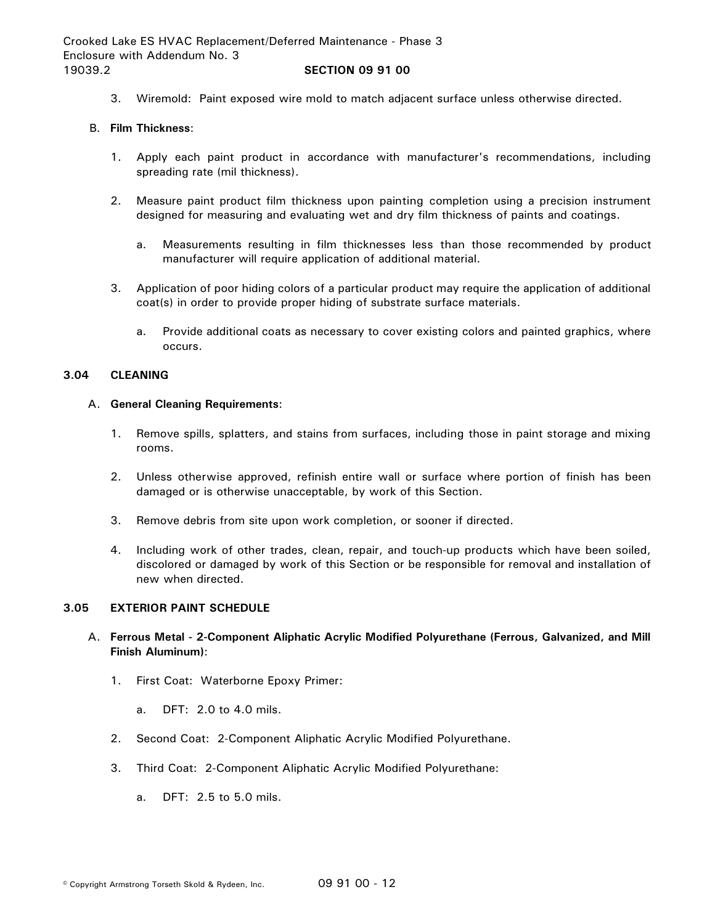3. Wiremold: Paint exposed wire mold to match adjacent surface unless otherwise directed.

## B. **Film Thickness**:

- 1. Apply each paint product in accordance with manufacturer's recommendations, including spreading rate (mil thickness).
- 2. Measure paint product film thickness upon painting completion using a precision instrument designed for measuring and evaluating wet and dry film thickness of paints and coatings.
	- a. Measurements resulting in film thicknesses less than those recommended by product manufacturer will require application of additional material.
- 3. Application of poor hiding colors of a particular product may require the application of additional coat(s) in order to provide proper hiding of substrate surface materials.
	- a. Provide additional coats as necessary to cover existing colors and painted graphics, where occurs.

## **3.04 CLEANING**

### A. **General Cleaning Requirements**:

- 1. Remove spills, splatters, and stains from surfaces, including those in paint storage and mixing rooms.
- 2. Unless otherwise approved, refinish entire wall or surface where portion of finish has been damaged or is otherwise unacceptable, by work of this Section.
- 3. Remove debris from site upon work completion, or sooner if directed.
- 4. Including work of other trades, clean, repair, and touch-up products which have been soiled, discolored or damaged by work of this Section or be responsible for removal and installation of new when directed.

### **3.05 EXTERIOR PAINT SCHEDULE**

- A. **Ferrous Metal 2-Component Aliphatic Acrylic Modified Polyurethane (Ferrous, Galvanized, and Mill Finish Aluminum)**:
	- 1. First Coat: Waterborne Epoxy Primer:
		- a. DFT: 2.0 to 4.0 mils.
	- 2. Second Coat: 2-Component Aliphatic Acrylic Modified Polyurethane.
	- 3. Third Coat: 2-Component Aliphatic Acrylic Modified Polyurethane:
		- a. DFT: 2.5 to 5.0 mils.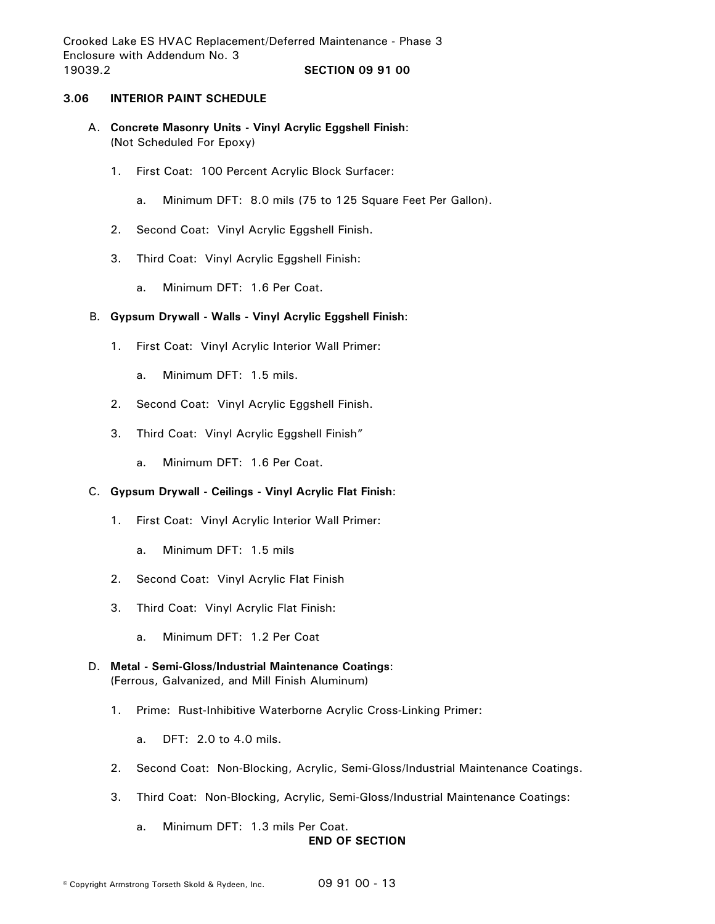Crooked Lake ES HVAC Replacement/Deferred Maintenance - Phase 3 Enclosure with Addendum No. 3 19039.2 **SECTION 09 91 00**

## **3.06 INTERIOR PAINT SCHEDULE**

- A. **Concrete Masonry Units - Vinyl Acrylic Eggshell Finish**: (Not Scheduled For Epoxy)
	- 1. First Coat: 100 Percent Acrylic Block Surfacer:
		- a. Minimum DFT: 8.0 mils (75 to 125 Square Feet Per Gallon).
	- 2. Second Coat: Vinyl Acrylic Eggshell Finish.
	- 3. Third Coat: Vinyl Acrylic Eggshell Finish:
		- a. Minimum DFT: 1.6 Per Coat.

## B. **Gypsum Drywall - Walls - Vinyl Acrylic Eggshell Finish**:

- 1. First Coat: Vinyl Acrylic Interior Wall Primer:
	- a. Minimum DFT: 1.5 mils.
- 2. Second Coat: Vinyl Acrylic Eggshell Finish.
- 3. Third Coat: Vinyl Acrylic Eggshell Finish"
	- a. Minimum DFT: 1.6 Per Coat.

# C. **Gypsum Drywall - Ceilings - Vinyl Acrylic Flat Finish**:

- 1. First Coat: Vinyl Acrylic Interior Wall Primer:
	- a. Minimum DFT: 1.5 mils
- 2. Second Coat: Vinyl Acrylic Flat Finish
- 3. Third Coat: Vinyl Acrylic Flat Finish:
	- a. Minimum DFT: 1.2 Per Coat
- D. **Metal - Semi-Gloss/Industrial Maintenance Coatings**: (Ferrous, Galvanized, and Mill Finish Aluminum)
	- 1. Prime: Rust-Inhibitive Waterborne Acrylic Cross-Linking Primer:
		- a. DFT: 2.0 to 4.0 mils.
	- 2. Second Coat: Non-Blocking, Acrylic, Semi-Gloss/Industrial Maintenance Coatings.
	- 3. Third Coat: Non-Blocking, Acrylic, Semi-Gloss/Industrial Maintenance Coatings:
		- a. Minimum DFT: 1.3 mils Per Coat.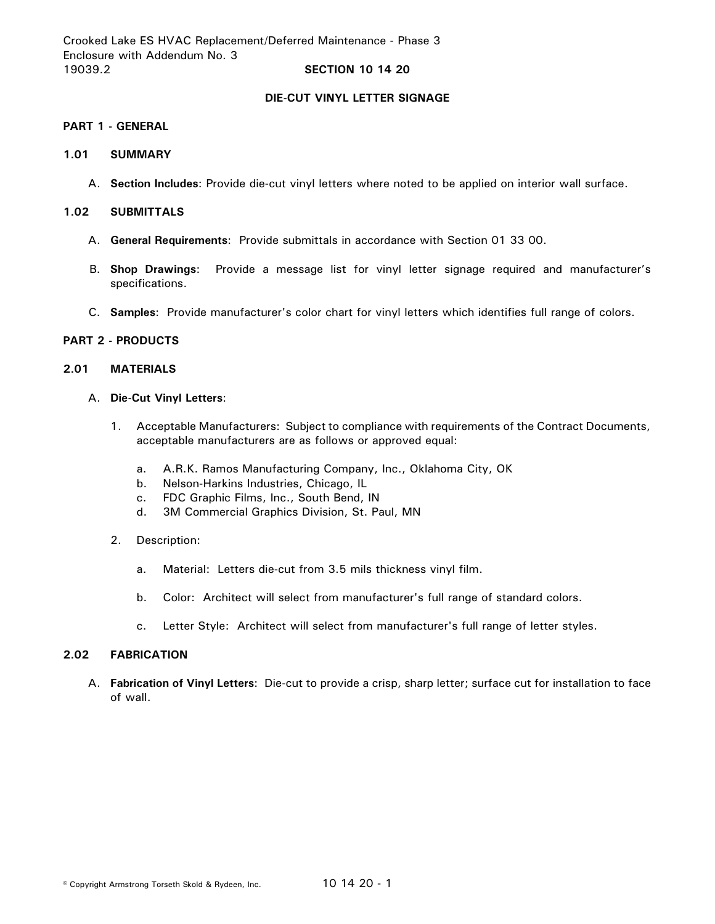Crooked Lake ES HVAC Replacement/Deferred Maintenance - Phase 3 Enclosure with Addendum No. 3 19039.2 **SECTION 10 14 20**

## **DIE-CUT VINYL LETTER SIGNAGE**

### **PART 1 - GENERAL**

# **1.01 SUMMARY**

A. **Section Includes**: Provide die-cut vinyl letters where noted to be applied on interior wall surface.

# **1.02 SUBMITTALS**

- A. **General Requirements**: Provide submittals in accordance with Section 01 33 00.
- B. **Shop Drawings**: Provide a message list for vinyl letter signage required and manufacturer's specifications.
- C. **Samples**: Provide manufacturer's color chart for vinyl letters which identifies full range of colors.

# **PART 2 - PRODUCTS**

## **2.01 MATERIALS**

# A. **Die-Cut Vinyl Letters**:

- 1. Acceptable Manufacturers: Subject to compliance with requirements of the Contract Documents, acceptable manufacturers are as follows or approved equal:
	- a. A.R.K. Ramos Manufacturing Company, Inc., Oklahoma City, OK
	- b. Nelson-Harkins Industries, Chicago, IL
	- c. FDC Graphic Films, Inc., South Bend, IN
	- d. 3M Commercial Graphics Division, St. Paul, MN
- 2. Description:
	- a. Material: Letters die-cut from 3.5 mils thickness vinyl film.
	- b. Color: Architect will select from manufacturer's full range of standard colors.
	- c. Letter Style: Architect will select from manufacturer's full range of letter styles.

# **2.02 FABRICATION**

A. **Fabrication of Vinyl Letters**: Die-cut to provide a crisp, sharp letter; surface cut for installation to face of wall.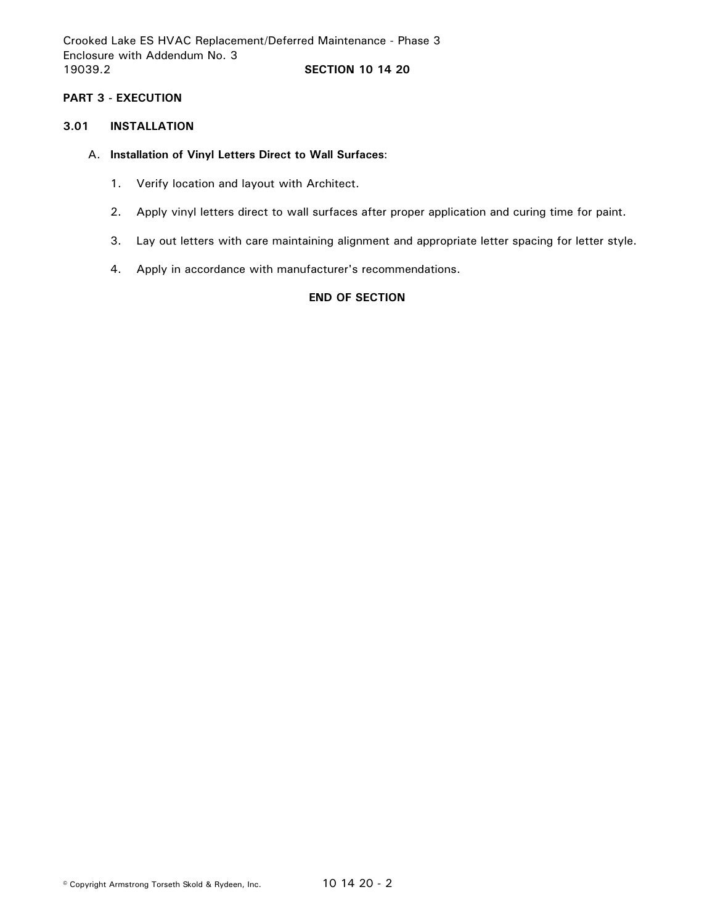# **PART 3 - EXECUTION**

## **3.01 INSTALLATION**

# A. **Installation of Vinyl Letters Direct to Wall Surfaces**:

- 1. Verify location and layout with Architect.
- 2. Apply vinyl letters direct to wall surfaces after proper application and curing time for paint.
- 3. Lay out letters with care maintaining alignment and appropriate letter spacing for letter style.
- 4. Apply in accordance with manufacturer's recommendations.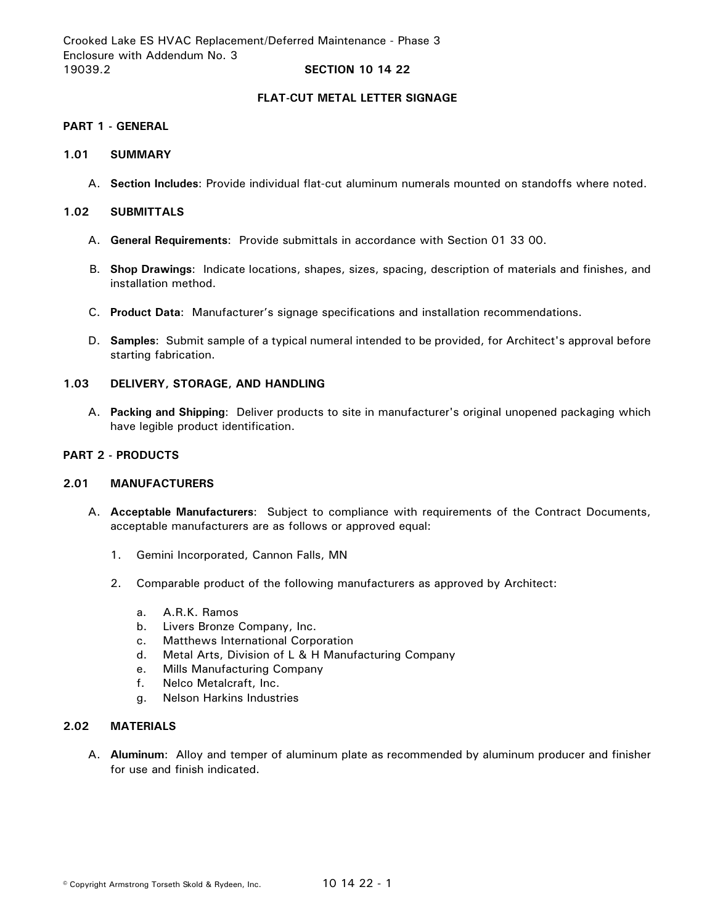Crooked Lake ES HVAC Replacement/Deferred Maintenance - Phase 3 Enclosure with Addendum No. 3 19039.2 **SECTION 10 14 22**

## **FLAT-CUT METAL LETTER SIGNAGE**

### **PART 1 - GENERAL**

### **1.01 SUMMARY**

A. **Section Includes**: Provide individual flat-cut aluminum numerals mounted on standoffs where noted.

### **1.02 SUBMITTALS**

- A. **General Requirements**: Provide submittals in accordance with Section 01 33 00.
- B. **Shop Drawings**: Indicate locations, shapes, sizes, spacing, description of materials and finishes, and installation method.
- C. **Product Data**: Manufacturer's signage specifications and installation recommendations.
- D. **Samples**: Submit sample of a typical numeral intended to be provided, for Architect's approval before starting fabrication.

## **1.03 DELIVERY, STORAGE, AND HANDLING**

A. **Packing and Shipping**: Deliver products to site in manufacturer's original unopened packaging which have legible product identification.

# **PART 2 - PRODUCTS**

#### **2.01 MANUFACTURERS**

- A. **Acceptable Manufacturers**: Subject to compliance with requirements of the Contract Documents, acceptable manufacturers are as follows or approved equal:
	- 1. Gemini Incorporated, Cannon Falls, MN
	- 2. Comparable product of the following manufacturers as approved by Architect:
		- a. A.R.K. Ramos
		- b. Livers Bronze Company, Inc.
		- c. Matthews International Corporation
		- d. Metal Arts, Division of L & H Manufacturing Company
		- e. Mills Manufacturing Company
		- f. Nelco Metalcraft, Inc.
		- g. Nelson Harkins Industries

# **2.02 MATERIALS**

A. **Aluminum**: Alloy and temper of aluminum plate as recommended by aluminum producer and finisher for use and finish indicated.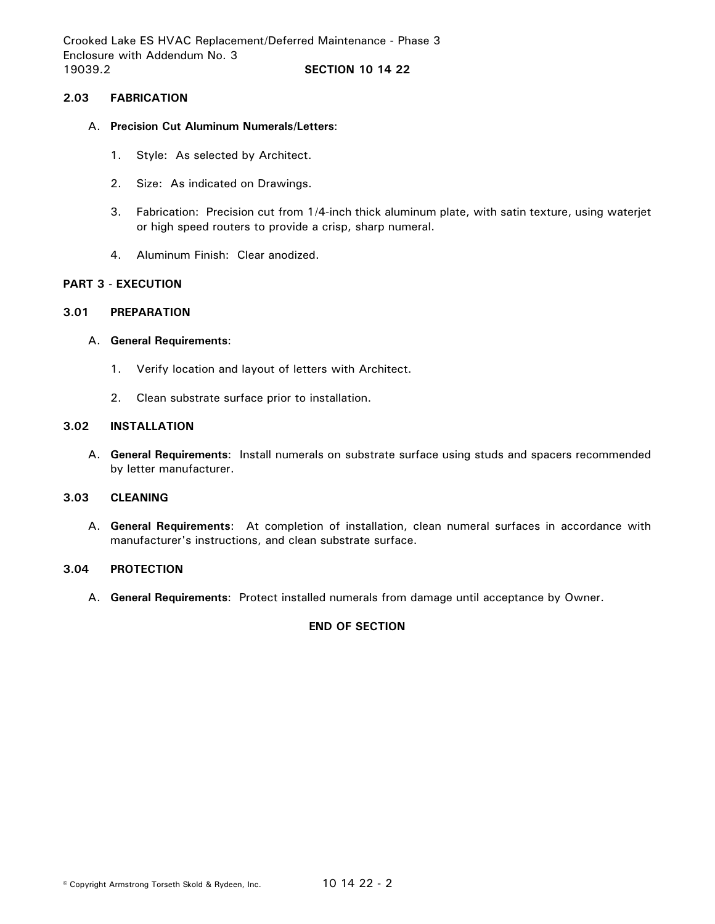Crooked Lake ES HVAC Replacement/Deferred Maintenance - Phase 3 Enclosure with Addendum No. 3 19039.2 **SECTION 10 14 22**

## **2.03 FABRICATION**

- A. **Precision Cut Aluminum Numerals/Letters**:
	- 1. Style: As selected by Architect.
	- 2. Size: As indicated on Drawings.
	- 3. Fabrication: Precision cut from 1/4-inch thick aluminum plate, with satin texture, using waterjet or high speed routers to provide a crisp, sharp numeral.
	- 4. Aluminum Finish: Clear anodized.

# **PART 3 - EXECUTION**

## **3.01 PREPARATION**

#### A. **General Requirements**:

- 1. Verify location and layout of letters with Architect.
- 2. Clean substrate surface prior to installation.

# **3.02 INSTALLATION**

A. **General Requirements**: Install numerals on substrate surface using studs and spacers recommended by letter manufacturer.

# **3.03 CLEANING**

A. **General Requirements**: At completion of installation, clean numeral surfaces in accordance with manufacturer's instructions, and clean substrate surface.

#### **3.04 PROTECTION**

A. **General Requirements**: Protect installed numerals from damage until acceptance by Owner.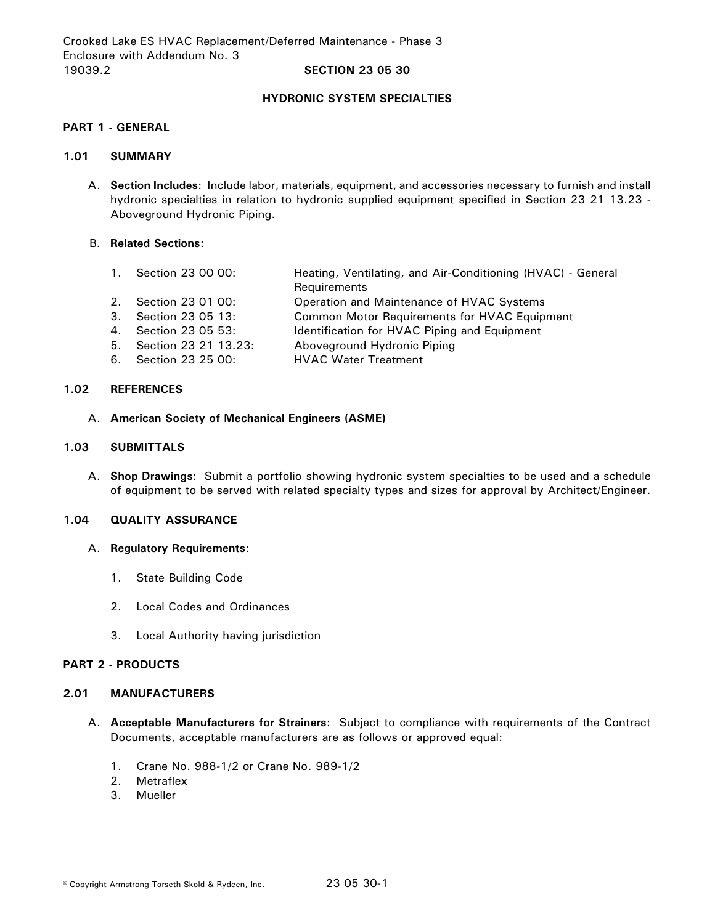## **HYDRONIC SYSTEM SPECIALTIES**

### **PART 1 - GENERAL**

## **1.01 SUMMARY**

A. **Section Includes**: Include labor, materials, equipment, and accessories necessary to furnish and install hydronic specialties in relation to hydronic supplied equipment specified in Section 23 21 13.23 - Aboveground Hydronic Piping.

## B. **Related Sections**:

| 1. | Section 23 00 00:    | Heating, Ventilating, and Air-Conditioning (HVAC) - General |
|----|----------------------|-------------------------------------------------------------|
|    |                      | Requirements                                                |
| 2. | Section 23 01 00:    | Operation and Maintenance of HVAC Systems                   |
| 3. | Section 23 05 13:    | <b>Common Motor Requirements for HVAC Equipment</b>         |
|    | 4. Section 23 05 53: | Identification for HVAC Piping and Equipment                |
| 5. | Section 23 21 13.23: | Aboveground Hydronic Piping                                 |
| 6. | Section 23 25 00:    | <b>HVAC Water Treatment</b>                                 |
|    |                      |                                                             |

# **1.02 REFERENCES**

A. **American Society of Mechanical Engineers (ASME)**

## **1.03 SUBMITTALS**

A. **Shop Drawings**: Submit a portfolio showing hydronic system specialties to be used and a schedule of equipment to be served with related specialty types and sizes for approval by Architect/Engineer.

# **1.04 QUALITY ASSURANCE**

#### A. **Regulatory Requirements**:

- 1. State Building Code
- 2. Local Codes and Ordinances
- 3. Local Authority having jurisdiction

#### **PART 2 - PRODUCTS**

#### **2.01 MANUFACTURERS**

- A. **Acceptable Manufacturers for Strainers**: Subject to compliance with requirements of the Contract Documents, acceptable manufacturers are as follows or approved equal:
	- 1. Crane No. 988-1/2 or Crane No. 989-1/2
	- 2. Metraflex
	- 3. Mueller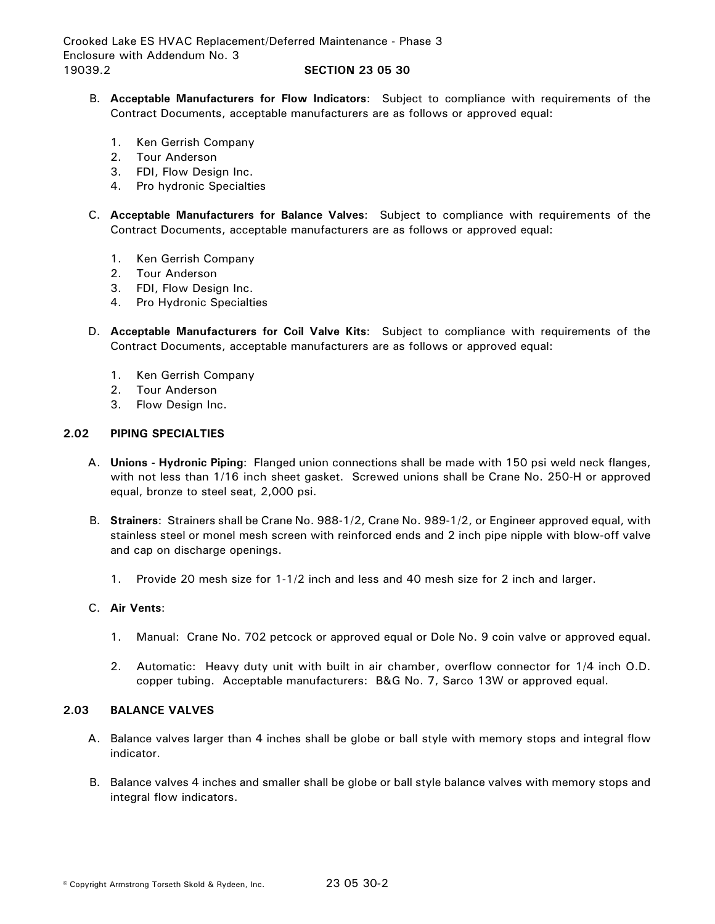- B. **Acceptable Manufacturers for Flow Indicators**: Subject to compliance with requirements of the Contract Documents, acceptable manufacturers are as follows or approved equal:
	- 1. Ken Gerrish Company
	- 2. Tour Anderson
	- 3. FDI, Flow Design Inc.
	- 4. Pro hydronic Specialties
- C. **Acceptable Manufacturers for Balance Valves**: Subject to compliance with requirements of the Contract Documents, acceptable manufacturers are as follows or approved equal:
	- 1. Ken Gerrish Company
	- 2. Tour Anderson
	- 3. FDI, Flow Design Inc.
	- 4. Pro Hydronic Specialties
- D. **Acceptable Manufacturers for Coil Valve Kits**: Subject to compliance with requirements of the Contract Documents, acceptable manufacturers are as follows or approved equal:
	- 1. Ken Gerrish Company
	- 2. Tour Anderson
	- 3. Flow Design Inc.

## **2.02 PIPING SPECIALTIES**

- A. **Unions - Hydronic Piping**: Flanged union connections shall be made with 150 psi weld neck flanges, with not less than 1/16 inch sheet gasket. Screwed unions shall be Crane No. 250-H or approved equal, bronze to steel seat, 2,000 psi.
- B. **Strainers**: Strainers shall be Crane No. 988-1/2, Crane No. 989-1/2, or Engineer approved equal, with stainless steel or monel mesh screen with reinforced ends and 2 inch pipe nipple with blow-off valve and cap on discharge openings.
	- 1. Provide 20 mesh size for 1-1/2 inch and less and 40 mesh size for 2 inch and larger.

### C. **Air Vents**:

- 1. Manual: Crane No. 702 petcock or approved equal or Dole No. 9 coin valve or approved equal.
- 2. Automatic: Heavy duty unit with built in air chamber, overflow connector for 1/4 inch O.D. copper tubing. Acceptable manufacturers: B&G No. 7, Sarco 13W or approved equal.

## **2.03 BALANCE VALVES**

- A. Balance valves larger than 4 inches shall be globe or ball style with memory stops and integral flow indicator.
- B. Balance valves 4 inches and smaller shall be globe or ball style balance valves with memory stops and integral flow indicators.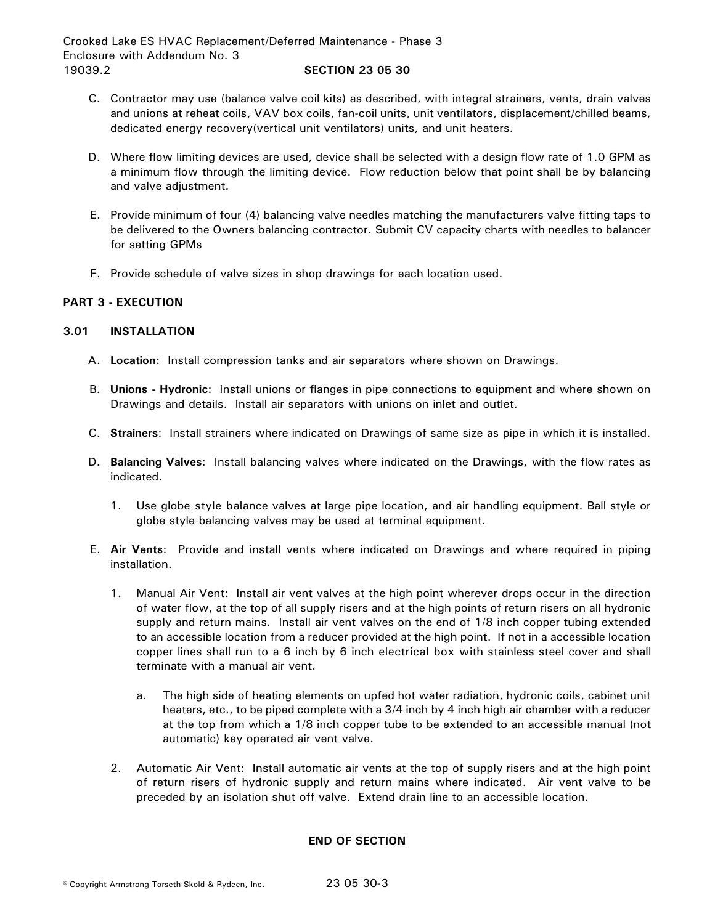- C. Contractor may use (balance valve coil kits) as described, with integral strainers, vents, drain valves and unions at reheat coils, VAV box coils, fan-coil units, unit ventilators, displacement/chilled beams, dedicated energy recovery(vertical unit ventilators) units, and unit heaters.
- D. Where flow limiting devices are used, device shall be selected with a design flow rate of 1.0 GPM as a minimum flow through the limiting device. Flow reduction below that point shall be by balancing and valve adjustment.
- E. Provide minimum of four (4) balancing valve needles matching the manufacturers valve fitting taps to be delivered to the Owners balancing contractor. Submit CV capacity charts with needles to balancer for setting GPMs
- F. Provide schedule of valve sizes in shop drawings for each location used.

# **PART 3 - EXECUTION**

# **3.01 INSTALLATION**

- A. **Location**: Install compression tanks and air separators where shown on Drawings.
- B. **Unions Hydronic**: Install unions or flanges in pipe connections to equipment and where shown on Drawings and details. Install air separators with unions on inlet and outlet.
- C. **Strainers**: Install strainers where indicated on Drawings of same size as pipe in which it is installed.
- D. **Balancing Valves**: Install balancing valves where indicated on the Drawings, with the flow rates as indicated.
	- 1. Use globe style balance valves at large pipe location, and air handling equipment. Ball style or globe style balancing valves may be used at terminal equipment.
- E. **Air Vents**: Provide and install vents where indicated on Drawings and where required in piping installation.
	- 1. Manual Air Vent: Install air vent valves at the high point wherever drops occur in the direction of water flow, at the top of all supply risers and at the high points of return risers on all hydronic supply and return mains. Install air vent valves on the end of 1/8 inch copper tubing extended to an accessible location from a reducer provided at the high point. If not in a accessible location copper lines shall run to a 6 inch by 6 inch electrical box with stainless steel cover and shall terminate with a manual air vent.
		- a. The high side of heating elements on upfed hot water radiation, hydronic coils, cabinet unit heaters, etc., to be piped complete with a 3/4 inch by 4 inch high air chamber with a reducer at the top from which a 1/8 inch copper tube to be extended to an accessible manual (not automatic) key operated air vent valve.
	- 2. Automatic Air Vent: Install automatic air vents at the top of supply risers and at the high point of return risers of hydronic supply and return mains where indicated. Air vent valve to be preceded by an isolation shut off valve. Extend drain line to an accessible location.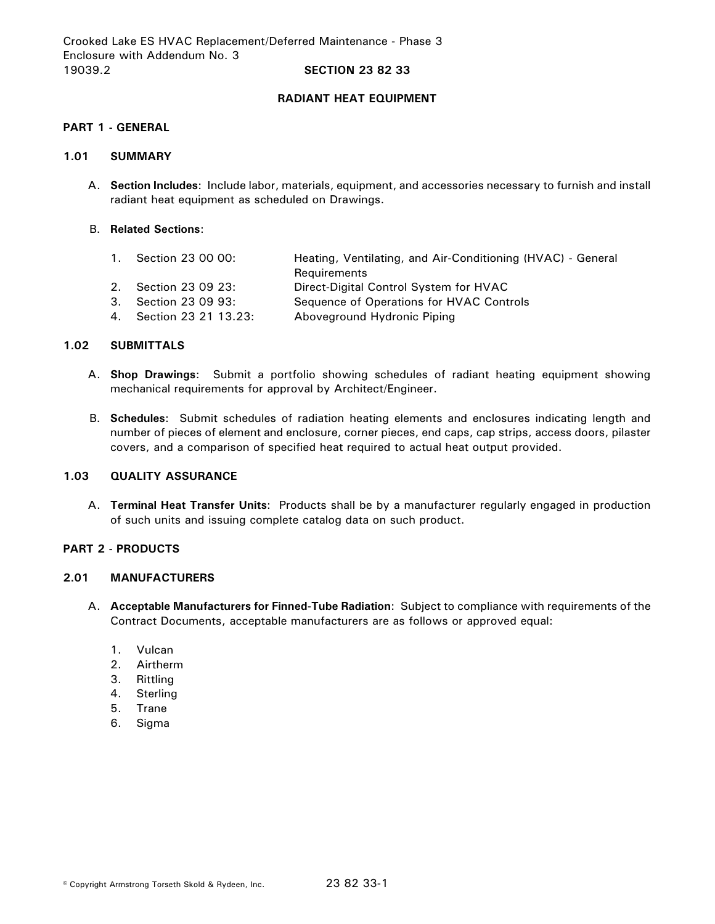Crooked Lake ES HVAC Replacement/Deferred Maintenance - Phase 3 Enclosure with Addendum No. 3 19039.2 **SECTION 23 82 33**

#### **RADIANT HEAT EQUIPMENT**

#### **PART 1 - GENERAL**

## **1.01 SUMMARY**

A. **Section Includes**: Include labor, materials, equipment, and accessories necessary to furnish and install radiant heat equipment as scheduled on Drawings.

### B. **Related Sections**:

1. Section 23 00 00: Heating, Ventilating, and Air-Conditioning (HVAC) - General **Requirements** 2. Section 23 09 23: Direct-Digital Control System for HVAC 3. Section 23 09 93: Sequence of Operations for HVAC Controls 4. Section 23 21 13.23: Aboveground Hydronic Piping

## **1.02 SUBMITTALS**

- A. **Shop Drawings**: Submit a portfolio showing schedules of radiant heating equipment showing mechanical requirements for approval by Architect/Engineer.
- B. **Schedules**: Submit schedules of radiation heating elements and enclosures indicating length and number of pieces of element and enclosure, corner pieces, end caps, cap strips, access doors, pilaster covers, and a comparison of specified heat required to actual heat output provided.

# **1.03 QUALITY ASSURANCE**

A. **Terminal Heat Transfer Units**: Products shall be by a manufacturer regularly engaged in production of such units and issuing complete catalog data on such product.

#### **PART 2 - PRODUCTS**

## **2.01 MANUFACTURERS**

- A. **Acceptable Manufacturers for Finned-Tube Radiation**: Subject to compliance with requirements of the Contract Documents, acceptable manufacturers are as follows or approved equal:
	- 1. Vulcan
	- 2. Airtherm
	- 3. Rittling
	- 4. Sterling
	- 5. Trane
	- 6. Sigma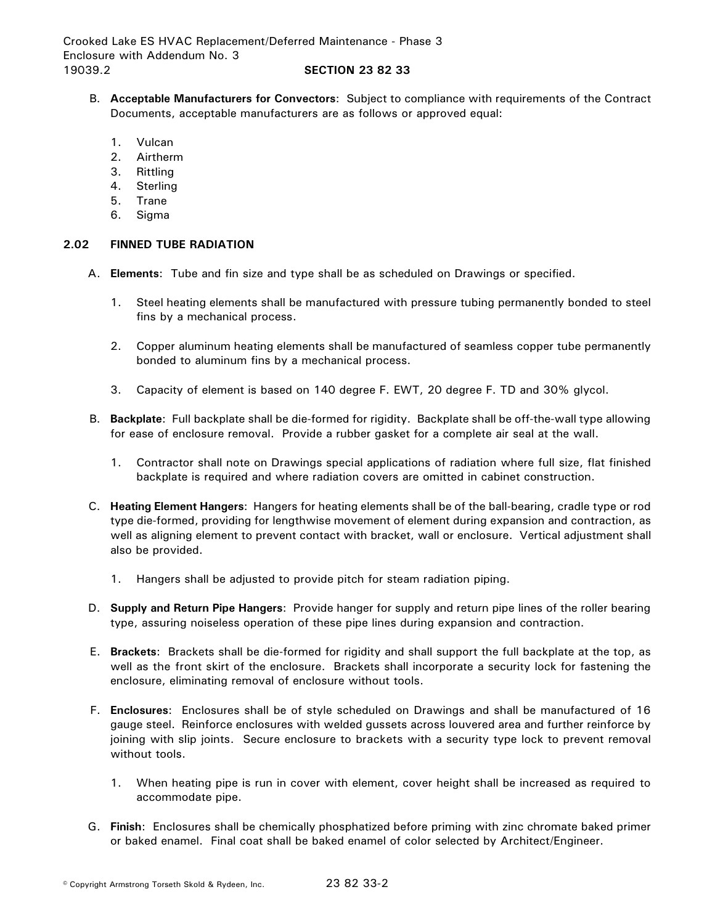- B. **Acceptable Manufacturers for Convectors**: Subject to compliance with requirements of the Contract Documents, acceptable manufacturers are as follows or approved equal:
	- 1. Vulcan
	- 2. Airtherm
	- 3. Rittling
	- 4. Sterling
	- 5. Trane
	- 6. Sigma

# **2.02 FINNED TUBE RADIATION**

- A. **Elements**: Tube and fin size and type shall be as scheduled on Drawings or specified.
	- 1. Steel heating elements shall be manufactured with pressure tubing permanently bonded to steel fins by a mechanical process.
	- 2. Copper aluminum heating elements shall be manufactured of seamless copper tube permanently bonded to aluminum fins by a mechanical process.
	- 3. Capacity of element is based on 140 degree F. EWT, 20 degree F. TD and 30% glycol.
- B. **Backplate**: Full backplate shall be die-formed for rigidity. Backplate shall be off-the-wall type allowing for ease of enclosure removal. Provide a rubber gasket for a complete air seal at the wall.
	- 1. Contractor shall note on Drawings special applications of radiation where full size, flat finished backplate is required and where radiation covers are omitted in cabinet construction.
- C. **Heating Element Hangers**: Hangers for heating elements shall be of the ball-bearing, cradle type or rod type die-formed, providing for lengthwise movement of element during expansion and contraction, as well as aligning element to prevent contact with bracket, wall or enclosure. Vertical adjustment shall also be provided.
	- 1. Hangers shall be adjusted to provide pitch for steam radiation piping.
- D. **Supply and Return Pipe Hangers**: Provide hanger for supply and return pipe lines of the roller bearing type, assuring noiseless operation of these pipe lines during expansion and contraction.
- E. **Brackets**: Brackets shall be die-formed for rigidity and shall support the full backplate at the top, as well as the front skirt of the enclosure. Brackets shall incorporate a security lock for fastening the enclosure, eliminating removal of enclosure without tools.
- F. **Enclosures**: Enclosures shall be of style scheduled on Drawings and shall be manufactured of 16 gauge steel. Reinforce enclosures with welded gussets across louvered area and further reinforce by joining with slip joints. Secure enclosure to brackets with a security type lock to prevent removal without tools.
	- 1. When heating pipe is run in cover with element, cover height shall be increased as required to accommodate pipe.
- G. **Finish**: Enclosures shall be chemically phosphatized before priming with zinc chromate baked primer or baked enamel. Final coat shall be baked enamel of color selected by Architect/Engineer.